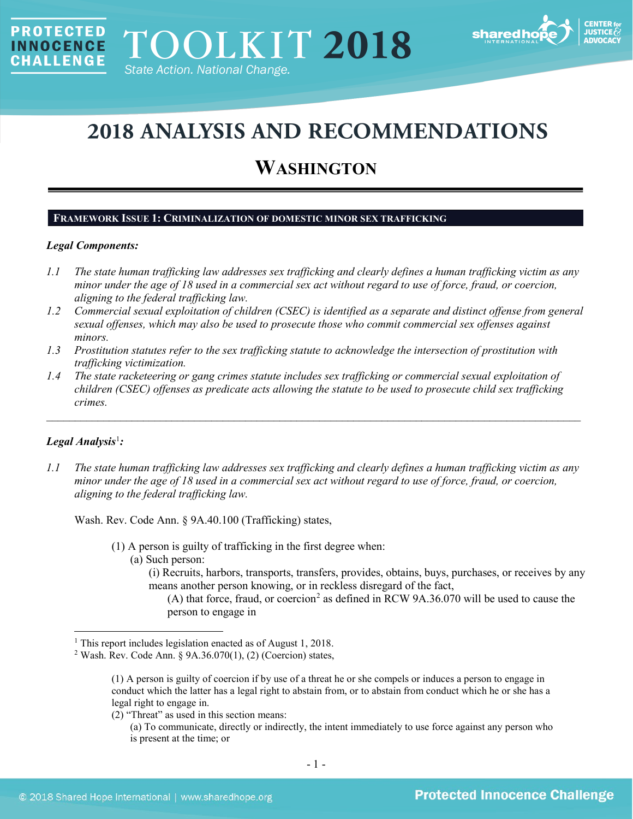

# **2018 ANALYSIS AND RECOMMENDATIONS**

# **WASHINGTON**

# **FRAMEWORK ISSUE 1: CRIMINALIZATION OF DOMESTIC MINOR SEX TRAFFICKING**

# *Legal Components:*

**PROTECTED** 

**INNOCENCE CHALLENGE** 

- *1.1 The state human trafficking law addresses sex trafficking and clearly defines a human trafficking victim as any minor under the age of 18 used in a commercial sex act without regard to use of force, fraud, or coercion, aligning to the federal trafficking law.*
- *1.2 Commercial sexual exploitation of children (CSEC) is identified as a separate and distinct offense from general sexual offenses, which may also be used to prosecute those who commit commercial sex offenses against minors.*
- *1.3 Prostitution statutes refer to the sex trafficking statute to acknowledge the intersection of prostitution with trafficking victimization.*
- *1.4 The state racketeering or gang crimes statute includes sex trafficking or commercial sexual exploitation of children (CSEC) offenses as predicate acts allowing the statute to be used to prosecute child sex trafficking crimes.*

\_\_\_\_\_\_\_\_\_\_\_\_\_\_\_\_\_\_\_\_\_\_\_\_\_\_\_\_\_\_\_\_\_\_\_\_\_\_\_\_\_\_\_\_\_\_\_\_\_\_\_\_\_\_\_\_\_\_\_\_\_\_\_\_\_\_\_\_\_\_\_\_\_\_\_\_\_\_\_\_\_\_\_\_\_\_\_\_\_\_\_\_\_\_

# *Legal Analysis*[1](#page-0-0) *:*

*1.1 The state human trafficking law addresses sex trafficking and clearly defines a human trafficking victim as any minor under the age of 18 used in a commercial sex act without regard to use of force, fraud, or coercion, aligning to the federal trafficking law.*

Wash. Rev. Code Ann. § 9A.40.100 (Trafficking) states,

- (1) A person is guilty of trafficking in the first degree when:
	- (a) Such person:
		- (i) Recruits, harbors, transports, transfers, provides, obtains, buys, purchases, or receives by any means another person knowing, or in reckless disregard of the fact,

(A) that force, fraud, or coercion<sup>[2](#page-0-1)</sup> as defined in RCW 9A.36.070 will be used to cause the person to engage in

(2) "Threat" as used in this section means:

(a) To communicate, directly or indirectly, the intent immediately to use force against any person who is present at the time; or

<span id="page-0-0"></span><sup>&</sup>lt;sup>1</sup> This report includes legislation enacted as of August 1, 2018.

<span id="page-0-1"></span><sup>&</sup>lt;sup>2</sup> Wash. Rev. Code Ann.  $\frac{6}{9}$ A.36.070(1), (2) (Coercion) states,

<sup>(1)</sup> A person is guilty of coercion if by use of a threat he or she compels or induces a person to engage in conduct which the latter has a legal right to abstain from, or to abstain from conduct which he or she has a legal right to engage in.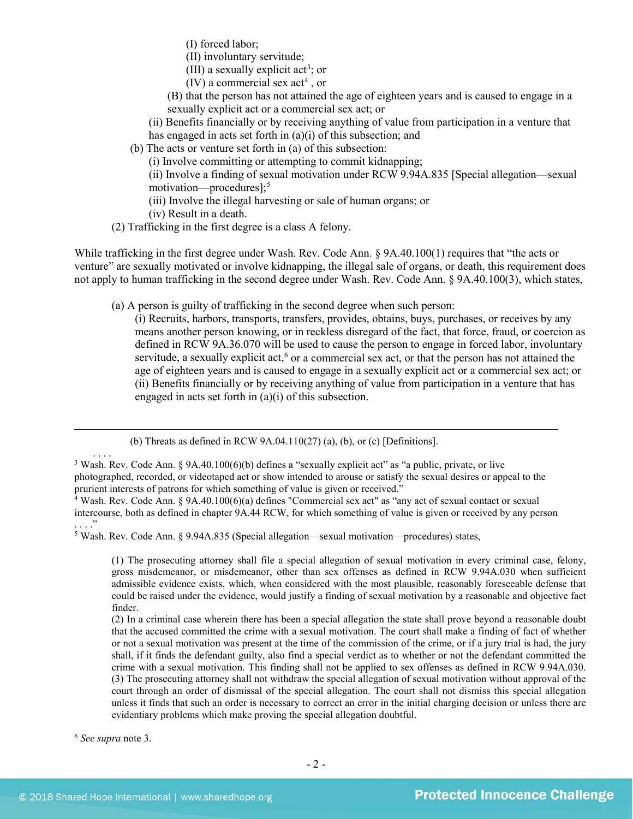(I) forced labor;

(II) involuntary servitude;

- <span id="page-1-0"></span>(III) a sexually explicit act<sup>[3](#page-1-1)</sup>; or
- $(IV)$  a commercial sex act<sup>[4](#page-1-2)</sup>, or
- (B) that the person has not attained the age of eighteen years and is caused to engage in a sexually explicit act or a commercial sex act; or

(ii) Benefits financially or by receiving anything of value from participation in a venture that has engaged in acts set forth in (a)(i) of this subsection; and

(b) The acts or venture set forth in (a) of this subsection:

(i) Involve committing or attempting to commit kidnapping;

(ii) Involve a finding of sexual motivation under RCW 9.94A.835 [Special allegation—sexual motivation—procedures];<sup>[5](#page-1-3)</sup>

(iii) Involve the illegal harvesting or sale of human organs; or

(iv) Result in a death.

(2) Trafficking in the first degree is a class A felony.

While trafficking in the first degree under Wash. Rev. Code Ann. § 9A.40.100(1) requires that "the acts or venture" are sexually motivated or involve kidnapping, the illegal sale of organs, or death, this requirement does not apply to human trafficking in the second degree under Wash. Rev. Code Ann. § 9A.40.100(3), which states,

(a) A person is guilty of trafficking in the second degree when such person:

(i) Recruits, harbors, transports, transfers, provides, obtains, buys, purchases, or receives by any means another person knowing, or in reckless disregard of the fact, that force, fraud, or coercion as defined in RCW 9A.36.070 will be used to cause the person to engage in forced labor, involuntary servitude, a sexually explicit act,<sup>[6](#page-1-4)</sup> or a commercial sex act, or that the person has not attained the age of eighteen years and is caused to engage in a sexually explicit act or a commercial sex act; or (ii) Benefits financially or by receiving anything of value from participation in a venture that has engaged in acts set forth in (a)(i) of this subsection.

<span id="page-1-4"></span><sup>6</sup> *See supra* note [3.](#page-1-0)

. . . .

<sup>(</sup>b) Threats as defined in RCW  $9A.04.110(27)$  (a), (b), or (c) [Definitions].

<span id="page-1-1"></span><sup>&</sup>lt;sup>3</sup> Wash. Rev. Code Ann. § 9A.40.100(6)(b) defines a "sexually explicit act" as "a public, private, or live photographed, recorded, or videotaped act or show intended to arouse or satisfy the sexual desires or appeal to the prurient interests of patrons for which something of value is given or received."

<span id="page-1-2"></span><sup>4</sup> Wash. Rev. Code Ann. § 9A.40.100(6)(a) defines "Commercial sex act" as "any act of sexual contact or sexual intercourse, both as defined in chapter 9A.44 RCW, for which something of value is given or received by any person  $\cdot \cdot \cdot$ <sup>"</sup>

<span id="page-1-3"></span><sup>5</sup> Wash. Rev. Code Ann. § 9.94A.835 (Special allegation—sexual motivation—procedures) states,

<sup>(1)</sup> The prosecuting attorney shall file a special allegation of sexual motivation in every criminal case, felony, gross misdemeanor, or misdemeanor, other than sex offenses as defined in RCW 9.94A.030 when sufficient admissible evidence exists, which, when considered with the most plausible, reasonably foreseeable defense that could be raised under the evidence, would justify a finding of sexual motivation by a reasonable and objective fact finder.

<sup>(2)</sup> In a criminal case wherein there has been a special allegation the state shall prove beyond a reasonable doubt that the accused committed the crime with a sexual motivation. The court shall make a finding of fact of whether or not a sexual motivation was present at the time of the commission of the crime, or if a jury trial is had, the jury shall, if it finds the defendant guilty, also find a special verdict as to whether or not the defendant committed the crime with a sexual motivation. This finding shall not be applied to sex offenses as defined in RCW 9.94A.030. (3) The prosecuting attorney shall not withdraw the special allegation of sexual motivation without approval of the court through an order of dismissal of the special allegation. The court shall not dismiss this special allegation unless it finds that such an order is necessary to correct an error in the initial charging decision or unless there are evidentiary problems which make proving the special allegation doubtful.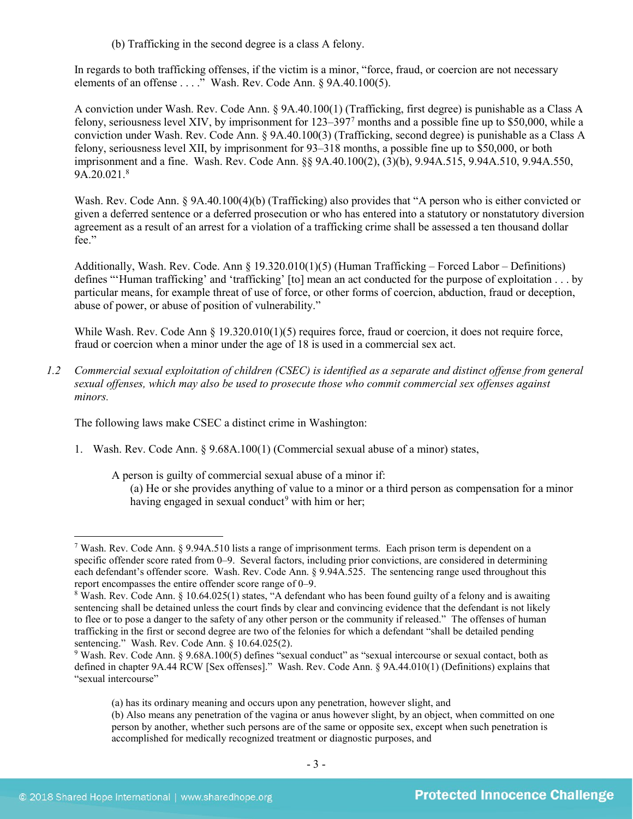(b) Trafficking in the second degree is a class A felony.

In regards to both trafficking offenses, if the victim is a minor, "force, fraud, or coercion are not necessary elements of an offense . . . ." Wash. Rev. Code Ann. § 9A.40.100(5).

A conviction under Wash. Rev. Code Ann. § 9A.40.100(1) (Trafficking, first degree) is punishable as a Class A felony, seriousness level XIV, by imprisonment for 123–397[7](#page-2-0) months and a possible fine up to \$50,000, while a conviction under Wash. Rev. Code Ann. § 9A.40.100(3) (Trafficking, second degree) is punishable as a Class A felony, seriousness level XII, by imprisonment for 93–318 months, a possible fine up to \$50,000, or both imprisonment and a fine. Wash. Rev. Code Ann. §§ 9A.40.100(2), (3)(b), 9.94A.515, 9.94A.510, 9.94A.550, 9A.20.021.[8](#page-2-1)

<span id="page-2-4"></span>Wash. Rev. Code Ann. § 9A.40.100(4)(b) (Trafficking) also provides that "A person who is either convicted or given a deferred sentence or a deferred prosecution or who has entered into a statutory or nonstatutory diversion agreement as a result of an arrest for a violation of a trafficking crime shall be assessed a ten thousand dollar fee."

Additionally, Wash. Rev. Code. Ann § 19.320.010(1)(5) (Human Trafficking – Forced Labor – Definitions) defines "'Human trafficking' and 'trafficking' [to] mean an act conducted for the purpose of exploitation . . . by particular means, for example threat of use of force, or other forms of coercion, abduction, fraud or deception, abuse of power, or abuse of position of vulnerability."

While Wash. Rev. Code Ann § 19.320.010(1)(5) requires force, fraud or coercion, it does not require force, fraud or coercion when a minor under the age of 18 is used in a commercial sex act.

*1.2 Commercial sexual exploitation of children (CSEC) is identified as a separate and distinct offense from general sexual offenses, which may also be used to prosecute those who commit commercial sex offenses against minors.*

The following laws make CSEC a distinct crime in Washington:

1. Wash. Rev. Code Ann. § 9.68A.100(1) (Commercial sexual abuse of a minor) states,

A person is guilty of commercial sexual abuse of a minor if:

<span id="page-2-3"></span>(a) He or she provides anything of value to a minor or a third person as compensation for a minor having engaged in sexual conduct<sup>[9](#page-2-2)</sup> with him or her;

<span id="page-2-0"></span> <sup>7</sup> Wash. Rev. Code Ann. § 9.94A.510 lists a range of imprisonment terms. Each prison term is dependent on a specific offender score rated from 0–9. Several factors, including prior convictions, are considered in determining each defendant's offender score. Wash. Rev. Code Ann. § 9.94A.525. The sentencing range used throughout this report encompasses the entire offender score range of 0–9.

<span id="page-2-1"></span><sup>&</sup>lt;sup>8</sup> Wash. Rev. Code Ann. § 10.64.025(1) states, "A defendant who has been found guilty of a felony and is awaiting sentencing shall be detained unless the court finds by clear and convincing evidence that the defendant is not likely to flee or to pose a danger to the safety of any other person or the community if released." The offenses of human trafficking in the first or second degree are two of the felonies for which a defendant "shall be detailed pending sentencing." Wash. Rev. Code Ann. § 10.64.025(2).

<span id="page-2-2"></span><sup>&</sup>lt;sup>9</sup> Wash. Rev. Code Ann. § 9.68A.100(5) defines "sexual conduct" as "sexual intercourse or sexual contact, both as defined in chapter 9A.44 RCW [Sex offenses]." Wash. Rev. Code Ann. § 9A.44.010(1) (Definitions) explains that "sexual intercourse"

<sup>(</sup>a) has its ordinary meaning and occurs upon any penetration, however slight, and

<sup>(</sup>b) Also means any penetration of the vagina or anus however slight, by an object, when committed on one person by another, whether such persons are of the same or opposite sex, except when such penetration is accomplished for medically recognized treatment or diagnostic purposes, and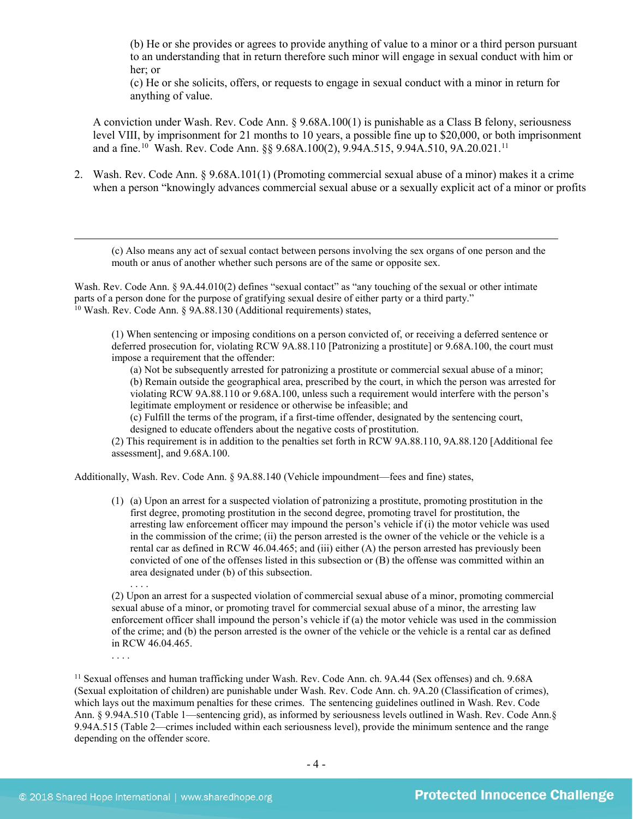(b) He or she provides or agrees to provide anything of value to a minor or a third person pursuant to an understanding that in return therefore such minor will engage in sexual conduct with him or her; or

(c) He or she solicits, offers, or requests to engage in sexual conduct with a minor in return for anything of value.

<span id="page-3-2"></span>A conviction under Wash. Rev. Code Ann. § 9.68A.100(1) is punishable as a Class B felony, seriousness level VIII, by imprisonment for 21 months to 10 years, a possible fine up to \$20,000, or both imprisonment and a fine.<sup>10</sup> Wash. Rev. Code Ann. §§ 9.68A.100(2), 9.94A.515, 9.94A.510, 9A.20.021.<sup>[11](#page-3-1)</sup>

2. Wash. Rev. Code Ann. § 9.68A.101(1) (Promoting commercial sexual abuse of a minor) makes it a crime when a person "knowingly advances commercial sexual abuse or a sexually explicit act of a minor or profits

(c) Also means any act of sexual contact between persons involving the sex organs of one person and the mouth or anus of another whether such persons are of the same or opposite sex.

<span id="page-3-0"></span>Wash. Rev. Code Ann. § 9A.44.010(2) defines "sexual contact" as "any touching of the sexual or other intimate parts of a person done for the purpose of gratifying sexual desire of either party or a third party." <sup>10</sup> Wash. Rev. Code Ann. § 9A.88.130 (Additional requirements) states,

(1) When sentencing or imposing conditions on a person convicted of, or receiving a deferred sentence or deferred prosecution for, violating RCW 9A.88.110 [Patronizing a prostitute] or 9.68A.100, the court must impose a requirement that the offender:

(a) Not be subsequently arrested for patronizing a prostitute or commercial sexual abuse of a minor; (b) Remain outside the geographical area, prescribed by the court, in which the person was arrested for violating RCW 9A.88.110 or 9.68A.100, unless such a requirement would interfere with the person's legitimate employment or residence or otherwise be infeasible; and

(c) Fulfill the terms of the program, if a first-time offender, designated by the sentencing court, designed to educate offenders about the negative costs of prostitution.

(2) This requirement is in addition to the penalties set forth in RCW 9A.88.110, 9A.88.120 [Additional fee assessment], and 9.68A.100.

Additionally, Wash. Rev. Code Ann. § 9A.88.140 (Vehicle impoundment—fees and fine) states,

(1) (a) Upon an arrest for a suspected violation of patronizing a prostitute, promoting prostitution in the first degree, promoting prostitution in the second degree, promoting travel for prostitution, the arresting law enforcement officer may impound the person's vehicle if (i) the motor vehicle was used in the commission of the crime; (ii) the person arrested is the owner of the vehicle or the vehicle is a rental car as defined in RCW 46.04.465; and (iii) either (A) the person arrested has previously been convicted of one of the offenses listed in this subsection or (B) the offense was committed within an area designated under (b) of this subsection. . . . .

(2) Upon an arrest for a suspected violation of commercial sexual abuse of a minor, promoting commercial sexual abuse of a minor, or promoting travel for commercial sexual abuse of a minor, the arresting law enforcement officer shall impound the person's vehicle if (a) the motor vehicle was used in the commission of the crime; and (b) the person arrested is the owner of the vehicle or the vehicle is a rental car as defined in RCW 46.04.465.

<span id="page-3-1"></span><sup>11</sup> Sexual offenses and human trafficking under Wash. Rev. Code Ann. ch. 9A.44 (Sex offenses) and ch. 9.68A (Sexual exploitation of children) are punishable under Wash. Rev. Code Ann. ch. 9A.20 (Classification of crimes), which lays out the maximum penalties for these crimes. The sentencing guidelines outlined in Wash. Rev. Code Ann. § 9.94A.510 (Table 1—sentencing grid), as informed by seriousness levels outlined in Wash. Rev. Code Ann.§ 9.94A.515 (Table 2—crimes included within each seriousness level), provide the minimum sentence and the range depending on the offender score.

. . . .

 $\overline{a}$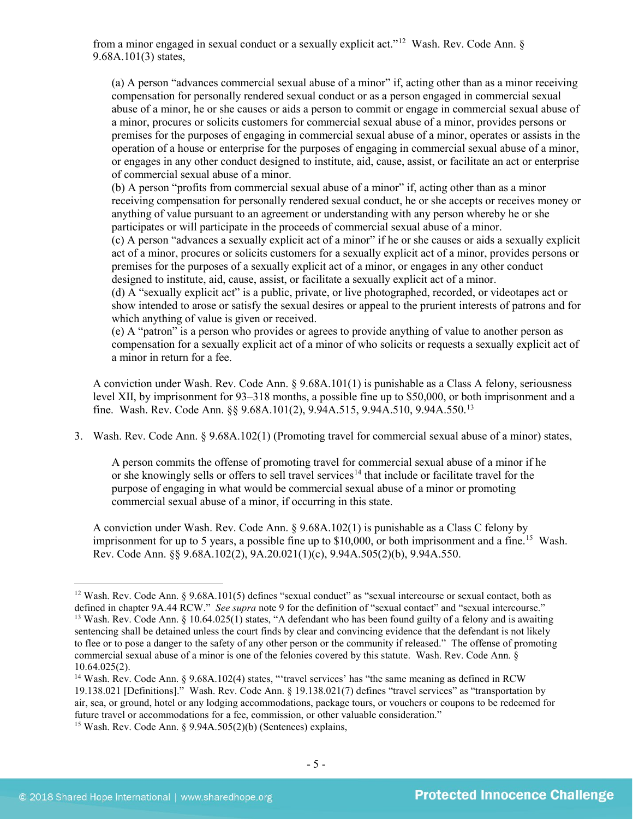from a minor engaged in sexual conduct or a sexually explicit act."[12](#page-4-0) Wash. Rev. Code Ann. § 9.68A.101(3) states,

<span id="page-4-4"></span>(a) A person "advances commercial sexual abuse of a minor" if, acting other than as a minor receiving compensation for personally rendered sexual conduct or as a person engaged in commercial sexual abuse of a minor, he or she causes or aids a person to commit or engage in commercial sexual abuse of a minor, procures or solicits customers for commercial sexual abuse of a minor, provides persons or premises for the purposes of engaging in commercial sexual abuse of a minor, operates or assists in the operation of a house or enterprise for the purposes of engaging in commercial sexual abuse of a minor, or engages in any other conduct designed to institute, aid, cause, assist, or facilitate an act or enterprise of commercial sexual abuse of a minor.

(b) A person "profits from commercial sexual abuse of a minor" if, acting other than as a minor receiving compensation for personally rendered sexual conduct, he or she accepts or receives money or anything of value pursuant to an agreement or understanding with any person whereby he or she participates or will participate in the proceeds of commercial sexual abuse of a minor.

(c) A person "advances a sexually explicit act of a minor" if he or she causes or aids a sexually explicit act of a minor, procures or solicits customers for a sexually explicit act of a minor, provides persons or premises for the purposes of a sexually explicit act of a minor, or engages in any other conduct designed to institute, aid, cause, assist, or facilitate a sexually explicit act of a minor.

(d) A "sexually explicit act" is a public, private, or live photographed, recorded, or videotapes act or show intended to arose or satisfy the sexual desires or appeal to the prurient interests of patrons and for which anything of value is given or received.

(e) A "patron" is a person who provides or agrees to provide anything of value to another person as compensation for a sexually explicit act of a minor of who solicits or requests a sexually explicit act of a minor in return for a fee.

A conviction under Wash. Rev. Code Ann. § 9.68A.101(1) is punishable as a Class A felony, seriousness level XII, by imprisonment for 93–318 months, a possible fine up to \$50,000, or both imprisonment and a fine. Wash. Rev. Code Ann. §§ 9.68A.101(2), 9.94A.515, 9.94A.510, 9.94A.550.[13](#page-4-1)

3. Wash. Rev. Code Ann. § 9.68A.102(1) (Promoting travel for commercial sexual abuse of a minor) states,

A person commits the offense of promoting travel for commercial sexual abuse of a minor if he or she knowingly sells or offers to sell travel services<sup>[14](#page-4-2)</sup> that include or facilitate travel for the purpose of engaging in what would be commercial sexual abuse of a minor or promoting commercial sexual abuse of a minor, if occurring in this state.

A conviction under Wash. Rev. Code Ann. § 9.68A.102(1) is punishable as a Class C felony by imprisonment for up to 5 years, a possible fine up to  $$10,000$ , or both imprisonment and a fine.<sup>15</sup> Wash. Rev. Code Ann. §§ 9.68A.102(2), 9A.20.021(1)(c), 9.94A.505(2)(b), 9.94A.550.

<span id="page-4-1"></span><span id="page-4-0"></span><sup>&</sup>lt;sup>12</sup> Wash. Rev. Code Ann. § 9.68A.101(5) defines "sexual conduct" as "sexual intercourse or sexual contact, both as defined in chapter [9](#page-2-3)A.44 RCW." *See supra* note 9 for the definition of "sexual contact" and "sexual intercourse." <sup>13</sup> Wash. Rev. Code Ann. § 10.64.025(1) states, "A defendant who has been found guilty of a felony and is awaiting sentencing shall be detained unless the court finds by clear and convincing evidence that the defendant is not likely to flee or to pose a danger to the safety of any other person or the community if released." The offense of promoting commercial sexual abuse of a minor is one of the felonies covered by this statute. Wash. Rev. Code Ann. § 10.64.025(2).<br><sup>14</sup> Wash. Rev. Code Ann. § 9.68A.102(4) states, "'travel services' has "the same meaning as defined in RCW

<span id="page-4-3"></span><span id="page-4-2"></span><sup>19.138.021 [</sup>Definitions]." Wash. Rev. Code Ann. § 19.138.021(7) defines "travel services" as "transportation by air, sea, or ground, hotel or any lodging accommodations, package tours, or vouchers or coupons to be redeemed for future travel or accommodations for a fee, commission, or other valuable consideration." <sup>15</sup> Wash. Rev. Code Ann.  $\frac{6}{9.94A.505(2)}$  (Sentences) explains,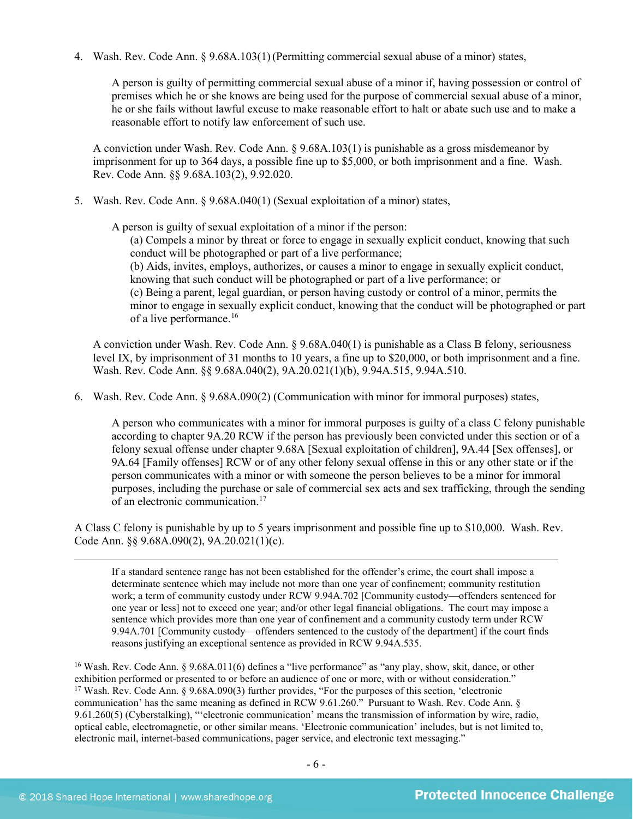4. Wash. Rev. Code Ann. § 9.68A.103(1)(Permitting commercial sexual abuse of a minor) states,

A person is guilty of permitting commercial sexual abuse of a minor if, having possession or control of premises which he or she knows are being used for the purpose of commercial sexual abuse of a minor, he or she fails without lawful excuse to make reasonable effort to halt or abate such use and to make a reasonable effort to notify law enforcement of such use.

A conviction under Wash. Rev. Code Ann. § 9.68A.103(1) is punishable as a gross misdemeanor by imprisonment for up to 364 days, a possible fine up to \$5,000, or both imprisonment and a fine. Wash. Rev. Code Ann. §§ 9.68A.103(2), 9.92.020.

5. Wash. Rev. Code Ann. § 9.68A.040(1) (Sexual exploitation of a minor) states,

A person is guilty of sexual exploitation of a minor if the person:

(a) Compels a minor by threat or force to engage in sexually explicit conduct, knowing that such conduct will be photographed or part of a live performance; (b) Aids, invites, employs, authorizes, or causes a minor to engage in sexually explicit conduct,

knowing that such conduct will be photographed or part of a live performance; or

(c) Being a parent, legal guardian, or person having custody or control of a minor, permits the minor to engage in sexually explicit conduct, knowing that the conduct will be photographed or part of a live performance.<sup>[16](#page-5-0)</sup>

A conviction under Wash. Rev. Code Ann. § 9.68A.040(1) is punishable as a Class B felony, seriousness level IX, by imprisonment of 31 months to 10 years, a fine up to \$20,000, or both imprisonment and a fine. Wash. Rev. Code Ann. §§ 9.68A.040(2), 9A.20.021(1)(b), 9.94A.515, 9.94A.510.

6. Wash. Rev. Code Ann. § 9.68A.090(2) (Communication with minor for immoral purposes) states,

A person who communicates with a minor for immoral purposes is guilty of a class C felony punishable according to chapter 9A.20 RCW if the person has previously been convicted under this section or of a felony sexual offense under chapter 9.68A [Sexual exploitation of children], 9A.44 [Sex offenses], or 9A.64 [Family offenses] RCW or of any other felony sexual offense in this or any other state or if the person communicates with a minor or with someone the person believes to be a minor for immoral purposes, including the purchase or sale of commercial sex acts and sex trafficking, through the sending of an electronic communication.[17](#page-5-1)

A Class C felony is punishable by up to 5 years imprisonment and possible fine up to \$10,000. Wash. Rev. Code Ann. §§ 9.68A.090(2), 9A.20.021(1)(c).

 If a standard sentence range has not been established for the offender's crime, the court shall impose a determinate sentence which may include not more than one year of confinement; community restitution work; a term of community custody under RCW 9.94A.702 [Community custody—offenders sentenced for one year or less] not to exceed one year; and/or other legal financial obligations. The court may impose a sentence which provides more than one year of confinement and a community custody term under RCW 9.94A.701 [Community custody—offenders sentenced to the custody of the department] if the court finds reasons justifying an exceptional sentence as provided in RCW 9.94A.535.

<span id="page-5-1"></span><span id="page-5-0"></span><sup>16</sup> Wash. Rev. Code Ann. § 9.68A.011(6) defines a "live performance" as "any play, show, skit, dance, or other exhibition performed or presented to or before an audience of one or more, with or without consideration." <sup>17</sup> Wash. Rev. Code Ann. § 9.68A.090(3) further provides, "For the purposes of this section, 'electronic communication' has the same meaning as defined in RCW 9.61.260." Pursuant to Wash. Rev. Code Ann. § 9.61.260(5) (Cyberstalking), "'electronic communication' means the transmission of information by wire, radio, optical cable, electromagnetic, or other similar means. 'Electronic communication' includes, but is not limited to, electronic mail, internet-based communications, pager service, and electronic text messaging."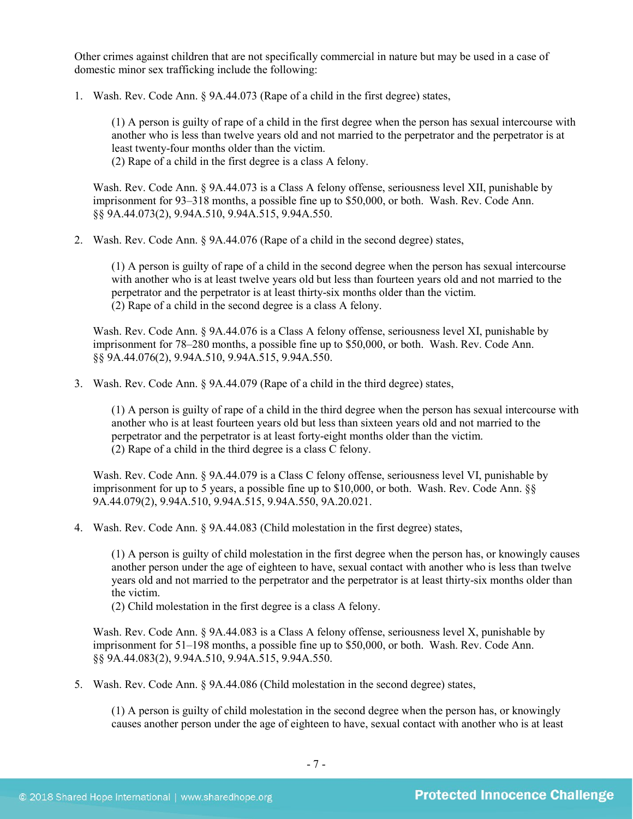Other crimes against children that are not specifically commercial in nature but may be used in a case of domestic minor sex trafficking include the following:

1. Wash. Rev. Code Ann. § 9A.44.073 (Rape of a child in the first degree) states,

(1) A person is guilty of rape of a child in the first degree when the person has sexual intercourse with another who is less than twelve years old and not married to the perpetrator and the perpetrator is at least twenty-four months older than the victim.

(2) Rape of a child in the first degree is a class A felony.

Wash. Rev. Code Ann. § 9A.44.073 is a Class A felony offense, seriousness level XII, punishable by imprisonment for 93–318 months, a possible fine up to \$50,000, or both. Wash. Rev. Code Ann. §§ 9A.44.073(2), 9.94A.510, 9.94A.515, 9.94A.550.

2. Wash. Rev. Code Ann. § 9A.44.076 (Rape of a child in the second degree) states,

(1) A person is guilty of rape of a child in the second degree when the person has sexual intercourse with another who is at least twelve years old but less than fourteen years old and not married to the perpetrator and the perpetrator is at least thirty-six months older than the victim. (2) Rape of a child in the second degree is a class A felony.

Wash. Rev. Code Ann. § 9A.44.076 is a Class A felony offense, seriousness level XI, punishable by imprisonment for 78–280 months, a possible fine up to \$50,000, or both. Wash. Rev. Code Ann. §§ 9A.44.076(2), 9.94A.510, 9.94A.515, 9.94A.550.

3. Wash. Rev. Code Ann. § 9A.44.079 (Rape of a child in the third degree) states,

(1) A person is guilty of rape of a child in the third degree when the person has sexual intercourse with another who is at least fourteen years old but less than sixteen years old and not married to the perpetrator and the perpetrator is at least forty-eight months older than the victim. (2) Rape of a child in the third degree is a class C felony.

Wash. Rev. Code Ann. § 9A.44.079 is a Class C felony offense, seriousness level VI, punishable by imprisonment for up to 5 years, a possible fine up to \$10,000, or both. Wash. Rev. Code Ann. §§ 9A.44.079(2), 9.94A.510, 9.94A.515, 9.94A.550, 9A.20.021.

4. Wash. Rev. Code Ann. § 9A.44.083 (Child molestation in the first degree) states,

(1) A person is guilty of child molestation in the first degree when the person has, or knowingly causes another person under the age of eighteen to have, sexual contact with another who is less than twelve years old and not married to the perpetrator and the perpetrator is at least thirty-six months older than the victim.

(2) Child molestation in the first degree is a class A felony.

Wash. Rev. Code Ann. § 9A.44.083 is a Class A felony offense, seriousness level X, punishable by imprisonment for 51–198 months, a possible fine up to \$50,000, or both. Wash. Rev. Code Ann. §§ 9A.44.083(2), 9.94A.510, 9.94A.515, 9.94A.550.

5. Wash. Rev. Code Ann. § 9A.44.086 (Child molestation in the second degree) states,

(1) A person is guilty of child molestation in the second degree when the person has, or knowingly causes another person under the age of eighteen to have, sexual contact with another who is at least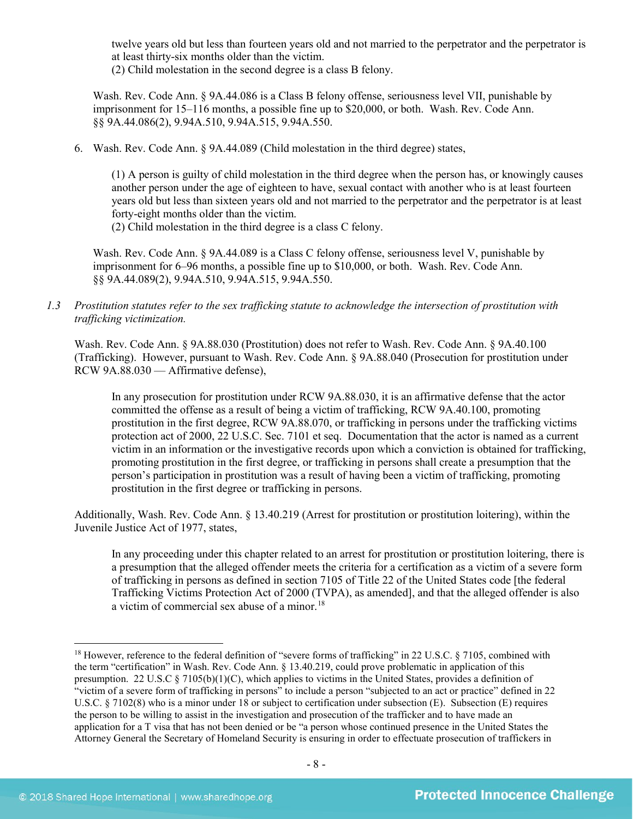twelve years old but less than fourteen years old and not married to the perpetrator and the perpetrator is at least thirty-six months older than the victim.

(2) Child molestation in the second degree is a class B felony.

Wash. Rev. Code Ann. § 9A.44.086 is a Class B felony offense, seriousness level VII, punishable by imprisonment for 15–116 months, a possible fine up to \$20,000, or both. Wash. Rev. Code Ann. §§ 9A.44.086(2), 9.94A.510, 9.94A.515, 9.94A.550.

6. Wash. Rev. Code Ann. § 9A.44.089 (Child molestation in the third degree) states,

(1) A person is guilty of child molestation in the third degree when the person has, or knowingly causes another person under the age of eighteen to have, sexual contact with another who is at least fourteen years old but less than sixteen years old and not married to the perpetrator and the perpetrator is at least forty-eight months older than the victim.

(2) Child molestation in the third degree is a class C felony.

Wash. Rev. Code Ann. § 9A.44.089 is a Class C felony offense, seriousness level V, punishable by imprisonment for 6–96 months, a possible fine up to \$10,000, or both. Wash. Rev. Code Ann. §§ 9A.44.089(2), 9.94A.510, 9.94A.515, 9.94A.550.

*1.3 Prostitution statutes refer to the sex trafficking statute to acknowledge the intersection of prostitution with trafficking victimization.* 

Wash. Rev. Code Ann. § 9A.88.030 (Prostitution) does not refer to Wash. Rev. Code Ann. § 9A.40.100 (Trafficking). However, pursuant to Wash. Rev. Code Ann. § 9A.88.040 (Prosecution for prostitution under RCW 9A.88.030 — Affirmative defense),

In any prosecution for prostitution under RCW 9A.88.030, it is an affirmative defense that the actor committed the offense as a result of being a victim of trafficking, RCW 9A.40.100, promoting prostitution in the first degree, RCW 9A.88.070, or trafficking in persons under the trafficking victims protection act of 2000, 22 U.S.C. Sec. 7101 et seq. Documentation that the actor is named as a current victim in an information or the investigative records upon which a conviction is obtained for trafficking, promoting prostitution in the first degree, or trafficking in persons shall create a presumption that the person's participation in prostitution was a result of having been a victim of trafficking, promoting prostitution in the first degree or trafficking in persons.

Additionally, Wash. Rev. Code Ann. § 13.40.219 (Arrest for prostitution or prostitution loitering), within the Juvenile Justice Act of 1977, states,

In any proceeding under this chapter related to an arrest for prostitution or prostitution loitering, there is a presumption that the alleged offender meets the criteria for a certification as a victim of a severe form of trafficking in persons as defined in section 7105 of Title 22 of the United States code [the federal Trafficking Victims Protection Act of 2000 (TVPA), as amended], and that the alleged offender is also a victim of commercial sex abuse of a minor[.18](#page-7-0)

<span id="page-7-0"></span><sup>&</sup>lt;sup>18</sup> However, reference to the federal definition of "severe forms of trafficking" in 22 U.S.C. § 7105, combined with the term "certification" in Wash. Rev. Code Ann. § 13.40.219, could prove problematic in application of this presumption. 22 U.S.C § 7105(b)(1)(C), which applies to victims in the United States, provides a definition of "victim of a severe form of trafficking in persons" to include a person "subjected to an act or practice" defined in 22 U.S.C. § 7102(8) who is a minor under 18 or subject to certification under subsection (E). Subsection (E) requires the person to be willing to assist in the investigation and prosecution of the trafficker and to have made an application for a T visa that has not been denied or be "a person whose continued presence in the United States the Attorney General the Secretary of Homeland Security is ensuring in order to effectuate prosecution of traffickers in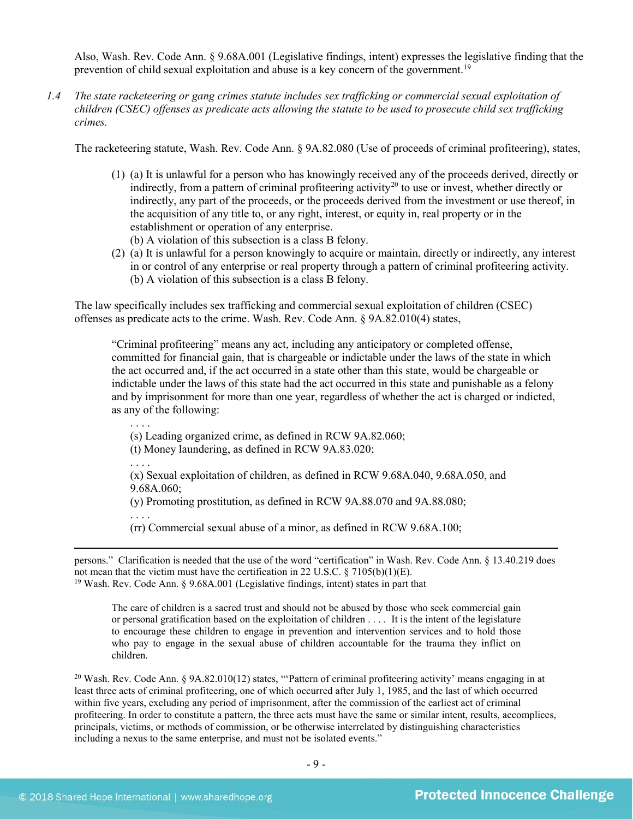Also, Wash. Rev. Code Ann. § 9.68A.001 (Legislative findings, intent) expresses the legislative finding that the prevention of child sexual exploitation and abuse is a key concern of the government.[19](#page-8-0) 

*1.4 The state racketeering or gang crimes statute includes sex trafficking or commercial sexual exploitation of children (CSEC) offenses as predicate acts allowing the statute to be used to prosecute child sex trafficking crimes.* 

The racketeering statute, Wash. Rev. Code Ann. § 9A.82.080 (Use of proceeds of criminal profiteering), states,

- (1) (a) It is unlawful for a person who has knowingly received any of the proceeds derived, directly or indirectly, from a pattern of criminal profiteering activity<sup>[20](#page-8-1)</sup> to use or invest, whether directly or indirectly, any part of the proceeds, or the proceeds derived from the investment or use thereof, in the acquisition of any title to, or any right, interest, or equity in, real property or in the establishment or operation of any enterprise.
	- (b) A violation of this subsection is a class B felony.
- (2) (a) It is unlawful for a person knowingly to acquire or maintain, directly or indirectly, any interest in or control of any enterprise or real property through a pattern of criminal profiteering activity. (b) A violation of this subsection is a class B felony.

The law specifically includes sex trafficking and commercial sexual exploitation of children (CSEC) offenses as predicate acts to the crime. Wash. Rev. Code Ann. § 9A.82.010(4) states,

"Criminal profiteering" means any act, including any anticipatory or completed offense, committed for financial gain, that is chargeable or indictable under the laws of the state in which the act occurred and, if the act occurred in a state other than this state, would be chargeable or indictable under the laws of this state had the act occurred in this state and punishable as a felony and by imprisonment for more than one year, regardless of whether the act is charged or indicted, as any of the following:

(s) Leading organized crime, as defined in RCW 9A.82.060;

(t) Money laundering, as defined in RCW 9A.83.020;

. . . .

. . . .

(x) Sexual exploitation of children, as defined in RCW 9.68A.040, 9.68A.050, and 9.68A.060;

(y) Promoting prostitution, as defined in RCW 9A.88.070 and 9A.88.080;

. . . .

 $\overline{a}$ 

(rr) Commercial sexual abuse of a minor, as defined in RCW 9.68A.100;

<span id="page-8-0"></span>persons." Clarification is needed that the use of the word "certification" in Wash. Rev. Code Ann. § 13.40.219 does not mean that the victim must have the certification in 22 U.S.C.  $\S$  7105(b)(1)(E). <sup>19</sup> Wash. Rev. Code Ann. § 9.68A.001 (Legislative findings, intent) states in part that

The care of children is a sacred trust and should not be abused by those who seek commercial gain or personal gratification based on the exploitation of children . . . . It is the intent of the legislature to encourage these children to engage in prevention and intervention services and to hold those who pay to engage in the sexual abuse of children accountable for the trauma they inflict on children.

<span id="page-8-1"></span><sup>20</sup> Wash. Rev. Code Ann. § 9A.82.010(12) states, "Pattern of criminal profiteering activity' means engaging in at least three acts of criminal profiteering, one of which occurred after July 1, 1985, and the last of which occurred within five years, excluding any period of imprisonment, after the commission of the earliest act of criminal profiteering. In order to constitute a pattern, the three acts must have the same or similar intent, results, accomplices, principals, victims, or methods of commission, or be otherwise interrelated by distinguishing characteristics including a nexus to the same enterprise, and must not be isolated events."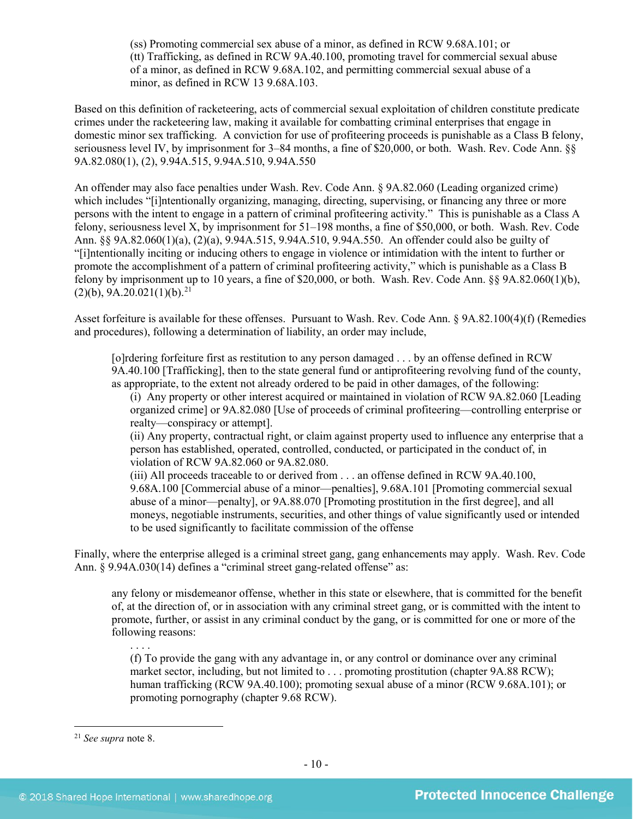(ss) Promoting commercial sex abuse of a minor, as defined in RCW 9.68A.101; or (tt) Trafficking, as defined in RCW 9A.40.100, promoting travel for commercial sexual abuse of a minor, as defined in RCW 9.68A.102, and permitting commercial sexual abuse of a minor, as defined in RCW 13 9.68A.103.

Based on this definition of racketeering, acts of commercial sexual exploitation of children constitute predicate crimes under the racketeering law, making it available for combatting criminal enterprises that engage in domestic minor sex trafficking. A conviction for use of profiteering proceeds is punishable as a Class B felony, seriousness level IV, by imprisonment for 3–84 months, a fine of \$20,000, or both. Wash. Rev. Code Ann. §§ 9A.82.080(1), (2), 9.94A.515, 9.94A.510, 9.94A.550

An offender may also face penalties under Wash. Rev. Code Ann. § 9A.82.060 (Leading organized crime) which includes "[i]ntentionally organizing, managing, directing, supervising, or financing any three or more persons with the intent to engage in a pattern of criminal profiteering activity." This is punishable as a Class A felony, seriousness level X, by imprisonment for 51–198 months, a fine of \$50,000, or both. Wash. Rev. Code Ann. §§ 9A.82.060(1)(a), (2)(a), 9.94A.515, 9.94A.510, 9.94A.550. An offender could also be guilty of "[i]ntentionally inciting or inducing others to engage in violence or intimidation with the intent to further or promote the accomplishment of a pattern of criminal profiteering activity," which is punishable as a Class B felony by imprisonment up to 10 years, a fine of \$20,000, or both. Wash. Rev. Code Ann. §§ 9A.82.060(1)(b),  $(2)(b)$ , 9A.20.021(1)(b).<sup>21</sup>

Asset forfeiture is available for these offenses. Pursuant to Wash. Rev. Code Ann. § 9A.82.100(4)(f) (Remedies and procedures), following a determination of liability, an order may include,

[o]rdering forfeiture first as restitution to any person damaged . . . by an offense defined in RCW 9A.40.100 [Trafficking], then to the state general fund or antiprofiteering revolving fund of the county, as appropriate, to the extent not already ordered to be paid in other damages, of the following:

(i) Any property or other interest acquired or maintained in violation of RCW 9A.82.060 [Leading organized crime] or 9A.82.080 [Use of proceeds of criminal profiteering—controlling enterprise or realty—conspiracy or attempt].

(ii) Any property, contractual right, or claim against property used to influence any enterprise that a person has established, operated, controlled, conducted, or participated in the conduct of, in violation of RCW 9A.82.060 or 9A.82.080.

(iii) All proceeds traceable to or derived from . . . an offense defined in RCW 9A.40.100, 9.68A.100 [Commercial abuse of a minor—penalties], 9.68A.101 [Promoting commercial sexual abuse of a minor—penalty], or 9A.88.070 [Promoting prostitution in the first degree], and all moneys, negotiable instruments, securities, and other things of value significantly used or intended to be used significantly to facilitate commission of the offense

Finally, where the enterprise alleged is a criminal street gang, gang enhancements may apply. Wash. Rev. Code Ann. § 9.94A.030(14) defines a "criminal street gang-related offense" as:

any felony or misdemeanor offense, whether in this state or elsewhere, that is committed for the benefit of, at the direction of, or in association with any criminal street gang, or is committed with the intent to promote, further, or assist in any criminal conduct by the gang, or is committed for one or more of the following reasons:

(f) To provide the gang with any advantage in, or any control or dominance over any criminal market sector, including, but not limited to . . . promoting prostitution (chapter 9A.88 RCW); human trafficking (RCW 9A.40.100); promoting sexual abuse of a minor (RCW 9.68A.101); or promoting pornography (chapter 9.68 RCW).

<span id="page-9-0"></span> <sup>21</sup> *See supra* note [8.](#page-2-4)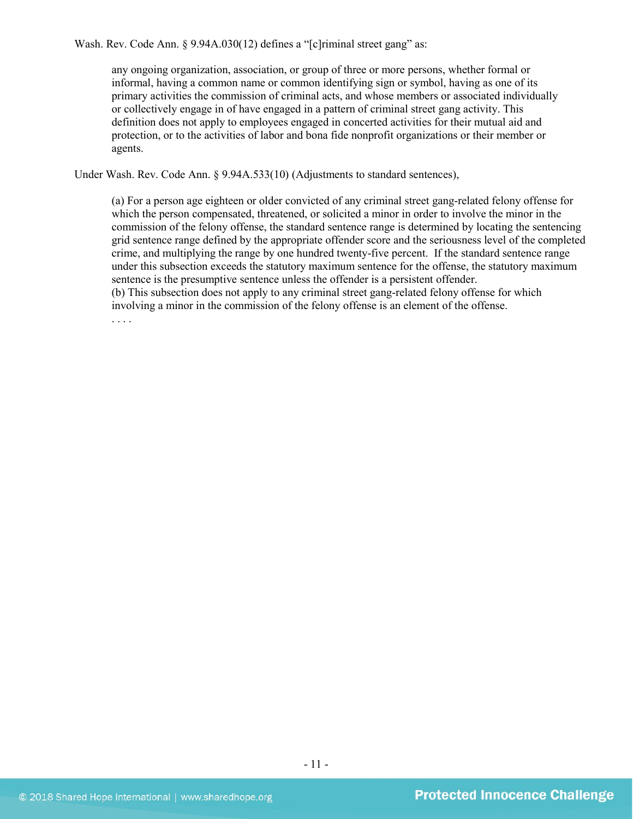Wash. Rev. Code Ann. § 9.94A.030(12) defines a "[c]riminal street gang" as:

any ongoing organization, association, or group of three or more persons, whether formal or informal, having a common name or common identifying sign or symbol, having as one of its primary activities the commission of criminal acts, and whose members or associated individually or collectively engage in of have engaged in a pattern of criminal street gang activity. This definition does not apply to employees engaged in concerted activities for their mutual aid and protection, or to the activities of labor and bona fide nonprofit organizations or their member or agents.

Under Wash. Rev. Code Ann. § 9.94A.533(10) (Adjustments to standard sentences),

(a) For a person age eighteen or older convicted of any criminal street gang-related felony offense for which the person compensated, threatened, or solicited a minor in order to involve the minor in the commission of the felony offense, the standard sentence range is determined by locating the sentencing grid sentence range defined by the appropriate offender score and the seriousness level of the completed crime, and multiplying the range by one hundred twenty-five percent. If the standard sentence range under this subsection exceeds the statutory maximum sentence for the offense, the statutory maximum sentence is the presumptive sentence unless the offender is a persistent offender. (b) This subsection does not apply to any criminal street gang-related felony offense for which

involving a minor in the commission of the felony offense is an element of the offense.

. . . .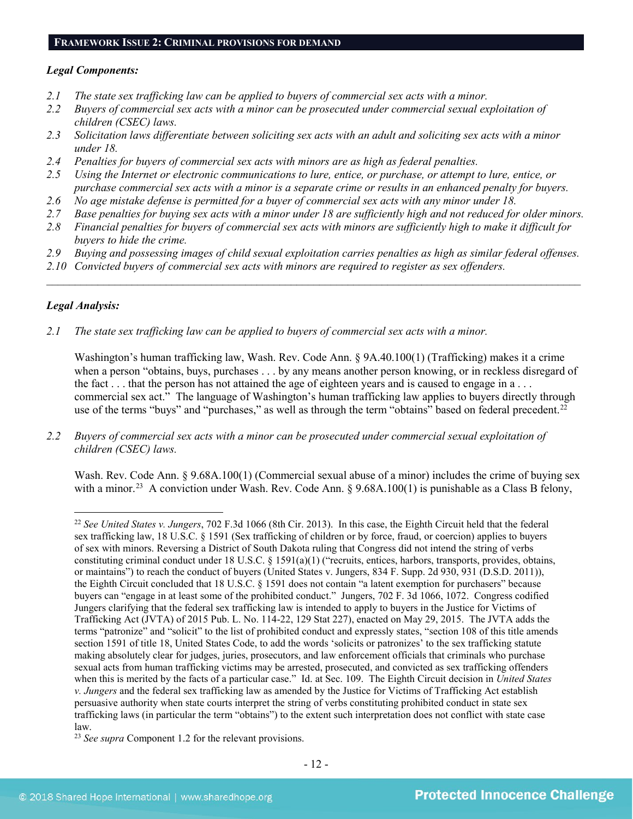## **FRAMEWORK ISSUE 2: CRIMINAL PROVISIONS FOR DEMAND**

#### *Legal Components:*

- *2.1 The state sex trafficking law can be applied to buyers of commercial sex acts with a minor.*
- *2.2 Buyers of commercial sex acts with a minor can be prosecuted under commercial sexual exploitation of children (CSEC) laws.*
- *2.3 Solicitation laws differentiate between soliciting sex acts with an adult and soliciting sex acts with a minor under 18.*
- *2.4 Penalties for buyers of commercial sex acts with minors are as high as federal penalties.*
- *2.5 Using the Internet or electronic communications to lure, entice, or purchase, or attempt to lure, entice, or purchase commercial sex acts with a minor is a separate crime or results in an enhanced penalty for buyers.*
- *2.6 No age mistake defense is permitted for a buyer of commercial sex acts with any minor under 18.*
- *2.7 Base penalties for buying sex acts with a minor under 18 are sufficiently high and not reduced for older minors.*
- *2.8 Financial penalties for buyers of commercial sex acts with minors are sufficiently high to make it difficult for buyers to hide the crime.*
- *2.9 Buying and possessing images of child sexual exploitation carries penalties as high as similar federal offenses.*

\_\_\_\_\_\_\_\_\_\_\_\_\_\_\_\_\_\_\_\_\_\_\_\_\_\_\_\_\_\_\_\_\_\_\_\_\_\_\_\_\_\_\_\_\_\_\_\_\_\_\_\_\_\_\_\_\_\_\_\_\_\_\_\_\_\_\_\_\_\_\_\_\_\_\_\_\_\_\_\_\_\_\_\_\_\_\_\_\_\_\_\_\_\_

*2.10 Convicted buyers of commercial sex acts with minors are required to register as sex offenders.* 

# *Legal Analysis:*

*2.1 The state sex trafficking law can be applied to buyers of commercial sex acts with a minor.*

Washington's human trafficking law, Wash. Rev. Code Ann. § 9A.40.100(1) (Trafficking) makes it a crime when a person "obtains, buys, purchases . . . by any means another person knowing, or in reckless disregard of the fact . . . that the person has not attained the age of eighteen years and is caused to engage in a . . . commercial sex act." The language of Washington's human trafficking law applies to buyers directly through use of the terms "buys" and "purchases," as well as through the term "obtains" based on federal precedent.<sup>[22](#page-11-0)</sup>

*2.2 Buyers of commercial sex acts with a minor can be prosecuted under commercial sexual exploitation of children (CSEC) laws.*

Wash. Rev. Code Ann. § 9.68A.100(1) (Commercial sexual abuse of a minor) includes the crime of buying sex with a minor.<sup>[23](#page-11-1)</sup> A conviction under Wash. Rev. Code Ann. § 9.68A.100(1) is punishable as a Class B felony,

<span id="page-11-0"></span> <sup>22</sup> *See United States v. Jungers*, 702 F.3d 1066 (8th Cir. 2013). In this case, the Eighth Circuit held that the federal sex trafficking law, 18 U.S.C. § 1591 (Sex trafficking of children or by force, fraud, or coercion) applies to buyers of sex with minors. Reversing a District of South Dakota ruling that Congress did not intend the string of verbs constituting criminal conduct under 18 U.S.C. § 1591(a)(1) ("recruits, entices, harbors, transports, provides, obtains, or maintains") to reach the conduct of buyers (United States v. Jungers, 834 F. Supp. 2d 930, 931 (D.S.D. 2011)), the Eighth Circuit concluded that 18 U.S.C. § 1591 does not contain "a latent exemption for purchasers" because buyers can "engage in at least some of the prohibited conduct." Jungers, 702 F. 3d 1066, 1072. Congress codified Jungers clarifying that the federal sex trafficking law is intended to apply to buyers in the Justice for Victims of Trafficking Act (JVTA) of 2015 Pub. L. No. 114-22, 129 Stat 227), enacted on May 29, 2015. The JVTA adds the terms "patronize" and "solicit" to the list of prohibited conduct and expressly states, "section 108 of this title amends section 1591 of title 18, United States Code, to add the words 'solicits or patronizes' to the sex trafficking statute making absolutely clear for judges, juries, prosecutors, and law enforcement officials that criminals who purchase sexual acts from human trafficking victims may be arrested, prosecuted, and convicted as sex trafficking offenders when this is merited by the facts of a particular case." Id. at Sec. 109. The Eighth Circuit decision in *United States v. Jungers* and the federal sex trafficking law as amended by the Justice for Victims of Trafficking Act establish persuasive authority when state courts interpret the string of verbs constituting prohibited conduct in state sex trafficking laws (in particular the term "obtains") to the extent such interpretation does not conflict with state case law.

<span id="page-11-1"></span><sup>23</sup> *See supra* Component 1.2 for the relevant provisions.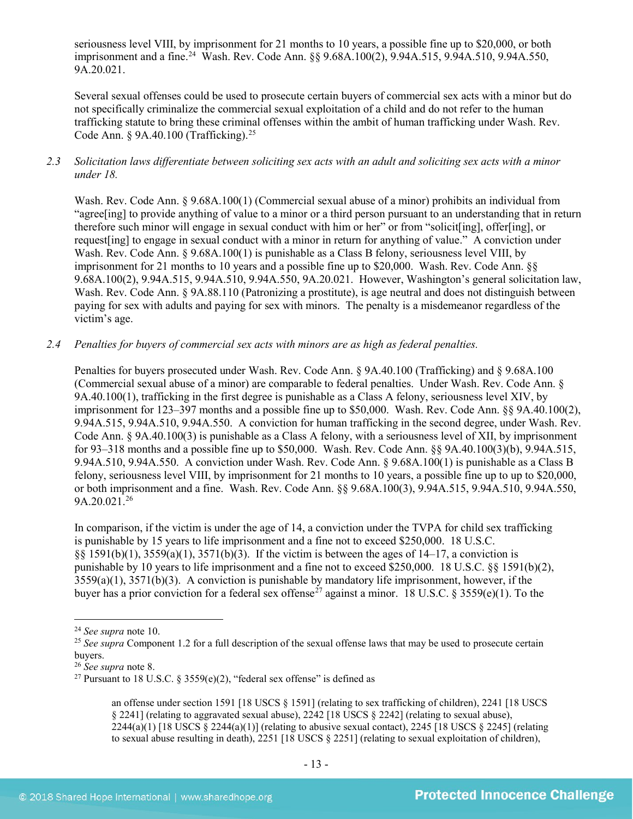seriousness level VIII, by imprisonment for 21 months to 10 years, a possible fine up to \$20,000, or both imprisonment and a fine.<sup>[24](#page-12-0)</sup> Wash. Rev. Code Ann. §§ 9.68A.100(2), 9.94A.515, 9.94A.510, 9.94A.550, 9A.20.021.

Several sexual offenses could be used to prosecute certain buyers of commercial sex acts with a minor but do not specifically criminalize the commercial sexual exploitation of a child and do not refer to the human trafficking statute to bring these criminal offenses within the ambit of human trafficking under Wash. Rev. Code Ann.  $\&$  9A.40.100 (Trafficking).<sup>[25](#page-12-1)</sup>

*2.3 Solicitation laws differentiate between soliciting sex acts with an adult and soliciting sex acts with a minor under 18.*

Wash. Rev. Code Ann. § 9.68A.100(1) (Commercial sexual abuse of a minor) prohibits an individual from "agree[ing] to provide anything of value to a minor or a third person pursuant to an understanding that in return therefore such minor will engage in sexual conduct with him or her" or from "solicit[ing], offer[ing], or request[ing] to engage in sexual conduct with a minor in return for anything of value." A conviction under Wash. Rev. Code Ann. § 9.68A.100(1) is punishable as a Class B felony, seriousness level VIII, by imprisonment for 21 months to 10 years and a possible fine up to \$20,000. Wash. Rev. Code Ann. §§ 9.68A.100(2), 9.94A.515, 9.94A.510, 9.94A.550, 9A.20.021. However, Washington's general solicitation law, Wash. Rev. Code Ann. § 9A.88.110 (Patronizing a prostitute), is age neutral and does not distinguish between paying for sex with adults and paying for sex with minors. The penalty is a misdemeanor regardless of the victim's age.

*2.4 Penalties for buyers of commercial sex acts with minors are as high as federal penalties.*

Penalties for buyers prosecuted under Wash. Rev. Code Ann. § 9A.40.100 (Trafficking) and § 9.68A.100 (Commercial sexual abuse of a minor) are comparable to federal penalties. Under Wash. Rev. Code Ann. § 9A.40.100(1), trafficking in the first degree is punishable as a Class A felony, seriousness level XIV, by imprisonment for 123–397 months and a possible fine up to \$50,000. Wash. Rev. Code Ann. §§ 9A.40.100(2), 9.94A.515, 9.94A.510, 9.94A.550. A conviction for human trafficking in the second degree, under Wash. Rev. Code Ann. § 9A.40.100(3) is punishable as a Class A felony, with a seriousness level of XII, by imprisonment for 93–318 months and a possible fine up to \$50,000. Wash. Rev. Code Ann. §§ 9A.40.100(3)(b), 9.94A.515, 9.94A.510, 9.94A.550. A conviction under Wash. Rev. Code Ann. § 9.68A.100(1) is punishable as a Class B felony, seriousness level VIII, by imprisonment for 21 months to 10 years, a possible fine up to up to \$20,000, or both imprisonment and a fine. Wash. Rev. Code Ann. §§ 9.68A.100(3), 9.94A.515, 9.94A.510, 9.94A.550, 9A.20.021.[26](#page-12-2)

In comparison, if the victim is under the age of 14, a conviction under the TVPA for child sex trafficking is punishable by 15 years to life imprisonment and a fine not to exceed \$250,000. 18 U.S.C. §§ 1591(b)(1), 3559(a)(1), 3571(b)(3). If the victim is between the ages of 14–17, a conviction is punishable by 10 years to life imprisonment and a fine not to exceed \$250,000. 18 U.S.C. §§ 1591(b)(2), 3559(a)(1), 3571(b)(3). A conviction is punishable by mandatory life imprisonment, however, if the buyer has a prior conviction for a federal sex offense<sup>[27](#page-12-3)</sup> against a minor. 18 U.S.C. § 3559(e)(1). To the

<span id="page-12-0"></span> <sup>24</sup> *See supra* note [10.](#page-3-2)

<span id="page-12-1"></span><sup>&</sup>lt;sup>25</sup> See supra Component 1.2 for a full description of the sexual offense laws that may be used to prosecute certain buyers.

<span id="page-12-2"></span><sup>26</sup> *See supra* note [8.](#page-2-4)

<span id="page-12-3"></span><sup>&</sup>lt;sup>27</sup> Pursuant to 18 U.S.C. § 3559(e)(2), "federal sex offense" is defined as

<span id="page-12-4"></span>an offense under section 1591 [18 USCS § 1591] (relating to sex trafficking of children), 2241 [18 USCS § 2241] (relating to aggravated sexual abuse), 2242 [18 USCS § 2242] (relating to sexual abuse),  $2244(a)(1)$  [18 USCS § 2244(a)(1)] (relating to abusive sexual contact), 2245 [18 USCS § 2245] (relating to sexual abuse resulting in death), 2251 [18 USCS § 2251] (relating to sexual exploitation of children),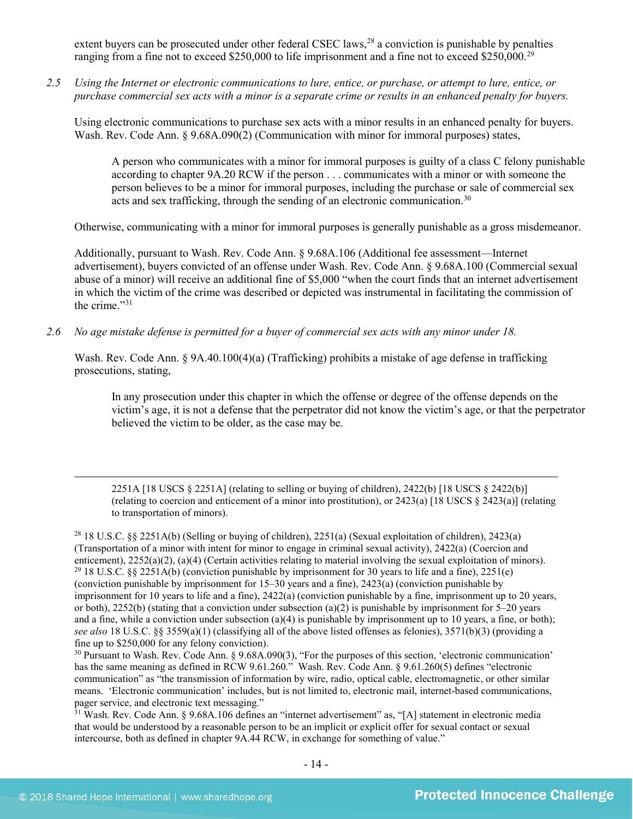extent buyers can be prosecuted under other federal CSEC laws,<sup>[28](#page-13-0)</sup> a conviction is punishable by penalties ranging from a fine not to exceed \$250,000 to life imprisonment and a fine not to exceed \$250,000.<sup>29</sup>

*2.5 Using the Internet or electronic communications to lure, entice, or purchase, or attempt to lure, entice, or purchase commercial sex acts with a minor is a separate crime or results in an enhanced penalty for buyers.*

Using electronic communications to purchase sex acts with a minor results in an enhanced penalty for buyers. Wash. Rev. Code Ann. § 9.68A.090(2) (Communication with minor for immoral purposes) states,

A person who communicates with a minor for immoral purposes is guilty of a class C felony punishable according to chapter 9A.20 RCW if the person . . . communicates with a minor or with someone the person believes to be a minor for immoral purposes, including the purchase or sale of commercial sex acts and sex trafficking, through the sending of an electronic communication.<sup>[30](#page-13-2)</sup>

Otherwise, communicating with a minor for immoral purposes is generally punishable as a gross misdemeanor.

<span id="page-13-4"></span>Additionally, pursuant to Wash. Rev. Code Ann. § 9.68A.106 (Additional fee assessment—Internet advertisement), buyers convicted of an offense under Wash. Rev. Code Ann. § 9.68A.100 (Commercial sexual abuse of a minor) will receive an additional fine of \$5,000 "when the court finds that an internet advertisement in which the victim of the crime was described or depicted was instrumental in facilitating the commission of the crime."[31](#page-13-3)

*2.6 No age mistake defense is permitted for a buyer of commercial sex acts with any minor under 18.*

Wash. Rev. Code Ann. § 9A.40.100(4)(a) (Trafficking) prohibits a mistake of age defense in trafficking prosecutions, stating,

In any prosecution under this chapter in which the offense or degree of the offense depends on the victim's age, it is not a defense that the perpetrator did not know the victim's age, or that the perpetrator believed the victim to be older, as the case may be.

2251A [18 USCS § 2251A] (relating to selling or buying of children), 2422(b) [18 USCS § 2422(b)] (relating to coercion and enticement of a minor into prostitution), or 2423(a) [18 USCS § 2423(a)] (relating to transportation of minors).

<span id="page-13-1"></span><span id="page-13-0"></span><sup>28</sup> 18 U.S.C. §§ 2251A(b) (Selling or buying of children), 2251(a) (Sexual exploitation of children), 2423(a) (Transportation of a minor with intent for minor to engage in criminal sexual activity), 2422(a) (Coercion and enticement),  $2252(a)(2)$ ,  $(a)(4)$  (Certain activities relating to material involving the sexual exploitation of minors). <sup>29</sup> 18 U.S.C. §§ 2251A(b) (conviction punishable by imprisonment for 30 years to life and a fine), 22 (conviction punishable by imprisonment for 15–30 years and a fine), 2423(a) (conviction punishable by imprisonment for 10 years to life and a fine), 2422(a) (conviction punishable by a fine, imprisonment up to 20 years, or both),  $2252(b)$  (stating that a conviction under subsection (a)(2) is punishable by imprisonment for 5–20 years and a fine, while a conviction under subsection (a)(4) is punishable by imprisonment up to 10 years, a fine, or both); *see also* 18 U.S.C. §§ 3559(a)(1) (classifying all of the above listed offenses as felonies), 3571(b)(3) (providing a

<span id="page-13-2"></span> $30$  Pursuant to Wash. Rev. Code Ann. § 9.68A.090(3), "For the purposes of this section, 'electronic communication' has the same meaning as defined in RCW 9.61.260." Wash. Rev. Code Ann. § 9.61.260(5) defines "electronic communication" as "the transmission of information by wire, radio, optical cable, electromagnetic, or other similar means. 'Electronic communication' includes, but is not limited to, electronic mail, internet-based communications, pager service, and electronic text messaging."

<span id="page-13-3"></span><sup>31</sup> Wash. Rev. Code Ann. § 9.68A.106 defines an "internet advertisement" as, "[A] statement in electronic media that would be understood by a reasonable person to be an implicit or explicit offer for sexual contact or sexual intercourse, both as defined in chapter 9A.44 RCW, in exchange for something of value."

 $\overline{a}$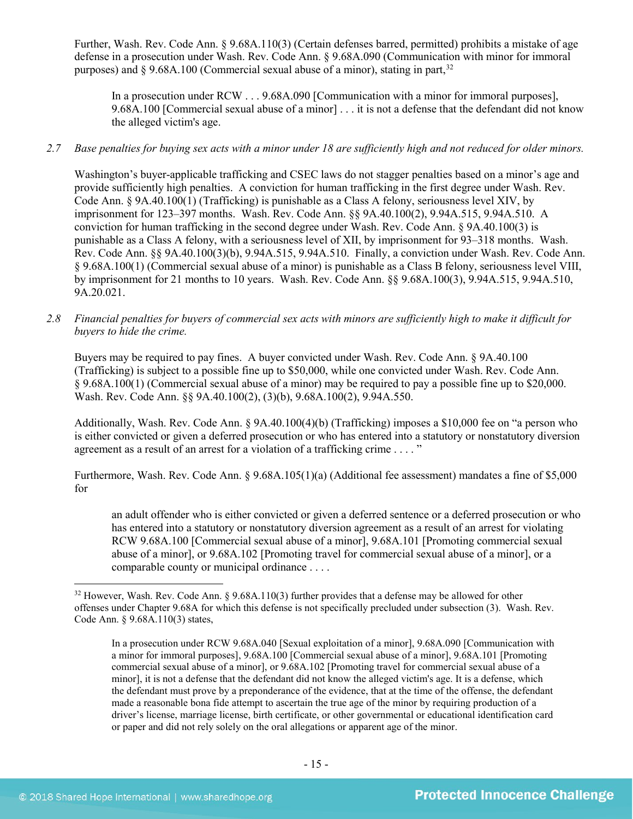Further, Wash. Rev. Code Ann. § 9.68A.110(3) (Certain defenses barred, permitted) prohibits a mistake of age defense in a prosecution under Wash. Rev. Code Ann. § 9.68A.090 (Communication with minor for immoral purposes) and  $\S 9.68A.100$  (Commercial sexual abuse of a minor), stating in part,  $32$ 

In a prosecution under RCW . . . 9.68A.090 [Communication with a minor for immoral purposes], 9.68A.100 [Commercial sexual abuse of a minor] . . . it is not a defense that the defendant did not know the alleged victim's age.

# *2.7 Base penalties for buying sex acts with a minor under 18 are sufficiently high and not reduced for older minors.*

Washington's buyer-applicable trafficking and CSEC laws do not stagger penalties based on a minor's age and provide sufficiently high penalties. A conviction for human trafficking in the first degree under Wash. Rev. Code Ann. § 9A.40.100(1) (Trafficking) is punishable as a Class A felony, seriousness level XIV, by imprisonment for 123–397 months. Wash. Rev. Code Ann. §§ 9A.40.100(2), 9.94A.515, 9.94A.510. A conviction for human trafficking in the second degree under Wash. Rev. Code Ann. § 9A.40.100(3) is punishable as a Class A felony, with a seriousness level of XII, by imprisonment for 93–318 months. Wash. Rev. Code Ann. §§ 9A.40.100(3)(b), 9.94A.515, 9.94A.510. Finally, a conviction under Wash. Rev. Code Ann. § 9.68A.100(1) (Commercial sexual abuse of a minor) is punishable as a Class B felony, seriousness level VIII, by imprisonment for 21 months to 10 years. Wash. Rev. Code Ann. §§ 9.68A.100(3), 9.94A.515, 9.94A.510, 9A.20.021.

*2.8 Financial penalties for buyers of commercial sex acts with minors are sufficiently high to make it difficult for buyers to hide the crime.* 

Buyers may be required to pay fines. A buyer convicted under Wash. Rev. Code Ann. § 9A.40.100 (Trafficking) is subject to a possible fine up to \$50,000, while one convicted under Wash. Rev. Code Ann. § 9.68A.100(1) (Commercial sexual abuse of a minor) may be required to pay a possible fine up to \$20,000. Wash. Rev. Code Ann. §§ 9A.40.100(2), (3)(b), 9.68A.100(2), 9.94A.550.

Additionally, Wash. Rev. Code Ann. § 9A.40.100(4)(b) (Trafficking) imposes a \$10,000 fee on "a person who is either convicted or given a deferred prosecution or who has entered into a statutory or nonstatutory diversion agreement as a result of an arrest for a violation of a trafficking crime . . . . "

Furthermore, Wash. Rev. Code Ann. § 9.68A.105(1)(a) (Additional fee assessment) mandates a fine of \$5,000 for

an adult offender who is either convicted or given a deferred sentence or a deferred prosecution or who has entered into a statutory or nonstatutory diversion agreement as a result of an arrest for violating RCW 9.68A.100 [Commercial sexual abuse of a minor], 9.68A.101 [Promoting commercial sexual abuse of a minor], or 9.68A.102 [Promoting travel for commercial sexual abuse of a minor], or a comparable county or municipal ordinance . . . .

<span id="page-14-0"></span><sup>&</sup>lt;sup>32</sup> However. Wash. Rev. Code Ann. § 9.68A.110(3) further provides that a defense may be allowed for other offenses under Chapter 9.68A for which this defense is not specifically precluded under subsection (3). Wash. Rev. Code Ann. § 9.68A.110(3) states,

In a prosecution under RCW 9.68A.040 [Sexual exploitation of a minor], 9.68A.090 [Communication with a minor for immoral purposes], 9.68A.100 [Commercial sexual abuse of a minor], 9.68A.101 [Promoting commercial sexual abuse of a minor], or 9.68A.102 [Promoting travel for commercial sexual abuse of a minor], it is not a defense that the defendant did not know the alleged victim's age. It is a defense, which the defendant must prove by a preponderance of the evidence, that at the time of the offense, the defendant made a reasonable bona fide attempt to ascertain the true age of the minor by requiring production of a driver's license, marriage license, birth certificate, or other governmental or educational identification card or paper and did not rely solely on the oral allegations or apparent age of the minor.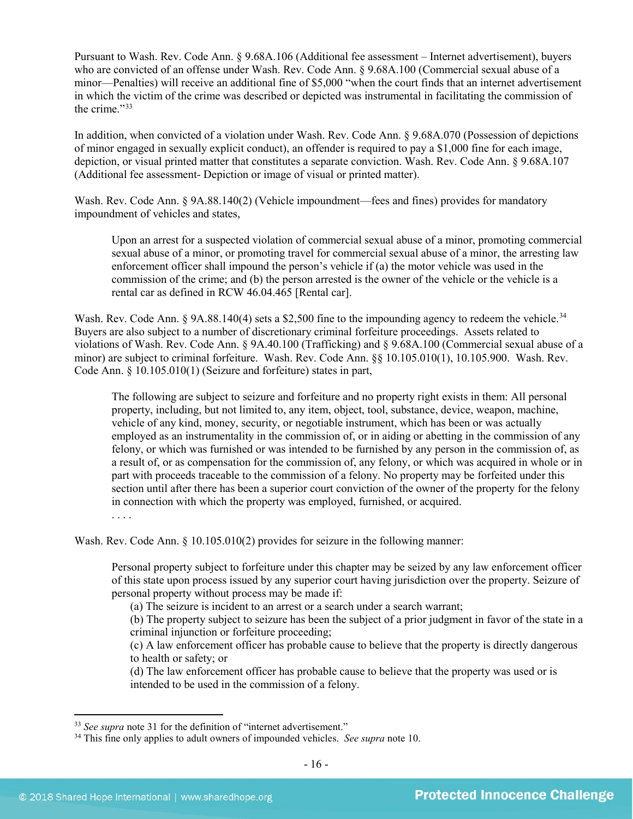Pursuant to Wash. Rev. Code Ann. § 9.68A.106 (Additional fee assessment – Internet advertisement), buyers who are convicted of an offense under Wash. Rev. Code Ann. § 9.68A.100 (Commercial sexual abuse of a minor—Penalties) will receive an additional fine of \$5,000 "when the court finds that an internet advertisement in which the victim of the crime was described or depicted was instrumental in facilitating the commission of the crime."[33](#page-15-0)

<span id="page-15-2"></span>In addition, when convicted of a violation under Wash. Rev. Code Ann. § 9.68A.070 (Possession of depictions of minor engaged in sexually explicit conduct), an offender is required to pay a \$1,000 fine for each image, depiction, or visual printed matter that constitutes a separate conviction. Wash. Rev. Code Ann. § 9.68A.107 (Additional fee assessment- Depiction or image of visual or printed matter).

Wash. Rev. Code Ann. § 9A.88.140(2) (Vehicle impoundment—fees and fines) provides for mandatory impoundment of vehicles and states,

Upon an arrest for a suspected violation of commercial sexual abuse of a minor, promoting commercial sexual abuse of a minor, or promoting travel for commercial sexual abuse of a minor, the arresting law enforcement officer shall impound the person's vehicle if (a) the motor vehicle was used in the commission of the crime; and (b) the person arrested is the owner of the vehicle or the vehicle is a rental car as defined in RCW 46.04.465 [Rental car].

Wash. Rev. Code Ann. § 9A.88.140(4) sets a \$2,500 fine to the impounding agency to redeem the vehicle.<sup>[34](#page-15-1)</sup> Buyers are also subject to a number of discretionary criminal forfeiture proceedings. Assets related to violations of Wash. Rev. Code Ann. § 9A.40.100 (Trafficking) and § 9.68A.100 (Commercial sexual abuse of a minor) are subject to criminal forfeiture. Wash. Rev. Code Ann. §§ 10.105.010(1), 10.105.900. Wash. Rev. Code Ann. § 10.105.010(1) (Seizure and forfeiture) states in part,

The following are subject to seizure and forfeiture and no property right exists in them: All personal property, including, but not limited to, any item, object, tool, substance, device, weapon, machine, vehicle of any kind, money, security, or negotiable instrument, which has been or was actually employed as an instrumentality in the commission of, or in aiding or abetting in the commission of any felony, or which was furnished or was intended to be furnished by any person in the commission of, as a result of, or as compensation for the commission of, any felony, or which was acquired in whole or in part with proceeds traceable to the commission of a felony. No property may be forfeited under this section until after there has been a superior court conviction of the owner of the property for the felony in connection with which the property was employed, furnished, or acquired.

. . . .

Wash. Rev. Code Ann. § 10.105.010(2) provides for seizure in the following manner:

Personal property subject to forfeiture under this chapter may be seized by any law enforcement officer of this state upon process issued by any superior court having jurisdiction over the property. Seizure of personal property without process may be made if:

(a) The seizure is incident to an arrest or a search under a search warrant;

(b) The property subject to seizure has been the subject of a prior judgment in favor of the state in a criminal injunction or forfeiture proceeding;

(c) A law enforcement officer has probable cause to believe that the property is directly dangerous to health or safety; or

(d) The law enforcement officer has probable cause to believe that the property was used or is intended to be used in the commission of a felony.

<span id="page-15-0"></span> <sup>33</sup> *See supra* note [31](#page-13-4) for the definition of "internet advertisement."

<span id="page-15-1"></span><sup>34</sup> This fine only applies to adult owners of impounded vehicles. *See supra* not[e 10.](#page-3-2)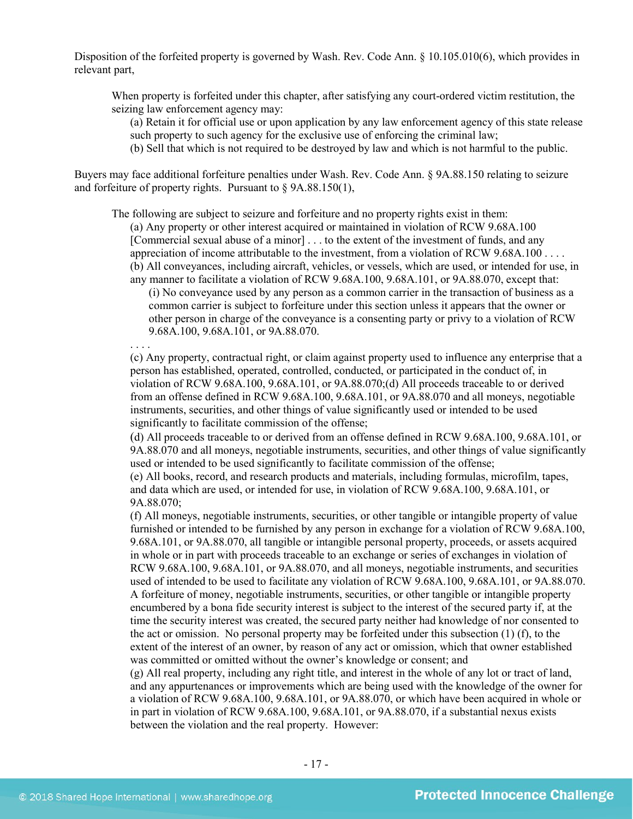Disposition of the forfeited property is governed by Wash. Rev. Code Ann. § 10.105.010(6), which provides in relevant part,

When property is forfeited under this chapter, after satisfying any court-ordered victim restitution, the seizing law enforcement agency may:

(a) Retain it for official use or upon application by any law enforcement agency of this state release such property to such agency for the exclusive use of enforcing the criminal law;

(b) Sell that which is not required to be destroyed by law and which is not harmful to the public.

Buyers may face additional forfeiture penalties under Wash. Rev. Code Ann. § 9A.88.150 relating to seizure and forfeiture of property rights. Pursuant to § 9A.88.150(1),

The following are subject to seizure and forfeiture and no property rights exist in them:

(a) Any property or other interest acquired or maintained in violation of RCW 9.68A.100 [Commercial sexual abuse of a minor] . . . to the extent of the investment of funds, and any appreciation of income attributable to the investment, from a violation of RCW 9.68A.100 . . . . (b) All conveyances, including aircraft, vehicles, or vessels, which are used, or intended for use, in

any manner to facilitate a violation of RCW 9.68A.100, 9.68A.101, or 9A.88.070, except that: (i) No conveyance used by any person as a common carrier in the transaction of business as a common carrier is subject to forfeiture under this section unless it appears that the owner or other person in charge of the conveyance is a consenting party or privy to a violation of RCW 9.68A.100, 9.68A.101, or 9A.88.070.

. . . . (c) Any property, contractual right, or claim against property used to influence any enterprise that a person has established, operated, controlled, conducted, or participated in the conduct of, in violation of RCW 9.68A.100, 9.68A.101, or 9A.88.070;(d) All proceeds traceable to or derived

from an offense defined in RCW 9.68A.100, 9.68A.101, or 9A.88.070 and all moneys, negotiable instruments, securities, and other things of value significantly used or intended to be used significantly to facilitate commission of the offense;

(d) All proceeds traceable to or derived from an offense defined in RCW 9.68A.100, 9.68A.101, or 9A.88.070 and all moneys, negotiable instruments, securities, and other things of value significantly used or intended to be used significantly to facilitate commission of the offense;

(e) All books, record, and research products and materials, including formulas, microfilm, tapes, and data which are used, or intended for use, in violation of RCW 9.68A.100, 9.68A.101, or 9A.88.070;

(f) All moneys, negotiable instruments, securities, or other tangible or intangible property of value furnished or intended to be furnished by any person in exchange for a violation of RCW 9.68A.100, 9.68A.101, or 9A.88.070, all tangible or intangible personal property, proceeds, or assets acquired in whole or in part with proceeds traceable to an exchange or series of exchanges in violation of RCW 9.68A.100, 9.68A.101, or 9A.88.070, and all moneys, negotiable instruments, and securities used of intended to be used to facilitate any violation of RCW 9.68A.100, 9.68A.101, or 9A.88.070. A forfeiture of money, negotiable instruments, securities, or other tangible or intangible property encumbered by a bona fide security interest is subject to the interest of the secured party if, at the time the security interest was created, the secured party neither had knowledge of nor consented to the act or omission. No personal property may be forfeited under this subsection (1) (f), to the extent of the interest of an owner, by reason of any act or omission, which that owner established was committed or omitted without the owner's knowledge or consent; and

(g) All real property, including any right title, and interest in the whole of any lot or tract of land, and any appurtenances or improvements which are being used with the knowledge of the owner for a violation of RCW 9.68A.100, 9.68A.101, or 9A.88.070, or which have been acquired in whole or in part in violation of RCW 9.68A.100, 9.68A.101, or 9A.88.070, if a substantial nexus exists between the violation and the real property. However: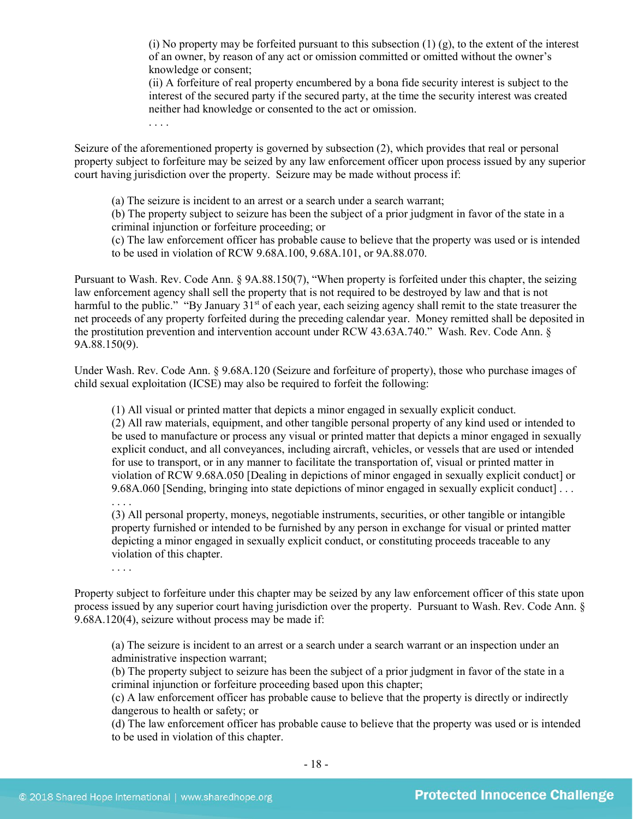(i) No property may be forfeited pursuant to this subsection  $(1)$   $(g)$ , to the extent of the interest of an owner, by reason of any act or omission committed or omitted without the owner's knowledge or consent;

(ii) A forfeiture of real property encumbered by a bona fide security interest is subject to the interest of the secured party if the secured party, at the time the security interest was created neither had knowledge or consented to the act or omission.

Seizure of the aforementioned property is governed by subsection (2), which provides that real or personal property subject to forfeiture may be seized by any law enforcement officer upon process issued by any superior court having jurisdiction over the property. Seizure may be made without process if:

(a) The seizure is incident to an arrest or a search under a search warrant;

(b) The property subject to seizure has been the subject of a prior judgment in favor of the state in a criminal injunction or forfeiture proceeding; or

(c) The law enforcement officer has probable cause to believe that the property was used or is intended to be used in violation of RCW 9.68A.100, 9.68A.101, or 9A.88.070.

Pursuant to Wash. Rev. Code Ann. § 9A.88.150(7), "When property is forfeited under this chapter, the seizing law enforcement agency shall sell the property that is not required to be destroyed by law and that is not harmful to the public." "By January 31<sup>st</sup> of each year, each seizing agency shall remit to the state treasurer the net proceeds of any property forfeited during the preceding calendar year. Money remitted shall be deposited in the prostitution prevention and intervention account under RCW 43.63A.740." Wash. Rev. Code Ann. § 9A.88.150(9).

Under Wash. Rev. Code Ann. § 9.68A.120 (Seizure and forfeiture of property), those who purchase images of child sexual exploitation (ICSE) may also be required to forfeit the following:

(1) All visual or printed matter that depicts a minor engaged in sexually explicit conduct.

(2) All raw materials, equipment, and other tangible personal property of any kind used or intended to be used to manufacture or process any visual or printed matter that depicts a minor engaged in sexually explicit conduct, and all conveyances, including aircraft, vehicles, or vessels that are used or intended for use to transport, or in any manner to facilitate the transportation of, visual or printed matter in violation of RCW 9.68A.050 [Dealing in depictions of minor engaged in sexually explicit conduct] or 9.68A.060 [Sending, bringing into state depictions of minor engaged in sexually explicit conduct] . . .

. . . .

(3) All personal property, moneys, negotiable instruments, securities, or other tangible or intangible property furnished or intended to be furnished by any person in exchange for visual or printed matter depicting a minor engaged in sexually explicit conduct, or constituting proceeds traceable to any violation of this chapter.

. . . .

Property subject to forfeiture under this chapter may be seized by any law enforcement officer of this state upon process issued by any superior court having jurisdiction over the property. Pursuant to Wash. Rev. Code Ann. § 9.68A.120(4), seizure without process may be made if:

(a) The seizure is incident to an arrest or a search under a search warrant or an inspection under an administrative inspection warrant;

(b) The property subject to seizure has been the subject of a prior judgment in favor of the state in a criminal injunction or forfeiture proceeding based upon this chapter;

(c) A law enforcement officer has probable cause to believe that the property is directly or indirectly dangerous to health or safety; or

(d) The law enforcement officer has probable cause to believe that the property was used or is intended to be used in violation of this chapter.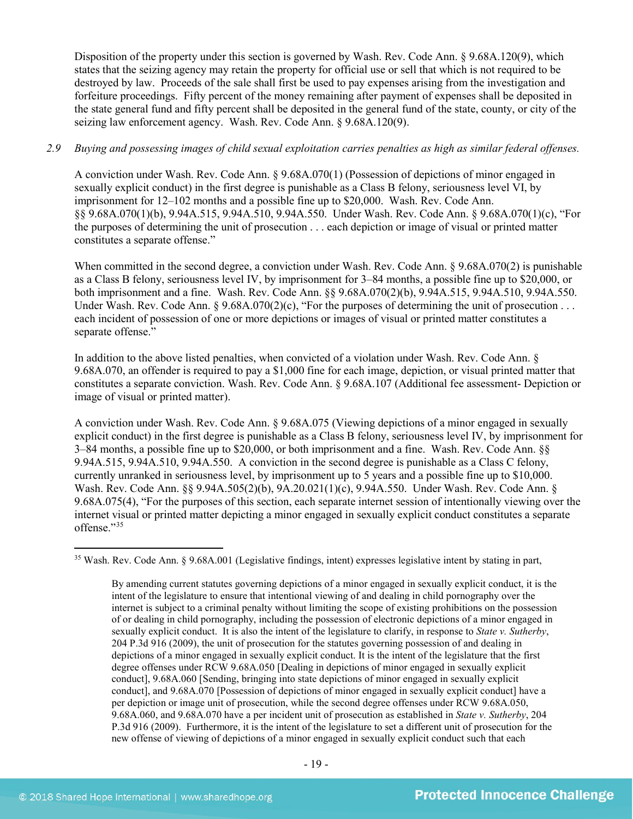Disposition of the property under this section is governed by Wash. Rev. Code Ann. § 9.68A.120(9), which states that the seizing agency may retain the property for official use or sell that which is not required to be destroyed by law. Proceeds of the sale shall first be used to pay expenses arising from the investigation and forfeiture proceedings. Fifty percent of the money remaining after payment of expenses shall be deposited in the state general fund and fifty percent shall be deposited in the general fund of the state, county, or city of the seizing law enforcement agency. Wash. Rev. Code Ann. § 9.68A.120(9).

# *2.9 Buying and possessing images of child sexual exploitation carries penalties as high as similar federal offenses.*

A conviction under Wash. Rev. Code Ann. § 9.68A.070(1) (Possession of depictions of minor engaged in sexually explicit conduct) in the first degree is punishable as a Class B felony, seriousness level VI, by imprisonment for 12–102 months and a possible fine up to \$20,000. Wash. Rev. Code Ann. §§ 9.68A.070(1)(b), 9.94A.515, 9.94A.510, 9.94A.550. Under Wash. Rev. Code Ann. § 9.68A.070(1)(c), "For the purposes of determining the unit of prosecution . . . each depiction or image of visual or printed matter constitutes a separate offense."

When committed in the second degree, a conviction under Wash. Rev. Code Ann. § 9.68A.070(2) is punishable as a Class B felony, seriousness level IV, by imprisonment for 3–84 months, a possible fine up to \$20,000, or both imprisonment and a fine. Wash. Rev. Code Ann. §§ 9.68A.070(2)(b), 9.94A.515, 9.94A.510, 9.94A.550. Under Wash. Rev. Code Ann. § 9.68A.070(2)(c), "For the purposes of determining the unit of prosecution . . . each incident of possession of one or more depictions or images of visual or printed matter constitutes a separate offense."

In addition to the above listed penalties, when convicted of a violation under Wash. Rev. Code Ann. § 9.68A.070, an offender is required to pay a \$1,000 fine for each image, depiction, or visual printed matter that constitutes a separate conviction. Wash. Rev. Code Ann. § 9.68A.107 (Additional fee assessment- Depiction or image of visual or printed matter).

A conviction under Wash. Rev. Code Ann. § 9.68A.075 (Viewing depictions of a minor engaged in sexually explicit conduct) in the first degree is punishable as a Class B felony, seriousness level IV, by imprisonment for 3–84 months, a possible fine up to \$20,000, or both imprisonment and a fine. Wash. Rev. Code Ann. §§ 9.94A.515, 9.94A.510, 9.94A.550. A conviction in the second degree is punishable as a Class C felony, currently unranked in seriousness level, by imprisonment up to 5 years and a possible fine up to \$10,000. Wash. Rev. Code Ann. §§ 9.94A.505(2)(b), 9A.20.021(1)(c), 9.94A.550. Under Wash. Rev. Code Ann. § 9.68A.075(4), "For the purposes of this section, each separate internet session of intentionally viewing over the internet visual or printed matter depicting a minor engaged in sexually explicit conduct constitutes a separate offense."[35](#page-18-0) 

<span id="page-18-0"></span> <sup>35</sup> Wash. Rev. Code Ann. § 9.68A.001 (Legislative findings, intent) expresses legislative intent by stating in part,

By amending current statutes governing depictions of a minor engaged in sexually explicit conduct, it is the intent of the legislature to ensure that intentional viewing of and dealing in child pornography over the internet is subject to a criminal penalty without limiting the scope of existing prohibitions on the possession of or dealing in child pornography, including the possession of electronic depictions of a minor engaged in sexually explicit conduct. It is also the intent of the legislature to clarify, in response to *State v. Sutherby*, 204 P.3d 916 (2009), the unit of prosecution for the statutes governing possession of and dealing in depictions of a minor engaged in sexually explicit conduct. It is the intent of the legislature that the first degree offenses under RCW 9.68A.050 [Dealing in depictions of minor engaged in sexually explicit conduct], 9.68A.060 [Sending, bringing into state depictions of minor engaged in sexually explicit conduct], and 9.68A.070 [Possession of depictions of minor engaged in sexually explicit conduct] have a per depiction or image unit of prosecution, while the second degree offenses under RCW 9.68A.050, 9.68A.060, and 9.68A.070 have a per incident unit of prosecution as established in *State v. Sutherby*, 204 P.3d 916 (2009). Furthermore, it is the intent of the legislature to set a different unit of prosecution for the new offense of viewing of depictions of a minor engaged in sexually explicit conduct such that each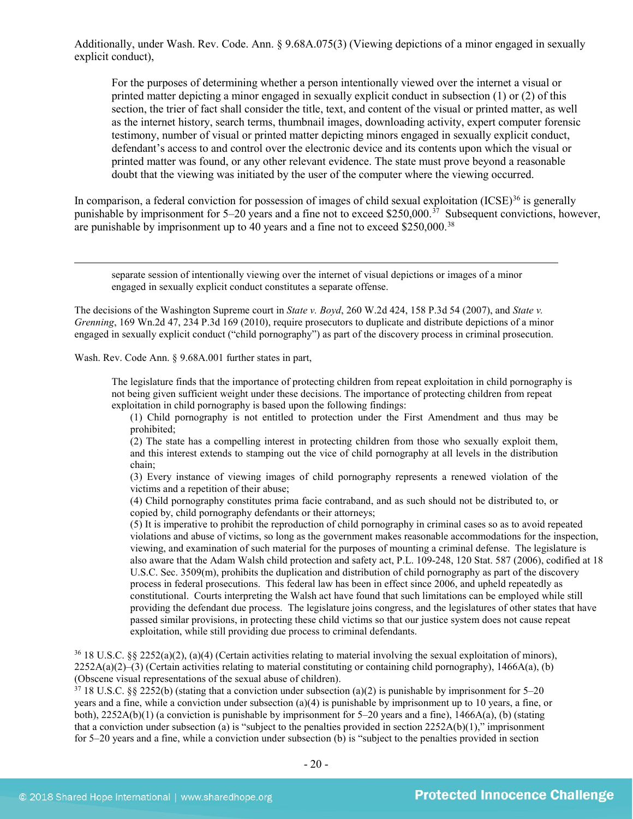Additionally, under Wash. Rev. Code. Ann. § 9.68A.075(3) (Viewing depictions of a minor engaged in sexually explicit conduct),

For the purposes of determining whether a person intentionally viewed over the internet a visual or printed matter depicting a minor engaged in sexually explicit conduct in subsection (1) or (2) of this section, the trier of fact shall consider the title, text, and content of the visual or printed matter, as well as the internet history, search terms, thumbnail images, downloading activity, expert computer forensic testimony, number of visual or printed matter depicting minors engaged in sexually explicit conduct, defendant's access to and control over the electronic device and its contents upon which the visual or printed matter was found, or any other relevant evidence. The state must prove beyond a reasonable doubt that the viewing was initiated by the user of the computer where the viewing occurred.

In comparison, a federal conviction for possession of images of child sexual exploitation  $(ICSE)^{36}$  $(ICSE)^{36}$  $(ICSE)^{36}$  is generally punishable by imprisonment for 5–20 years and a fine not to exceed \$250,000.<sup>[37](#page-19-1)</sup> Subsequent convictions, however, are punishable by imprisonment up to 40 years and a fine not to exceed \$250,000.<sup>[38](#page-19-2)</sup>

 separate session of intentionally viewing over the internet of visual depictions or images of a minor engaged in sexually explicit conduct constitutes a separate offense.

The decisions of the Washington Supreme court in *State v. Boyd*, 260 W.2d 424, 158 P.3d 54 (2007), and *State v. Grenning*, 169 Wn.2d 47, 234 P.3d 169 (2010), require prosecutors to duplicate and distribute depictions of a minor engaged in sexually explicit conduct ("child pornography") as part of the discovery process in criminal prosecution.

Wash. Rev. Code Ann. § 9.68A.001 further states in part,

The legislature finds that the importance of protecting children from repeat exploitation in child pornography is not being given sufficient weight under these decisions. The importance of protecting children from repeat exploitation in child pornography is based upon the following findings:

(1) Child pornography is not entitled to protection under the First Amendment and thus may be prohibited;

(2) The state has a compelling interest in protecting children from those who sexually exploit them, and this interest extends to stamping out the vice of child pornography at all levels in the distribution chain;

(3) Every instance of viewing images of child pornography represents a renewed violation of the victims and a repetition of their abuse;

(4) Child pornography constitutes prima facie contraband, and as such should not be distributed to, or copied by, child pornography defendants or their attorneys;

(5) It is imperative to prohibit the reproduction of child pornography in criminal cases so as to avoid repeated violations and abuse of victims, so long as the government makes reasonable accommodations for the inspection, viewing, and examination of such material for the purposes of mounting a criminal defense. The legislature is also aware that the Adam Walsh child protection and safety act, P.L. 109-248, 120 Stat. 587 (2006), codified at 18 U.S.C. Sec. 3509(m), prohibits the duplication and distribution of child pornography as part of the discovery process in federal prosecutions. This federal law has been in effect since 2006, and upheld repeatedly as constitutional. Courts interpreting the Walsh act have found that such limitations can be employed while still providing the defendant due process. The legislature joins congress, and the legislatures of other states that have passed similar provisions, in protecting these child victims so that our justice system does not cause repeat exploitation, while still providing due process to criminal defendants.

<span id="page-19-2"></span><span id="page-19-0"></span> $36\,18$  U.S.C. §§ 2252(a)(2), (a)(4) (Certain activities relating to material involving the sexual exploitation of minors),  $2252A(a)(2)$ –(3) (Certain activities relating to material constituting or containing child pornography), 1466A(a), (b) (Obscene visual representations of the sexual abuse of children).

<span id="page-19-1"></span> $37\,18$  U.S.C. §§ 2252(b) (stating that a conviction under subsection (a)(2) is punishable by imprisonment for 5–20 years and a fine, while a conviction under subsection (a)(4) is punishable by imprisonment up to 10 years, a fine, or both),  $2252A(b)(1)$  (a conviction is punishable by imprisonment for 5–20 years and a fine),  $1466A(a)$ , (b) (stating that a conviction under subsection (a) is "subject to the penalties provided in section  $2252A(b)(1)$ ," imprisonment for 5–20 years and a fine, while a conviction under subsection (b) is "subject to the penalties provided in section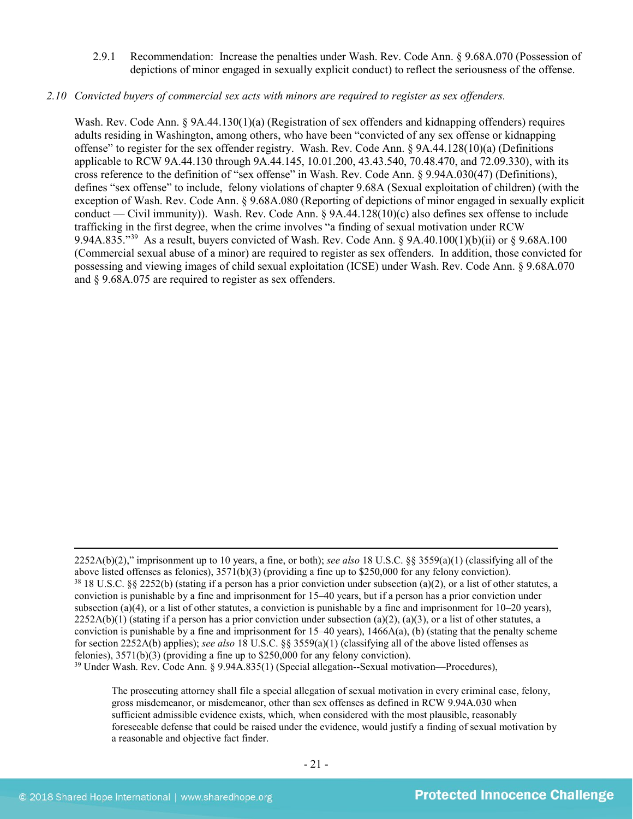2.9.1 Recommendation: Increase the penalties under Wash. Rev. Code Ann. § 9.68A.070 (Possession of depictions of minor engaged in sexually explicit conduct) to reflect the seriousness of the offense.

#### *2.10 Convicted buyers of commercial sex acts with minors are required to register as sex offenders.*

Wash. Rev. Code Ann. § 9A.44.130(1)(a) (Registration of sex offenders and kidnapping offenders) requires adults residing in Washington, among others, who have been "convicted of any sex offense or kidnapping offense" to register for the sex offender registry. Wash. Rev. Code Ann. § 9A.44.128(10)(a) (Definitions applicable to RCW 9A.44.130 through 9A.44.145, 10.01.200, 43.43.540, 70.48.470, and 72.09.330), with its cross reference to the definition of "sex offense" in Wash. Rev. Code Ann. § 9.94A.030(47) (Definitions), defines "sex offense" to include, felony violations of chapter 9.68A (Sexual exploitation of children) (with the exception of Wash. Rev. Code Ann. § 9.68A.080 (Reporting of depictions of minor engaged in sexually explicit conduct — Civil immunity)). Wash. Rev. Code Ann. § 9A.44.128(10)(c) also defines sex offense to include trafficking in the first degree, when the crime involves "a finding of sexual motivation under RCW 9.94A.835."[39](#page-20-0) As a result, buyers convicted of Wash. Rev. Code Ann. § 9A.40.100(1)(b)(ii) or § 9.68A.100 (Commercial sexual abuse of a minor) are required to register as sex offenders. In addition, those convicted for possessing and viewing images of child sexual exploitation (ICSE) under Wash. Rev. Code Ann. § 9.68A.070 and § 9.68A.075 are required to register as sex offenders.

 $\overline{a}$ 

<sup>2252</sup>A(b)(2)," imprisonment up to 10 years, a fine, or both); *see also* 18 U.S.C. §§ 3559(a)(1) (classifying all of the above listed offenses as felonies),  $3571(b)(3)$  (providing a fine up to \$250,000 for any felony conviction).<br><sup>38</sup> 18 U.S.C. §§ 2252(b) (stating if a person has a prior conviction under subsection (a)(2), or a list of other conviction is punishable by a fine and imprisonment for 15–40 years, but if a person has a prior conviction under subsection (a)(4), or a list of other statutes, a conviction is punishable by a fine and imprisonment for  $10-20$  years),  $2252A(b)(1)$  (stating if a person has a prior conviction under subsection (a)(2), (a)(3), or a list of other statutes, a conviction is punishable by a fine and imprisonment for  $15-40$  years),  $1466A(a)$ , (b) (stating that the penalty scheme for section 2252A(b) applies); *see also* 18 U.S.C. §§ 3559(a)(1) (classifying all of the above listed offenses as felonies), 3571(b)(3) (providing a fine up to \$250,000 for any felony conviction). <sup>39</sup> Under Wash. Rev. Code Ann. § 9.94A.835(1) (Special allegation--Sexual motivation—Procedures),

<span id="page-20-0"></span>The prosecuting attorney shall file a special allegation of sexual motivation in every criminal case, felony, gross misdemeanor, or misdemeanor, other than sex offenses as defined in RCW 9.94A.030 when sufficient admissible evidence exists, which, when considered with the most plausible, reasonably foreseeable defense that could be raised under the evidence, would justify a finding of sexual motivation by a reasonable and objective fact finder.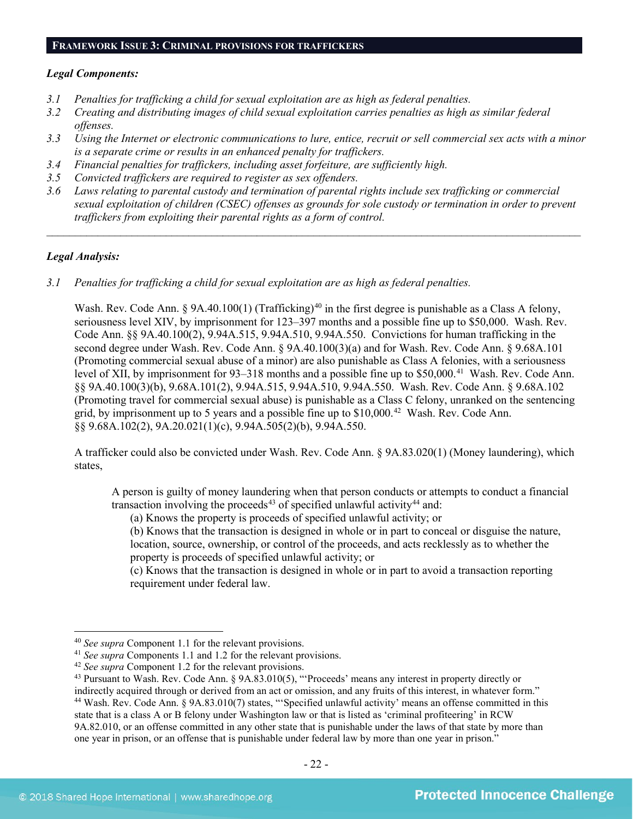# **FRAMEWORK ISSUE 3: CRIMINAL PROVISIONS FOR TRAFFICKERS**

#### *Legal Components:*

- *3.1 Penalties for trafficking a child for sexual exploitation are as high as federal penalties.*
- *3.2 Creating and distributing images of child sexual exploitation carries penalties as high as similar federal offenses.*
- *3.3 Using the Internet or electronic communications to lure, entice, recruit or sell commercial sex acts with a minor is a separate crime or results in an enhanced penalty for traffickers.*
- *3.4 Financial penalties for traffickers, including asset forfeiture, are sufficiently high.*
- *3.5 Convicted traffickers are required to register as sex offenders.*
- *3.6 Laws relating to parental custody and termination of parental rights include sex trafficking or commercial sexual exploitation of children (CSEC) offenses as grounds for sole custody or termination in order to prevent traffickers from exploiting their parental rights as a form of control.*

*\_\_\_\_\_\_\_\_\_\_\_\_\_\_\_\_\_\_\_\_\_\_\_\_\_\_\_\_\_\_\_\_\_\_\_\_\_\_\_\_\_\_\_\_\_\_\_\_\_\_\_\_\_\_\_\_\_\_\_\_\_\_\_\_\_\_\_\_\_\_\_\_\_\_\_\_\_\_\_\_\_\_\_\_\_\_\_\_\_\_\_\_\_\_*

# *Legal Analysis:*

*3.1 Penalties for trafficking a child for sexual exploitation are as high as federal penalties.* 

Wash. Rev. Code Ann. § 9A.[40](#page-21-0).100(1) (Trafficking)<sup>40</sup> in the first degree is punishable as a Class A felony, seriousness level XIV, by imprisonment for 123–397 months and a possible fine up to \$50,000. Wash. Rev. Code Ann. §§ 9A.40.100(2), 9.94A.515, 9.94A.510, 9.94A.550. Convictions for human trafficking in the second degree under Wash. Rev. Code Ann. § 9A.40.100(3)(a) and for Wash. Rev. Code Ann. § 9.68A.101 (Promoting commercial sexual abuse of a minor) are also punishable as Class A felonies, with a seriousness level of XII, by imprisonment for 93–318 months and a possible fine up to \$50,000.<sup>41</sup> Wash. Rev. Code Ann. §§ 9A.40.100(3)(b), 9.68A.101(2), 9.94A.515, 9.94A.510, 9.94A.550. Wash. Rev. Code Ann. § 9.68A.102 (Promoting travel for commercial sexual abuse) is punishable as a Class C felony, unranked on the sentencing grid, by imprisonment up to 5 years and a possible fine up to  $$10,000$ .<sup>[42](#page-21-2)</sup> Wash. Rev. Code Ann. §§ 9.68A.102(2), 9A.20.021(1)(c), 9.94A.505(2)(b), 9.94A.550.

A trafficker could also be convicted under Wash. Rev. Code Ann. § 9A.83.020(1) (Money laundering), which states,

A person is guilty of money laundering when that person conducts or attempts to conduct a financial transaction involving the proceeds<sup>[43](#page-21-3)</sup> of specified unlawful activity<sup>[44](#page-21-4)</sup> and:

<span id="page-21-6"></span><span id="page-21-5"></span>(a) Knows the property is proceeds of specified unlawful activity; or

(b) Knows that the transaction is designed in whole or in part to conceal or disguise the nature, location, source, ownership, or control of the proceeds, and acts recklessly as to whether the property is proceeds of specified unlawful activity; or

(c) Knows that the transaction is designed in whole or in part to avoid a transaction reporting requirement under federal law.

 <sup>40</sup> *See supra* Component 1.1 for the relevant provisions.

<span id="page-21-1"></span><span id="page-21-0"></span><sup>41</sup> *See supra* Components 1.1 and 1.2 for the relevant provisions.

<span id="page-21-2"></span><sup>42</sup> *See supra* Component 1.2 for the relevant provisions.

<span id="page-21-4"></span><span id="page-21-3"></span><sup>43</sup> Pursuant to Wash. Rev. Code Ann. § 9A.83.010(5), "'Proceeds' means any interest in property directly or indirectly acquired through or derived from an act or omission, and any fruits of this interest, in whatever form." <sup>44</sup> Wash. Rev. Code Ann. § 9A.83.010(7) states, "'Specified unlawful activity' means an offense committed in this state that is a class A or B felony under Washington law or that is listed as 'criminal profiteering' in RCW 9A.82.010, or an offense committed in any other state that is punishable under the laws of that state by more than

one year in prison, or an offense that is punishable under federal law by more than one year in prison."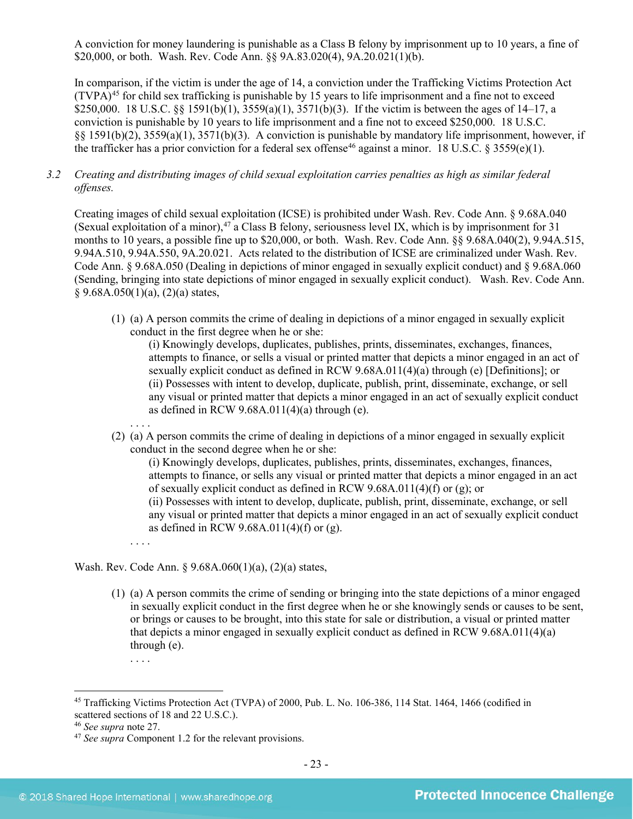A conviction for money laundering is punishable as a Class B felony by imprisonment up to 10 years, a fine of \$20,000, or both. Wash. Rev. Code Ann. §§ 9A.83.020(4), 9A.20.021(1)(b).

In comparison, if the victim is under the age of 14, a conviction under the Trafficking Victims Protection Act  $(TVPA)<sup>45</sup>$  $(TVPA)<sup>45</sup>$  $(TVPA)<sup>45</sup>$  for child sex trafficking is punishable by 15 years to life imprisonment and a fine not to exceed \$250,000. 18 U.S.C. §§ 1591(b)(1),  $3559(a)(1)$ ,  $3571(b)(3)$ . If the victim is between the ages of 14–17, a conviction is punishable by 10 years to life imprisonment and a fine not to exceed \$250,000. 18 U.S.C. §§ 1591(b)(2), 3559(a)(1), 3571(b)(3). A conviction is punishable by mandatory life imprisonment, however, if the trafficker has a prior conviction for a federal sex offense<sup>[46](#page-22-1)</sup> against a minor. 18 U.S.C. § 3559(e)(1).

*3.2 Creating and distributing images of child sexual exploitation carries penalties as high as similar federal offenses.*

Creating images of child sexual exploitation (ICSE) is prohibited under Wash. Rev. Code Ann. § 9.68A.040 (Sexual exploitation of a minor),  $47a$  Class B felony, seriousness level IX, which is by imprisonment for 31 months to 10 years, a possible fine up to \$20,000, or both. Wash. Rev. Code Ann. §§ 9.68A.040(2), 9.94A.515, 9.94A.510, 9.94A.550, 9A.20.021. Acts related to the distribution of ICSE are criminalized under Wash. Rev. Code Ann. § 9.68A.050 (Dealing in depictions of minor engaged in sexually explicit conduct) and § 9.68A.060 (Sending, bringing into state depictions of minor engaged in sexually explicit conduct). Wash. Rev. Code Ann.  $§ 9.68A.050(1)(a), (2)(a) states,$ 

(1) (a) A person commits the crime of dealing in depictions of a minor engaged in sexually explicit conduct in the first degree when he or she:

(i) Knowingly develops, duplicates, publishes, prints, disseminates, exchanges, finances, attempts to finance, or sells a visual or printed matter that depicts a minor engaged in an act of sexually explicit conduct as defined in RCW 9.68A.011(4)(a) through (e) [Definitions]; or (ii) Possesses with intent to develop, duplicate, publish, print, disseminate, exchange, or sell any visual or printed matter that depicts a minor engaged in an act of sexually explicit conduct as defined in RCW  $9.68A.011(4)(a)$  through (e).

. . . . (2) (a) A person commits the crime of dealing in depictions of a minor engaged in sexually explicit conduct in the second degree when he or she:

(i) Knowingly develops, duplicates, publishes, prints, disseminates, exchanges, finances, attempts to finance, or sells any visual or printed matter that depicts a minor engaged in an act of sexually explicit conduct as defined in RCW 9.68A.011(4)(f) or (g); or

(ii) Possesses with intent to develop, duplicate, publish, print, disseminate, exchange, or sell any visual or printed matter that depicts a minor engaged in an act of sexually explicit conduct as defined in RCW 9.68A.011(4)(f) or (g).

. . . .

Wash. Rev. Code Ann. § 9.68A.060(1)(a), (2)(a) states,

(1) (a) A person commits the crime of sending or bringing into the state depictions of a minor engaged in sexually explicit conduct in the first degree when he or she knowingly sends or causes to be sent, or brings or causes to be brought, into this state for sale or distribution, a visual or printed matter that depicts a minor engaged in sexually explicit conduct as defined in RCW 9.68A.011(4)(a) through (e).

<sup>. . . .</sup>

<span id="page-22-0"></span> <sup>45</sup> Trafficking Victims Protection Act (TVPA) of 2000, Pub. L. No. 106-386, 114 Stat. 1464, 1466 (codified in scattered sections of 18 and 22 U.S.C.).

<span id="page-22-1"></span><sup>46</sup> *See supra* note [27.](#page-12-4)

<span id="page-22-2"></span><sup>47</sup> *See supra* Component 1.2 for the relevant provisions.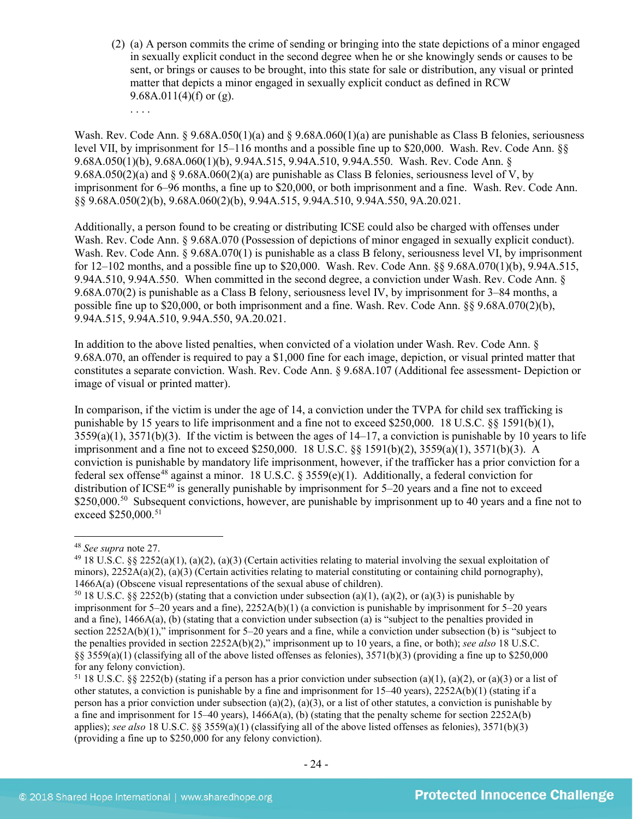(2) (a) A person commits the crime of sending or bringing into the state depictions of a minor engaged in sexually explicit conduct in the second degree when he or she knowingly sends or causes to be sent, or brings or causes to be brought, into this state for sale or distribution, any visual or printed matter that depicts a minor engaged in sexually explicit conduct as defined in RCW 9.68A.011(4)(f) or (g).

Wash. Rev. Code Ann. § 9.68A.050(1)(a) and § 9.68A.060(1)(a) are punishable as Class B felonies, seriousness level VII, by imprisonment for 15–116 months and a possible fine up to \$20,000. Wash. Rev. Code Ann. §§ 9.68A.050(1)(b), 9.68A.060(1)(b), 9.94A.515, 9.94A.510, 9.94A.550. Wash. Rev. Code Ann. § 9.68A.050(2)(a) and § 9.68A.060(2)(a) are punishable as Class B felonies, seriousness level of V, by imprisonment for 6–96 months, a fine up to \$20,000, or both imprisonment and a fine. Wash. Rev. Code Ann. §§ 9.68A.050(2)(b), 9.68A.060(2)(b), 9.94A.515, 9.94A.510, 9.94A.550, 9A.20.021.

Additionally, a person found to be creating or distributing ICSE could also be charged with offenses under Wash. Rev. Code Ann. § 9.68A.070 (Possession of depictions of minor engaged in sexually explicit conduct). Wash. Rev. Code Ann. § 9.68A.070(1) is punishable as a class B felony, seriousness level VI, by imprisonment for 12–102 months, and a possible fine up to \$20,000. Wash. Rev. Code Ann. §§ 9.68A.070(1)(b), 9.94A.515, 9.94A.510, 9.94A.550. When committed in the second degree, a conviction under Wash. Rev. Code Ann. § 9.68A.070(2) is punishable as a Class B felony, seriousness level IV, by imprisonment for 3–84 months, a possible fine up to \$20,000, or both imprisonment and a fine. Wash. Rev. Code Ann. §§ 9.68A.070(2)(b), 9.94A.515, 9.94A.510, 9.94A.550, 9A.20.021.

In addition to the above listed penalties, when convicted of a violation under Wash. Rev. Code Ann. § 9.68A.070, an offender is required to pay a \$1,000 fine for each image, depiction, or visual printed matter that constitutes a separate conviction. Wash. Rev. Code Ann. § 9.68A.107 (Additional fee assessment- Depiction or image of visual or printed matter).

In comparison, if the victim is under the age of 14, a conviction under the TVPA for child sex trafficking is punishable by 15 years to life imprisonment and a fine not to exceed \$250,000. 18 U.S.C. §§ 1591(b)(1),  $3559(a)(1)$ ,  $3571(b)(3)$ . If the victim is between the ages of  $14-17$ , a conviction is punishable by 10 years to life imprisonment and a fine not to exceed \$250,000. 18 U.S.C. §§ 1591(b)(2), 3559(a)(1), 3571(b)(3). A conviction is punishable by mandatory life imprisonment, however, if the trafficker has a prior conviction for a federal sex offense<sup>[48](#page-23-0)</sup> against a minor. 18 U.S.C. § 3559(e)(1). Additionally, a federal conviction for distribution of ICSE<sup>[49](#page-23-1)</sup> is generally punishable by imprisonment for  $5-20$  years and a fine not to exceed \$2[50](#page-23-2),000.<sup>50</sup> Subsequent convictions, however, are punishable by imprisonment up to 40 years and a fine not to exceed \$250,000.<sup>[51](#page-23-3)</sup>

. . . .

<span id="page-23-0"></span> <sup>48</sup> *See supra* note [27.](#page-12-4)

<span id="page-23-1"></span> $49$  18 U.S.C. §§ 2252(a)(1), (a)(2), (a)(3) (Certain activities relating to material involving the sexual exploitation of minors),  $2252A(a)(2)$ ,  $(a)(3)$  (Certain activities relating to material constituting or containing child pornography), 1466A(a) (Obscene visual representations of the sexual abuse of children).

<span id="page-23-2"></span><sup>&</sup>lt;sup>50</sup> 18 U.S.C. §§ 2252(b) (stating that a conviction under subsection (a)(1), (a)(2), or (a)(3) is punishable by imprisonment for 5–20 years and a fine), 2252A(b)(1) (a conviction is punishable by imprisonment for 5–20 years and a fine), 1466A(a), (b) (stating that a conviction under subsection (a) is "subject to the penalties provided in section 2252A(b)(1)," imprisonment for 5–20 years and a fine, while a conviction under subsection (b) is "subject to the penalties provided in section 2252A(b)(2)," imprisonment up to 10 years, a fine, or both); *see also* 18 U.S.C.  $\S$ § 3559(a)(1) (classifying all of the above listed offenses as felonies), 3571(b)(3) (providing a fine up to \$250,000 for any felony conviction).

<span id="page-23-3"></span><sup>&</sup>lt;sup>51</sup> 18 U.S.C. §§ 2252(b) (stating if a person has a prior conviction under subsection (a)(1), (a)(2), or (a)(3) or a list of other statutes, a conviction is punishable by a fine and imprisonment for  $15-40$  years),  $2252A(b)(1)$  (stating if a person has a prior conviction under subsection (a)(2), (a)(3), or a list of other statutes, a conviction is punishable by a fine and imprisonment for 15–40 years),  $1466A(a)$ , (b) (stating that the penalty scheme for section 2252A(b) applies); *see also* 18 U.S.C. §§ 3559(a)(1) (classifying all of the above listed offenses as felonies), 3571(b)(3) (providing a fine up to \$250,000 for any felony conviction).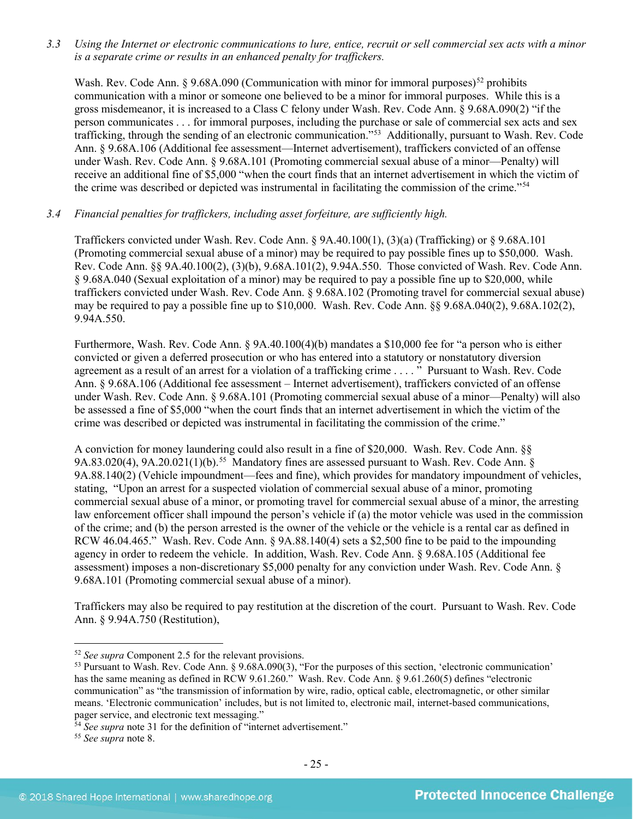*3.3 Using the Internet or electronic communications to lure, entice, recruit or sell commercial sex acts with a minor is a separate crime or results in an enhanced penalty for traffickers.*

Wash. Rev. Code Ann. § 9.68A.090 (Communication with minor for immoral purposes)<sup>[52](#page-24-0)</sup> prohibits communication with a minor or someone one believed to be a minor for immoral purposes. While this is a gross misdemeanor, it is increased to a Class C felony under Wash. Rev. Code Ann. § 9.68A.090(2) "if the person communicates . . . for immoral purposes, including the purchase or sale of commercial sex acts and sex trafficking, through the sending of an electronic communication."[53](#page-24-1) Additionally, pursuant to Wash. Rev. Code Ann. § 9.68A.106 (Additional fee assessment—Internet advertisement), traffickers convicted of an offense under Wash. Rev. Code Ann. § 9.68A.101 (Promoting commercial sexual abuse of a minor—Penalty) will receive an additional fine of \$5,000 "when the court finds that an internet advertisement in which the victim of the crime was described or depicted was instrumental in facilitating the commission of the crime."[54](#page-24-2)

# *3.4 Financial penalties for traffickers, including asset forfeiture, are sufficiently high.*

Traffickers convicted under Wash. Rev. Code Ann. § 9A.40.100(1), (3)(a) (Trafficking) or § 9.68A.101 (Promoting commercial sexual abuse of a minor) may be required to pay possible fines up to \$50,000. Wash. Rev. Code Ann. §§ 9A.40.100(2), (3)(b), 9.68A.101(2), 9.94A.550. Those convicted of Wash. Rev. Code Ann. § 9.68A.040 (Sexual exploitation of a minor) may be required to pay a possible fine up to \$20,000, while traffickers convicted under Wash. Rev. Code Ann. § 9.68A.102 (Promoting travel for commercial sexual abuse) may be required to pay a possible fine up to \$10,000. Wash. Rev. Code Ann. §§ 9.68A.040(2), 9.68A.102(2), 9.94A.550.

Furthermore, Wash. Rev. Code Ann. § 9A.40.100(4)(b) mandates a \$10,000 fee for "a person who is either convicted or given a deferred prosecution or who has entered into a statutory or nonstatutory diversion agreement as a result of an arrest for a violation of a trafficking crime . . . . " Pursuant to Wash. Rev. Code Ann. § 9.68A.106 (Additional fee assessment – Internet advertisement), traffickers convicted of an offense under Wash. Rev. Code Ann. § 9.68A.101 (Promoting commercial sexual abuse of a minor—Penalty) will also be assessed a fine of \$5,000 "when the court finds that an internet advertisement in which the victim of the crime was described or depicted was instrumental in facilitating the commission of the crime."

A conviction for money laundering could also result in a fine of \$20,000. Wash. Rev. Code Ann. §§ 9A.83.020(4), 9A.20.021(1)(b).<sup>[55](#page-24-3)</sup> Mandatory fines are assessed pursuant to Wash. Rev. Code Ann.  $\S$ 9A.88.140(2) (Vehicle impoundment—fees and fine), which provides for mandatory impoundment of vehicles, stating, "Upon an arrest for a suspected violation of commercial sexual abuse of a minor, promoting commercial sexual abuse of a minor, or promoting travel for commercial sexual abuse of a minor, the arresting law enforcement officer shall impound the person's vehicle if (a) the motor vehicle was used in the commission of the crime; and (b) the person arrested is the owner of the vehicle or the vehicle is a rental car as defined in RCW 46.04.465." Wash. Rev. Code Ann. § 9A.88.140(4) sets a \$2,500 fine to be paid to the impounding agency in order to redeem the vehicle. In addition, Wash. Rev. Code Ann. § 9.68A.105 (Additional fee assessment) imposes a non-discretionary \$5,000 penalty for any conviction under Wash. Rev. Code Ann. § 9.68A.101 (Promoting commercial sexual abuse of a minor).

Traffickers may also be required to pay restitution at the discretion of the court. Pursuant to Wash. Rev. Code Ann. § 9.94A.750 (Restitution),

<span id="page-24-0"></span> <sup>52</sup> *See supra* Component 2.5 for the relevant provisions.

<span id="page-24-1"></span><sup>53</sup> Pursuant to Wash. Rev. Code Ann. § 9.68A.090(3), "For the purposes of this section, 'electronic communication' has the same meaning as defined in RCW 9.61.260." Wash. Rev. Code Ann. § 9.61.260(5) defines "electronic communication" as "the transmission of information by wire, radio, optical cable, electromagnetic, or other similar means. 'Electronic communication' includes, but is not limited to, electronic mail, internet-based communications, pager service, and electronic text messaging."

<span id="page-24-2"></span><sup>&</sup>lt;sup>54</sup> See supra note [31](#page-13-4) for the definition of "internet advertisement."

<span id="page-24-3"></span><sup>55</sup> *See supra* note [8.](#page-2-4)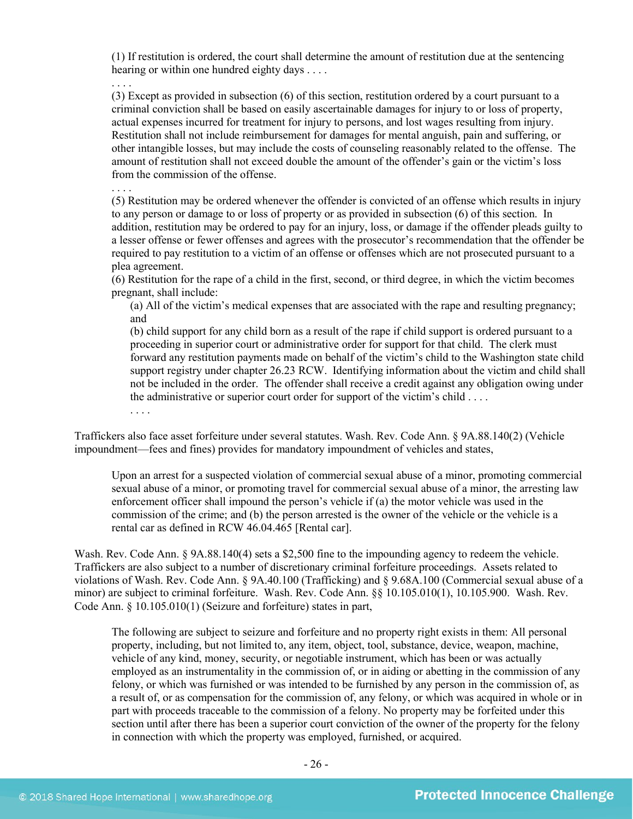(1) If restitution is ordered, the court shall determine the amount of restitution due at the sentencing hearing or within one hundred eighty days . . . .

. . . .

(3) Except as provided in subsection (6) of this section, restitution ordered by a court pursuant to a criminal conviction shall be based on easily ascertainable damages for injury to or loss of property, actual expenses incurred for treatment for injury to persons, and lost wages resulting from injury. Restitution shall not include reimbursement for damages for mental anguish, pain and suffering, or other intangible losses, but may include the costs of counseling reasonably related to the offense. The amount of restitution shall not exceed double the amount of the offender's gain or the victim's loss from the commission of the offense.

(5) Restitution may be ordered whenever the offender is convicted of an offense which results in injury to any person or damage to or loss of property or as provided in subsection (6) of this section. In addition, restitution may be ordered to pay for an injury, loss, or damage if the offender pleads guilty to a lesser offense or fewer offenses and agrees with the prosecutor's recommendation that the offender be required to pay restitution to a victim of an offense or offenses which are not prosecuted pursuant to a plea agreement.

(6) Restitution for the rape of a child in the first, second, or third degree, in which the victim becomes pregnant, shall include:

(a) All of the victim's medical expenses that are associated with the rape and resulting pregnancy; and

(b) child support for any child born as a result of the rape if child support is ordered pursuant to a proceeding in superior court or administrative order for support for that child. The clerk must forward any restitution payments made on behalf of the victim's child to the Washington state child support registry under chapter 26.23 RCW. Identifying information about the victim and child shall not be included in the order. The offender shall receive a credit against any obligation owing under the administrative or superior court order for support of the victim's child . . . .

Traffickers also face asset forfeiture under several statutes. Wash. Rev. Code Ann. § 9A.88.140(2) (Vehicle impoundment—fees and fines) provides for mandatory impoundment of vehicles and states,

Upon an arrest for a suspected violation of commercial sexual abuse of a minor, promoting commercial sexual abuse of a minor, or promoting travel for commercial sexual abuse of a minor, the arresting law enforcement officer shall impound the person's vehicle if (a) the motor vehicle was used in the commission of the crime; and (b) the person arrested is the owner of the vehicle or the vehicle is a rental car as defined in RCW 46.04.465 [Rental car].

Wash. Rev. Code Ann. § 9A.88.140(4) sets a \$2,500 fine to the impounding agency to redeem the vehicle. Traffickers are also subject to a number of discretionary criminal forfeiture proceedings. Assets related to violations of Wash. Rev. Code Ann. § 9A.40.100 (Trafficking) and § 9.68A.100 (Commercial sexual abuse of a minor) are subject to criminal forfeiture. Wash. Rev. Code Ann. §§ 10.105.010(1), 10.105.900. Wash. Rev. Code Ann. § 10.105.010(1) (Seizure and forfeiture) states in part,

The following are subject to seizure and forfeiture and no property right exists in them: All personal property, including, but not limited to, any item, object, tool, substance, device, weapon, machine, vehicle of any kind, money, security, or negotiable instrument, which has been or was actually employed as an instrumentality in the commission of, or in aiding or abetting in the commission of any felony, or which was furnished or was intended to be furnished by any person in the commission of, as a result of, or as compensation for the commission of, any felony, or which was acquired in whole or in part with proceeds traceable to the commission of a felony. No property may be forfeited under this section until after there has been a superior court conviction of the owner of the property for the felony in connection with which the property was employed, furnished, or acquired.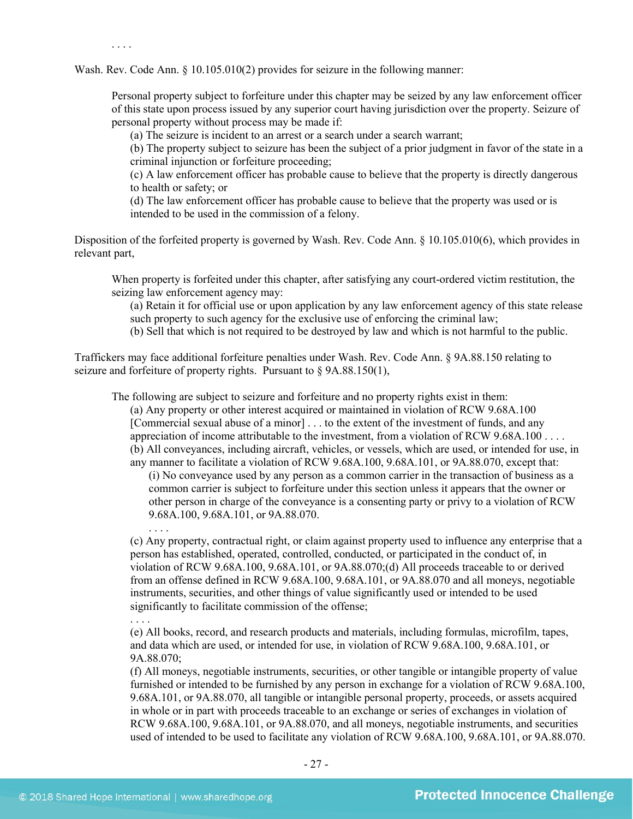. . . .

Wash. Rev. Code Ann. § 10.105.010(2) provides for seizure in the following manner:

Personal property subject to forfeiture under this chapter may be seized by any law enforcement officer of this state upon process issued by any superior court having jurisdiction over the property. Seizure of personal property without process may be made if:

(a) The seizure is incident to an arrest or a search under a search warrant;

(b) The property subject to seizure has been the subject of a prior judgment in favor of the state in a criminal injunction or forfeiture proceeding;

(c) A law enforcement officer has probable cause to believe that the property is directly dangerous to health or safety; or

(d) The law enforcement officer has probable cause to believe that the property was used or is intended to be used in the commission of a felony.

Disposition of the forfeited property is governed by Wash. Rev. Code Ann. § 10.105.010(6), which provides in relevant part,

When property is forfeited under this chapter, after satisfying any court-ordered victim restitution, the seizing law enforcement agency may:

(a) Retain it for official use or upon application by any law enforcement agency of this state release such property to such agency for the exclusive use of enforcing the criminal law;

(b) Sell that which is not required to be destroyed by law and which is not harmful to the public.

Traffickers may face additional forfeiture penalties under Wash. Rev. Code Ann. § 9A.88.150 relating to seizure and forfeiture of property rights. Pursuant to § 9A.88.150(1),

The following are subject to seizure and forfeiture and no property rights exist in them:

(a) Any property or other interest acquired or maintained in violation of RCW 9.68A.100 [Commercial sexual abuse of a minor] . . . to the extent of the investment of funds, and any appreciation of income attributable to the investment, from a violation of RCW 9.68A.100 . . . . (b) All conveyances, including aircraft, vehicles, or vessels, which are used, or intended for use, in any manner to facilitate a violation of RCW 9.68A.100, 9.68A.101, or 9A.88.070, except that:

(i) No conveyance used by any person as a common carrier in the transaction of business as a common carrier is subject to forfeiture under this section unless it appears that the owner or other person in charge of the conveyance is a consenting party or privy to a violation of RCW 9.68A.100, 9.68A.101, or 9A.88.070.

(c) Any property, contractual right, or claim against property used to influence any enterprise that a person has established, operated, controlled, conducted, or participated in the conduct of, in violation of RCW 9.68A.100, 9.68A.101, or 9A.88.070;(d) All proceeds traceable to or derived from an offense defined in RCW 9.68A.100, 9.68A.101, or 9A.88.070 and all moneys, negotiable instruments, securities, and other things of value significantly used or intended to be used significantly to facilitate commission of the offense;

(e) All books, record, and research products and materials, including formulas, microfilm, tapes, and data which are used, or intended for use, in violation of RCW 9.68A.100, 9.68A.101, or 9A.88.070;

(f) All moneys, negotiable instruments, securities, or other tangible or intangible property of value furnished or intended to be furnished by any person in exchange for a violation of RCW 9.68A.100, 9.68A.101, or 9A.88.070, all tangible or intangible personal property, proceeds, or assets acquired in whole or in part with proceeds traceable to an exchange or series of exchanges in violation of RCW 9.68A.100, 9.68A.101, or 9A.88.070, and all moneys, negotiable instruments, and securities used of intended to be used to facilitate any violation of RCW 9.68A.100, 9.68A.101, or 9A.88.070.

. . . .

. . . .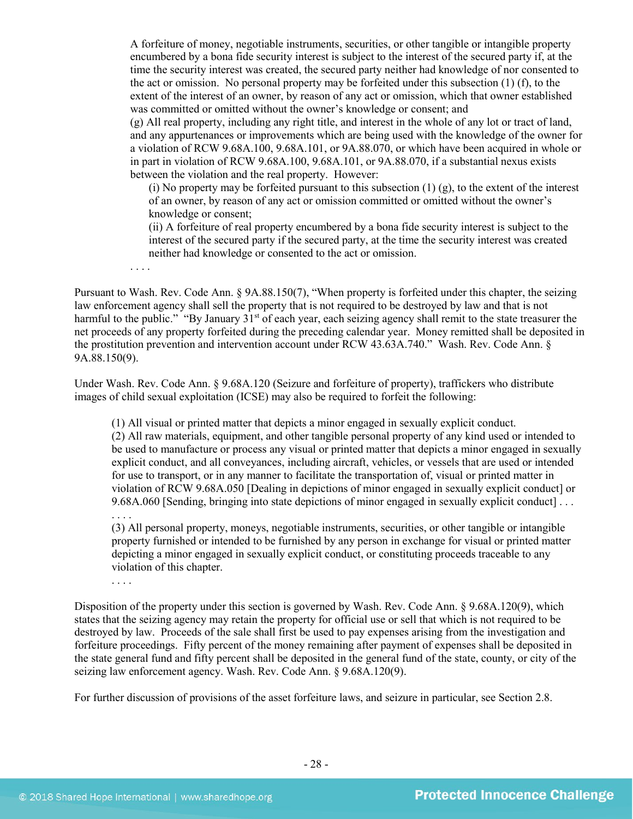A forfeiture of money, negotiable instruments, securities, or other tangible or intangible property encumbered by a bona fide security interest is subject to the interest of the secured party if, at the time the security interest was created, the secured party neither had knowledge of nor consented to the act or omission. No personal property may be forfeited under this subsection (1) (f), to the extent of the interest of an owner, by reason of any act or omission, which that owner established was committed or omitted without the owner's knowledge or consent; and (g) All real property, including any right title, and interest in the whole of any lot or tract of land, and any appurtenances or improvements which are being used with the knowledge of the owner for

a violation of RCW 9.68A.100, 9.68A.101, or 9A.88.070, or which have been acquired in whole or in part in violation of RCW 9.68A.100, 9.68A.101, or 9A.88.070, if a substantial nexus exists between the violation and the real property. However:

(i) No property may be forfeited pursuant to this subsection  $(1)$   $(g)$ , to the extent of the interest of an owner, by reason of any act or omission committed or omitted without the owner's knowledge or consent;

(ii) A forfeiture of real property encumbered by a bona fide security interest is subject to the interest of the secured party if the secured party, at the time the security interest was created neither had knowledge or consented to the act or omission.

. . . .

Pursuant to Wash. Rev. Code Ann. § 9A.88.150(7), "When property is forfeited under this chapter, the seizing law enforcement agency shall sell the property that is not required to be destroyed by law and that is not harmful to the public." "By January 31<sup>st</sup> of each year, each seizing agency shall remit to the state treasurer the net proceeds of any property forfeited during the preceding calendar year. Money remitted shall be deposited in the prostitution prevention and intervention account under RCW 43.63A.740." Wash. Rev. Code Ann. § 9A.88.150(9).

Under Wash. Rev. Code Ann. § 9.68A.120 (Seizure and forfeiture of property), traffickers who distribute images of child sexual exploitation (ICSE) may also be required to forfeit the following:

(1) All visual or printed matter that depicts a minor engaged in sexually explicit conduct.

(2) All raw materials, equipment, and other tangible personal property of any kind used or intended to be used to manufacture or process any visual or printed matter that depicts a minor engaged in sexually explicit conduct, and all conveyances, including aircraft, vehicles, or vessels that are used or intended for use to transport, or in any manner to facilitate the transportation of, visual or printed matter in violation of RCW 9.68A.050 [Dealing in depictions of minor engaged in sexually explicit conduct] or 9.68A.060 [Sending, bringing into state depictions of minor engaged in sexually explicit conduct] . . .

. . . .

(3) All personal property, moneys, negotiable instruments, securities, or other tangible or intangible property furnished or intended to be furnished by any person in exchange for visual or printed matter depicting a minor engaged in sexually explicit conduct, or constituting proceeds traceable to any violation of this chapter.

. . . .

Disposition of the property under this section is governed by Wash. Rev. Code Ann. § 9.68A.120(9), which states that the seizing agency may retain the property for official use or sell that which is not required to be destroyed by law. Proceeds of the sale shall first be used to pay expenses arising from the investigation and forfeiture proceedings. Fifty percent of the money remaining after payment of expenses shall be deposited in the state general fund and fifty percent shall be deposited in the general fund of the state, county, or city of the seizing law enforcement agency. Wash. Rev. Code Ann. § 9.68A.120(9).

For further discussion of provisions of the asset forfeiture laws, and seizure in particular, see Section 2.8.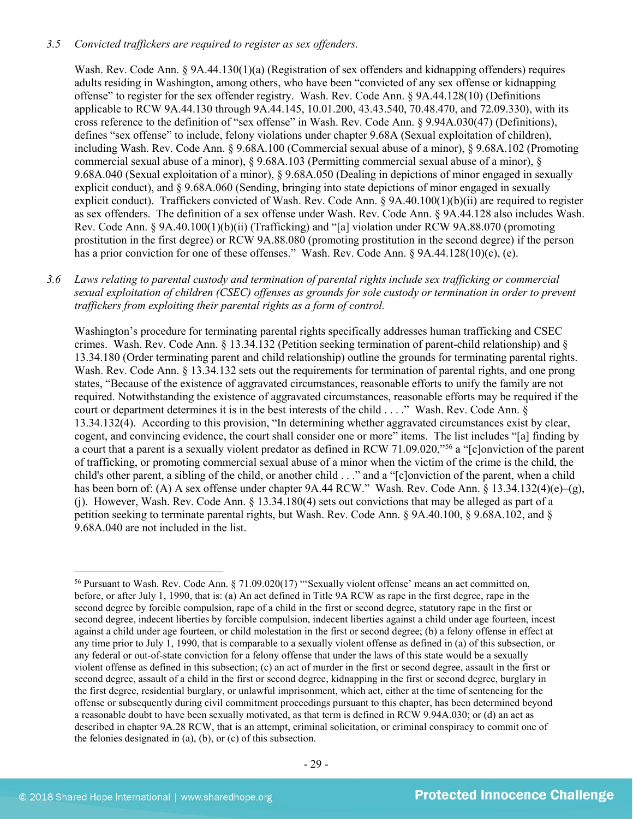# *3.5 Convicted traffickers are required to register as sex offenders.*

Wash. Rev. Code Ann. § 9A.44.130(1)(a) (Registration of sex offenders and kidnapping offenders) requires adults residing in Washington, among others, who have been "convicted of any sex offense or kidnapping offense" to register for the sex offender registry. Wash. Rev. Code Ann. § 9A.44.128(10) (Definitions applicable to RCW 9A.44.130 through 9A.44.145, 10.01.200, 43.43.540, 70.48.470, and 72.09.330), with its cross reference to the definition of "sex offense" in Wash. Rev. Code Ann. § 9.94A.030(47) (Definitions), defines "sex offense" to include, felony violations under chapter 9.68A (Sexual exploitation of children), including Wash. Rev. Code Ann. § 9.68A.100 (Commercial sexual abuse of a minor), § 9.68A.102 (Promoting commercial sexual abuse of a minor), § 9.68A.103 (Permitting commercial sexual abuse of a minor), § 9.68A.040 (Sexual exploitation of a minor), § 9.68A.050 (Dealing in depictions of minor engaged in sexually explicit conduct), and § 9.68A.060 (Sending, bringing into state depictions of minor engaged in sexually explicit conduct). Traffickers convicted of Wash. Rev. Code Ann. § 9A.40.100(1)(b)(ii) are required to register as sex offenders. The definition of a sex offense under Wash. Rev. Code Ann. § 9A.44.128 also includes Wash. Rev. Code Ann. § 9A.40.100(1)(b)(ii) (Trafficking) and "[a] violation under RCW 9A.88.070 (promoting prostitution in the first degree) or RCW 9A.88.080 (promoting prostitution in the second degree) if the person has a prior conviction for one of these offenses." Wash. Rev. Code Ann. § 9A.44.128(10)(c), (e).

# *3.6 Laws relating to parental custody and termination of parental rights include sex trafficking or commercial sexual exploitation of children (CSEC) offenses as grounds for sole custody or termination in order to prevent traffickers from exploiting their parental rights as a form of control.*

Washington's procedure for terminating parental rights specifically addresses human trafficking and CSEC crimes. Wash. Rev. Code Ann. § 13.34.132 (Petition seeking termination of parent-child relationship) and § 13.34.180 (Order terminating parent and child relationship) outline the grounds for terminating parental rights. Wash. Rev. Code Ann. § 13.34.132 sets out the requirements for termination of parental rights, and one prong states, "Because of the existence of aggravated circumstances, reasonable efforts to unify the family are not required. Notwithstanding the existence of aggravated circumstances, reasonable efforts may be required if the court or department determines it is in the best interests of the child . . . ." Wash. Rev. Code Ann. § 13.34.132(4). According to this provision, "In determining whether aggravated circumstances exist by clear, cogent, and convincing evidence, the court shall consider one or more" items. The list includes "[a] finding by a court that a parent is a sexually violent predator as defined in RCW 71.09.020,"[56](#page-28-0) a "[c]onviction of the parent of trafficking, or promoting commercial sexual abuse of a minor when the victim of the crime is the child, the child's other parent, a sibling of the child, or another child . . ." and a "[c]onviction of the parent, when a child has been born of: (A) A sex offense under chapter 9A.44 RCW." Wash. Rev. Code Ann. § 13.34.132(4)(e)–(g), (j). However, Wash. Rev. Code Ann. § 13.34.180(4) sets out convictions that may be alleged as part of a petition seeking to terminate parental rights, but Wash. Rev. Code Ann. § 9A.40.100, § 9.68A.102, and § 9.68A.040 are not included in the list.

<span id="page-28-0"></span> <sup>56</sup> Pursuant to Wash. Rev. Code Ann. § 71.09.020(17) "'Sexually violent offense' means an act committed on, before, or after July 1, 1990, that is: (a) An act defined in Title 9A RCW as rape in the first degree, rape in the second degree by forcible compulsion, rape of a child in the first or second degree, statutory rape in the first or second degree, indecent liberties by forcible compulsion, indecent liberties against a child under age fourteen, incest against a child under age fourteen, or child molestation in the first or second degree; (b) a felony offense in effect at any time prior to July 1, 1990, that is comparable to a sexually violent offense as defined in (a) of this subsection, or any federal or out-of-state conviction for a felony offense that under the laws of this state would be a sexually violent offense as defined in this subsection; (c) an act of murder in the first or second degree, assault in the first or second degree, assault of a child in the first or second degree, kidnapping in the first or second degree, burglary in the first degree, residential burglary, or unlawful imprisonment, which act, either at the time of sentencing for the offense or subsequently during civil commitment proceedings pursuant to this chapter, has been determined beyond a reasonable doubt to have been sexually motivated, as that term is defined in RCW 9.94A.030; or (d) an act as described in chapter 9A.28 RCW, that is an attempt, criminal solicitation, or criminal conspiracy to commit one of the felonies designated in (a), (b), or (c) of this subsection.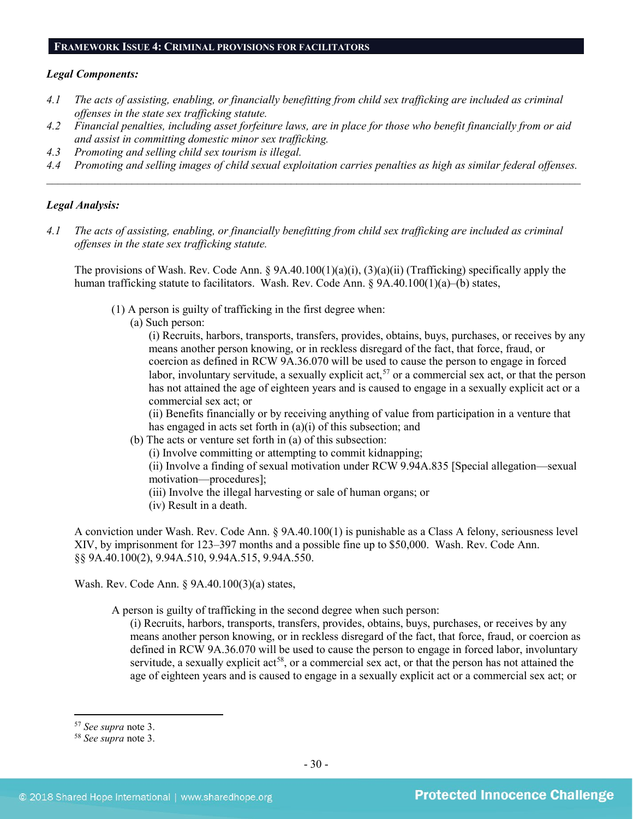#### **FRAMEWORK ISSUE 4: CRIMINAL PROVISIONS FOR FACILITATORS**

#### *Legal Components:*

- *4.1 The acts of assisting, enabling, or financially benefitting from child sex trafficking are included as criminal offenses in the state sex trafficking statute.*
- *4.2 Financial penalties, including asset forfeiture laws, are in place for those who benefit financially from or aid and assist in committing domestic minor sex trafficking.*
- *4.3 Promoting and selling child sex tourism is illegal.*
- *4.4 Promoting and selling images of child sexual exploitation carries penalties as high as similar federal offenses. \_\_\_\_\_\_\_\_\_\_\_\_\_\_\_\_\_\_\_\_\_\_\_\_\_\_\_\_\_\_\_\_\_\_\_\_\_\_\_\_\_\_\_\_\_\_\_\_\_\_\_\_\_\_\_\_\_\_\_\_\_\_\_\_\_\_\_\_\_\_\_\_\_\_\_\_\_\_\_\_\_\_\_\_\_\_\_\_\_\_\_\_\_\_*

# *Legal Analysis:*

*4.1 The acts of assisting, enabling, or financially benefitting from child sex trafficking are included as criminal offenses in the state sex trafficking statute.*

The provisions of Wash. Rev. Code Ann.  $\S 9A.40.100(1)(a)(i)$ ,  $(3)(a)(ii)$  (Trafficking) specifically apply the human trafficking statute to facilitators. Wash. Rev. Code Ann. § 9A.40.100(1)(a)–(b) states,

(1) A person is guilty of trafficking in the first degree when:

(a) Such person:

(i) Recruits, harbors, transports, transfers, provides, obtains, buys, purchases, or receives by any means another person knowing, or in reckless disregard of the fact, that force, fraud, or coercion as defined in RCW 9A.36.070 will be used to cause the person to engage in forced labor, involuntary servitude, a sexually explicit act,<sup>[57](#page-29-0)</sup> or a commercial sex act, or that the person has not attained the age of eighteen years and is caused to engage in a sexually explicit act or a commercial sex act; or

(ii) Benefits financially or by receiving anything of value from participation in a venture that has engaged in acts set forth in (a)(i) of this subsection; and

- (b) The acts or venture set forth in (a) of this subsection:
	- (i) Involve committing or attempting to commit kidnapping;

(ii) Involve a finding of sexual motivation under RCW 9.94A.835 [Special allegation—sexual motivation—procedures];

- (iii) Involve the illegal harvesting or sale of human organs; or
- (iv) Result in a death.

A conviction under Wash. Rev. Code Ann. § 9A.40.100(1) is punishable as a Class A felony, seriousness level XIV, by imprisonment for 123–397 months and a possible fine up to \$50,000. Wash. Rev. Code Ann. §§ 9A.40.100(2), 9.94A.510, 9.94A.515, 9.94A.550.

Wash. Rev. Code Ann. § 9A.40.100(3)(a) states,

A person is guilty of trafficking in the second degree when such person:

(i) Recruits, harbors, transports, transfers, provides, obtains, buys, purchases, or receives by any means another person knowing, or in reckless disregard of the fact, that force, fraud, or coercion as defined in RCW 9A.36.070 will be used to cause the person to engage in forced labor, involuntary servitude, a sexually explicit act<sup>58</sup>, or a commercial sex act, or that the person has not attained the age of eighteen years and is caused to engage in a sexually explicit act or a commercial sex act; or

<span id="page-29-0"></span> <sup>57</sup> *See supra* note [3.](#page-1-0)

<span id="page-29-1"></span><sup>58</sup> *See supra* note [3.](#page-1-0)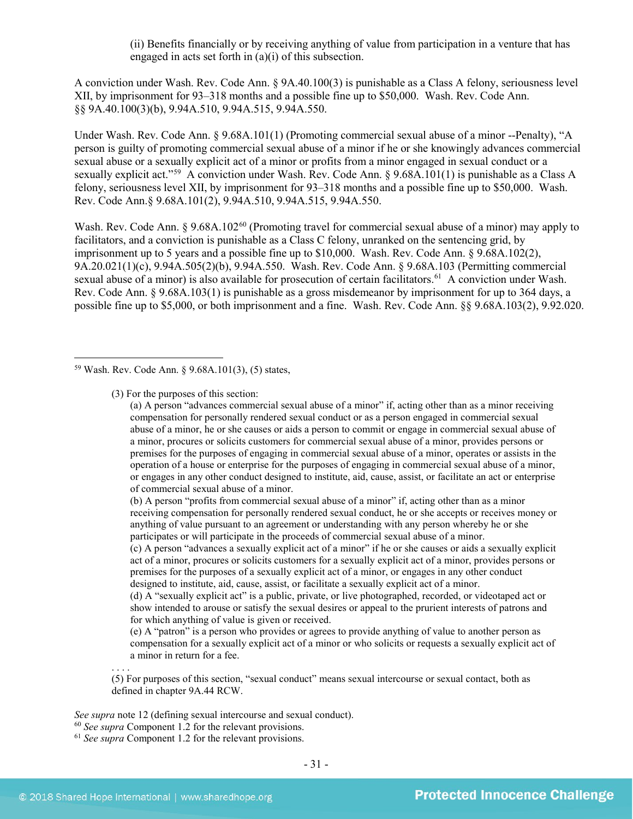(ii) Benefits financially or by receiving anything of value from participation in a venture that has engaged in acts set forth in (a)(i) of this subsection.

A conviction under Wash. Rev. Code Ann. § 9A.40.100(3) is punishable as a Class A felony, seriousness level XII, by imprisonment for 93–318 months and a possible fine up to \$50,000. Wash. Rev. Code Ann. §§ 9A.40.100(3)(b), 9.94A.510, 9.94A.515, 9.94A.550.

Under Wash. Rev. Code Ann. § 9.68A.101(1) (Promoting commercial sexual abuse of a minor --Penalty), "A person is guilty of promoting commercial sexual abuse of a minor if he or she knowingly advances commercial sexual abuse or a sexually explicit act of a minor or profits from a minor engaged in sexual conduct or a sexually explicit act."<sup>[59](#page-30-0)</sup> A conviction under Wash. Rev. Code Ann. § 9.68A.101(1) is punishable as a Class A felony, seriousness level XII, by imprisonment for 93–318 months and a possible fine up to \$50,000. Wash. Rev. Code Ann.§ 9.68A.101(2), 9.94A.510, 9.94A.515, 9.94A.550.

Wash. Rev. Code Ann. § 9.68A.102<sup>[60](#page-30-1)</sup> (Promoting travel for commercial sexual abuse of a minor) may apply to facilitators, and a conviction is punishable as a Class C felony, unranked on the sentencing grid, by imprisonment up to 5 years and a possible fine up to \$10,000. Wash. Rev. Code Ann. § 9.68A.102(2), 9A.20.021(1)(c), 9.94A.505(2)(b), 9.94A.550. Wash. Rev. Code Ann. § 9.68A.103 (Permitting commercial sexual abuse of a minor) is also available for prosecution of certain facilitators.<sup>61</sup> A conviction under Wash. Rev. Code Ann. § 9.68A.103(1) is punishable as a gross misdemeanor by imprisonment for up to 364 days, a possible fine up to \$5,000, or both imprisonment and a fine. Wash. Rev. Code Ann. §§ 9.68A.103(2), 9.92.020.

<span id="page-30-0"></span>59 Wash. Rev. Code Ann. § 9.68A.101(3), (5) states,

(3) For the purposes of this section:

(a) A person "advances commercial sexual abuse of a minor" if, acting other than as a minor receiving compensation for personally rendered sexual conduct or as a person engaged in commercial sexual abuse of a minor, he or she causes or aids a person to commit or engage in commercial sexual abuse of a minor, procures or solicits customers for commercial sexual abuse of a minor, provides persons or premises for the purposes of engaging in commercial sexual abuse of a minor, operates or assists in the operation of a house or enterprise for the purposes of engaging in commercial sexual abuse of a minor, or engages in any other conduct designed to institute, aid, cause, assist, or facilitate an act or enterprise of commercial sexual abuse of a minor.

(b) A person "profits from commercial sexual abuse of a minor" if, acting other than as a minor receiving compensation for personally rendered sexual conduct, he or she accepts or receives money or anything of value pursuant to an agreement or understanding with any person whereby he or she participates or will participate in the proceeds of commercial sexual abuse of a minor.

(c) A person "advances a sexually explicit act of a minor" if he or she causes or aids a sexually explicit act of a minor, procures or solicits customers for a sexually explicit act of a minor, provides persons or premises for the purposes of a sexually explicit act of a minor, or engages in any other conduct designed to institute, aid, cause, assist, or facilitate a sexually explicit act of a minor.

(d) A "sexually explicit act" is a public, private, or live photographed, recorded, or videotaped act or show intended to arouse or satisfy the sexual desires or appeal to the prurient interests of patrons and for which anything of value is given or received.

(e) A "patron" is a person who provides or agrees to provide anything of value to another person as compensation for a sexually explicit act of a minor or who solicits or requests a sexually explicit act of a minor in return for a fee.

. . . . (5) For purposes of this section, "sexual conduct" means sexual intercourse or sexual contact, both as defined in chapter 9A.44 RCW.

*See supra* note [12](#page-4-4) (defining sexual intercourse and sexual conduct).

<sup>60</sup> *See supra* Component 1.2 for the relevant provisions.

<span id="page-30-2"></span><span id="page-30-1"></span><sup>61</sup> *See supra* Component 1.2 for the relevant provisions.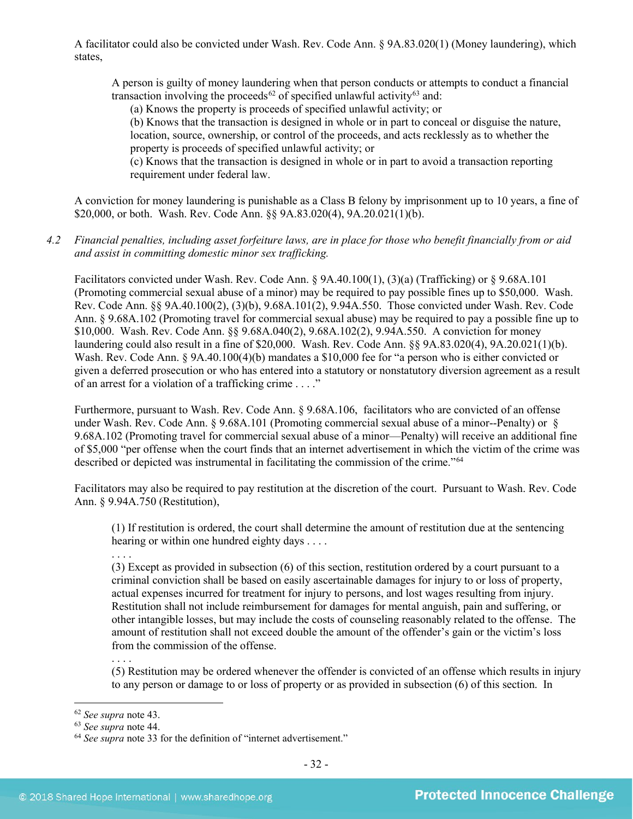A facilitator could also be convicted under Wash. Rev. Code Ann. § 9A.83.020(1) (Money laundering), which states,

A person is guilty of money laundering when that person conducts or attempts to conduct a financial transaction involving the proceeds<sup>[62](#page-31-0)</sup> of specified unlawful activity<sup>[63](#page-31-1)</sup> and:

(a) Knows the property is proceeds of specified unlawful activity; or

(b) Knows that the transaction is designed in whole or in part to conceal or disguise the nature, location, source, ownership, or control of the proceeds, and acts recklessly as to whether the property is proceeds of specified unlawful activity; or

(c) Knows that the transaction is designed in whole or in part to avoid a transaction reporting requirement under federal law.

A conviction for money laundering is punishable as a Class B felony by imprisonment up to 10 years, a fine of \$20,000, or both. Wash. Rev. Code Ann. §§ 9A.83.020(4), 9A.20.021(1)(b).

*4.2 Financial penalties, including asset forfeiture laws, are in place for those who benefit financially from or aid and assist in committing domestic minor sex trafficking.*

Facilitators convicted under Wash. Rev. Code Ann. § 9A.40.100(1), (3)(a) (Trafficking) or § 9.68A.101 (Promoting commercial sexual abuse of a minor) may be required to pay possible fines up to \$50,000. Wash. Rev. Code Ann. §§ 9A.40.100(2), (3)(b), 9.68A.101(2), 9.94A.550. Those convicted under Wash. Rev. Code Ann. § 9.68A.102 (Promoting travel for commercial sexual abuse) may be required to pay a possible fine up to \$10,000. Wash. Rev. Code Ann. §§ 9.68A.040(2), 9.68A.102(2), 9.94A.550. A conviction for money laundering could also result in a fine of \$20,000. Wash. Rev. Code Ann. §§ 9A.83.020(4), 9A.20.021(1)(b). Wash. Rev. Code Ann. § 9A.40.100(4)(b) mandates a \$10,000 fee for "a person who is either convicted or given a deferred prosecution or who has entered into a statutory or nonstatutory diversion agreement as a result of an arrest for a violation of a trafficking crime . . . ."

Furthermore, pursuant to Wash. Rev. Code Ann. § 9.68A.106, facilitators who are convicted of an offense under Wash. Rev. Code Ann. § 9.68A.101 (Promoting commercial sexual abuse of a minor--Penalty) or § 9.68A.102 (Promoting travel for commercial sexual abuse of a minor—Penalty) will receive an additional fine of \$5,000 "per offense when the court finds that an internet advertisement in which the victim of the crime was described or depicted was instrumental in facilitating the commission of the crime.["64](#page-31-2)

Facilitators may also be required to pay restitution at the discretion of the court. Pursuant to Wash. Rev. Code Ann. § 9.94A.750 (Restitution),

(1) If restitution is ordered, the court shall determine the amount of restitution due at the sentencing hearing or within one hundred eighty days . . . .

. . . .

(3) Except as provided in subsection (6) of this section, restitution ordered by a court pursuant to a criminal conviction shall be based on easily ascertainable damages for injury to or loss of property, actual expenses incurred for treatment for injury to persons, and lost wages resulting from injury. Restitution shall not include reimbursement for damages for mental anguish, pain and suffering, or other intangible losses, but may include the costs of counseling reasonably related to the offense. The amount of restitution shall not exceed double the amount of the offender's gain or the victim's loss from the commission of the offense.

(5) Restitution may be ordered whenever the offender is convicted of an offense which results in injury to any person or damage to or loss of property or as provided in subsection (6) of this section. In

. . . .

<span id="page-31-0"></span> <sup>62</sup> *See supra* note [43.](#page-21-5)

<span id="page-31-1"></span><sup>63</sup> *See supra* note [44.](#page-21-6)

<span id="page-31-2"></span><sup>64</sup> *See supra* note [33](#page-15-2) for the definition of "internet advertisement."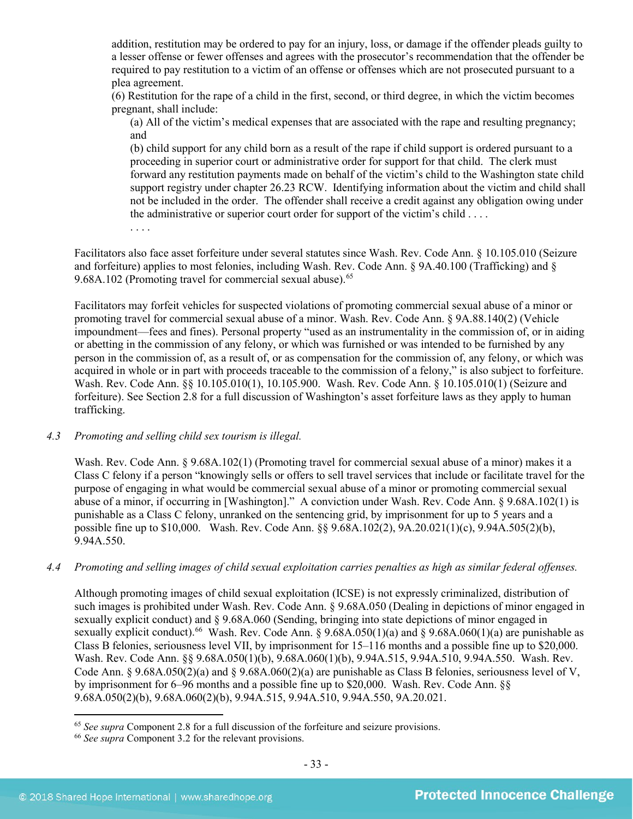addition, restitution may be ordered to pay for an injury, loss, or damage if the offender pleads guilty to a lesser offense or fewer offenses and agrees with the prosecutor's recommendation that the offender be required to pay restitution to a victim of an offense or offenses which are not prosecuted pursuant to a plea agreement.

(6) Restitution for the rape of a child in the first, second, or third degree, in which the victim becomes pregnant, shall include:

(a) All of the victim's medical expenses that are associated with the rape and resulting pregnancy; and

(b) child support for any child born as a result of the rape if child support is ordered pursuant to a proceeding in superior court or administrative order for support for that child. The clerk must forward any restitution payments made on behalf of the victim's child to the Washington state child support registry under chapter 26.23 RCW. Identifying information about the victim and child shall not be included in the order. The offender shall receive a credit against any obligation owing under the administrative or superior court order for support of the victim's child . . . .

Facilitators also face asset forfeiture under several statutes since Wash. Rev. Code Ann. § 10.105.010 (Seizure and forfeiture) applies to most felonies, including Wash. Rev. Code Ann. § 9A.40.100 (Trafficking) and § 9.68A.102 (Promoting travel for commercial sexual abuse).<sup>[65](#page-32-0)</sup>

Facilitators may forfeit vehicles for suspected violations of promoting commercial sexual abuse of a minor or promoting travel for commercial sexual abuse of a minor. Wash. Rev. Code Ann. § 9A.88.140(2) (Vehicle impoundment—fees and fines). Personal property "used as an instrumentality in the commission of, or in aiding or abetting in the commission of any felony, or which was furnished or was intended to be furnished by any person in the commission of, as a result of, or as compensation for the commission of, any felony, or which was acquired in whole or in part with proceeds traceable to the commission of a felony," is also subject to forfeiture. Wash. Rev. Code Ann. §§ 10.105.010(1), 10.105.900. Wash. Rev. Code Ann. § 10.105.010(1) (Seizure and forfeiture). See Section 2.8 for a full discussion of Washington's asset forfeiture laws as they apply to human trafficking.

# *4.3 Promoting and selling child sex tourism is illegal.*

. . . .

Wash. Rev. Code Ann. § 9.68A.102(1) (Promoting travel for commercial sexual abuse of a minor) makes it a Class C felony if a person "knowingly sells or offers to sell travel services that include or facilitate travel for the purpose of engaging in what would be commercial sexual abuse of a minor or promoting commercial sexual abuse of a minor, if occurring in [Washington]." A conviction under Wash. Rev. Code Ann. § 9.68A.102(1) is punishable as a Class C felony, unranked on the sentencing grid, by imprisonment for up to 5 years and a possible fine up to \$10,000. Wash. Rev. Code Ann. §§ 9.68A.102(2), 9A.20.021(1)(c), 9.94A.505(2)(b), 9.94A.550.

# *4.4 Promoting and selling images of child sexual exploitation carries penalties as high as similar federal offenses.*

Although promoting images of child sexual exploitation (ICSE) is not expressly criminalized, distribution of such images is prohibited under Wash. Rev. Code Ann. § 9.68A.050 (Dealing in depictions of minor engaged in sexually explicit conduct) and § 9.68A.060 (Sending, bringing into state depictions of minor engaged in sexually explicit conduct).<sup>66</sup> Wash. Rev. Code Ann. § 9.68A.050(1)(a) and § 9.68A.060(1)(a) are punishable as Class B felonies, seriousness level VII, by imprisonment for 15–116 months and a possible fine up to \$20,000. Wash. Rev. Code Ann. §§ 9.68A.050(1)(b), 9.68A.060(1)(b), 9.94A.515, 9.94A.510, 9.94A.550. Wash. Rev. Code Ann. § 9.68A.050(2)(a) and § 9.68A.060(2)(a) are punishable as Class B felonies, seriousness level of V, by imprisonment for 6–96 months and a possible fine up to \$20,000. Wash. Rev. Code Ann. §§ 9.68A.050(2)(b), 9.68A.060(2)(b), 9.94A.515, 9.94A.510, 9.94A.550, 9A.20.021.

<span id="page-32-0"></span> <sup>65</sup> *See supra* Component 2.8 for a full discussion of the forfeiture and seizure provisions.

<span id="page-32-1"></span><sup>66</sup> *See supra* Component 3.2 for the relevant provisions.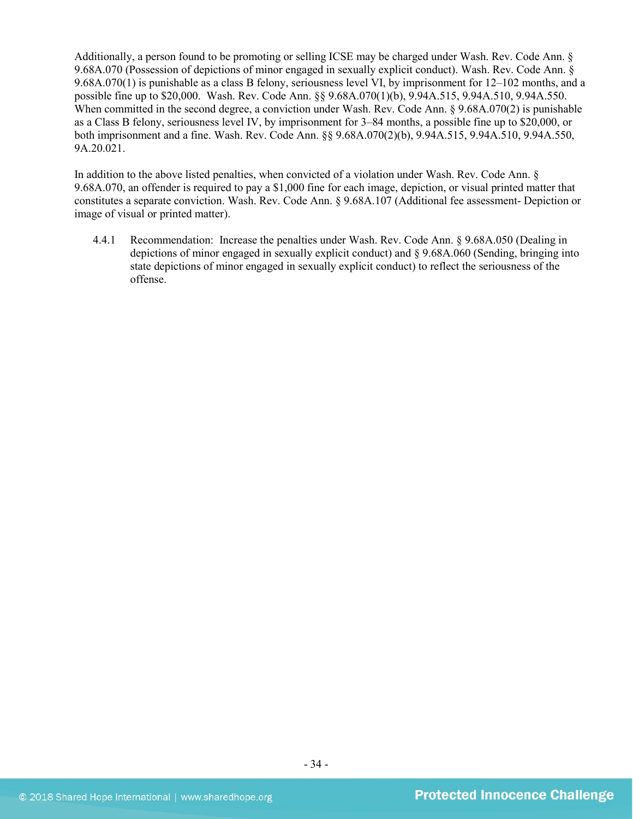Additionally, a person found to be promoting or selling ICSE may be charged under Wash. Rev. Code Ann. § 9.68A.070 (Possession of depictions of minor engaged in sexually explicit conduct). Wash. Rev. Code Ann. § 9.68A.070(1) is punishable as a class B felony, seriousness level VI, by imprisonment for 12–102 months, and a possible fine up to \$20,000. Wash. Rev. Code Ann. §§ 9.68A.070(1)(b), 9.94A.515, 9.94A.510, 9.94A.550. When committed in the second degree, a conviction under Wash. Rev. Code Ann. § 9.68A.070(2) is punishable as a Class B felony, seriousness level IV, by imprisonment for 3–84 months, a possible fine up to \$20,000, or both imprisonment and a fine. Wash. Rev. Code Ann. §§ 9.68A.070(2)(b), 9.94A.515, 9.94A.510, 9.94A.550, 9A.20.021.

In addition to the above listed penalties, when convicted of a violation under Wash. Rev. Code Ann. § 9.68A.070, an offender is required to pay a \$1,000 fine for each image, depiction, or visual printed matter that constitutes a separate conviction. Wash. Rev. Code Ann. § 9.68A.107 (Additional fee assessment- Depiction or image of visual or printed matter).

4.4.1 Recommendation: Increase the penalties under Wash. Rev. Code Ann. § 9.68A.050 (Dealing in depictions of minor engaged in sexually explicit conduct) and § 9.68A.060 (Sending, bringing into state depictions of minor engaged in sexually explicit conduct) to reflect the seriousness of the offense.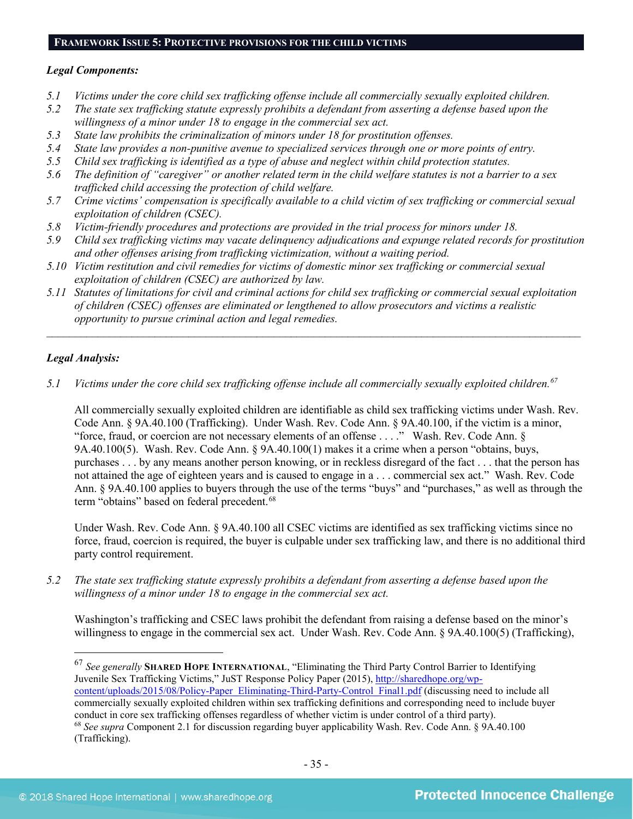## **FRAMEWORK ISSUE 5: PROTECTIVE PROVISIONS FOR THE CHILD VICTIMS**

# *Legal Components:*

- *5.1 Victims under the core child sex trafficking offense include all commercially sexually exploited children.*
- *5.2 The state sex trafficking statute expressly prohibits a defendant from asserting a defense based upon the willingness of a minor under 18 to engage in the commercial sex act.*
- *5.3 State law prohibits the criminalization of minors under 18 for prostitution offenses.*
- *5.4 State law provides a non-punitive avenue to specialized services through one or more points of entry.*
- *5.5 Child sex trafficking is identified as a type of abuse and neglect within child protection statutes.*
- *5.6 The definition of "caregiver" or another related term in the child welfare statutes is not a barrier to a sex trafficked child accessing the protection of child welfare.*
- *5.7 Crime victims' compensation is specifically available to a child victim of sex trafficking or commercial sexual exploitation of children (CSEC).*
- *5.8 Victim-friendly procedures and protections are provided in the trial process for minors under 18.*
- *5.9 Child sex trafficking victims may vacate delinquency adjudications and expunge related records for prostitution and other offenses arising from trafficking victimization, without a waiting period.*
- *5.10 Victim restitution and civil remedies for victims of domestic minor sex trafficking or commercial sexual exploitation of children (CSEC) are authorized by law.*
- *5.11 Statutes of limitations for civil and criminal actions for child sex trafficking or commercial sexual exploitation of children (CSEC) offenses are eliminated or lengthened to allow prosecutors and victims a realistic opportunity to pursue criminal action and legal remedies.*

*\_\_\_\_\_\_\_\_\_\_\_\_\_\_\_\_\_\_\_\_\_\_\_\_\_\_\_\_\_\_\_\_\_\_\_\_\_\_\_\_\_\_\_\_\_\_\_\_\_\_\_\_\_\_\_\_\_\_\_\_\_\_\_\_\_\_\_\_\_\_\_\_\_\_\_\_\_\_\_\_\_\_\_\_\_\_\_\_\_\_\_\_\_\_*

# *Legal Analysis:*

*5.1 Victims under the core child sex trafficking offense include all commercially sexually exploited children.[67](#page-34-0)*

All commercially sexually exploited children are identifiable as child sex trafficking victims under Wash. Rev. Code Ann. § 9A.40.100 (Trafficking). Under Wash. Rev. Code Ann. § 9A.40.100, if the victim is a minor, "force, fraud, or coercion are not necessary elements of an offense . . . ." Wash. Rev. Code Ann. § 9A.40.100(5). Wash. Rev. Code Ann. § 9A.40.100(1) makes it a crime when a person "obtains, buys, purchases . . . by any means another person knowing, or in reckless disregard of the fact . . . that the person has not attained the age of eighteen years and is caused to engage in a . . . commercial sex act." Wash. Rev. Code Ann. § 9A.40.100 applies to buyers through the use of the terms "buys" and "purchases," as well as through the term "obtains" based on federal precedent.<sup>[68](#page-34-1)</sup>

Under Wash. Rev. Code Ann. § 9A.40.100 all CSEC victims are identified as sex trafficking victims since no force, fraud, coercion is required, the buyer is culpable under sex trafficking law, and there is no additional third party control requirement.

*5.2 The state sex trafficking statute expressly prohibits a defendant from asserting a defense based upon the willingness of a minor under 18 to engage in the commercial sex act.* 

Washington's trafficking and CSEC laws prohibit the defendant from raising a defense based on the minor's willingness to engage in the commercial sex act. Under Wash. Rev. Code Ann. § 9A.40.100(5) (Trafficking),

<span id="page-34-1"></span><span id="page-34-0"></span> 67 *See generally* **SHARED HOPE INTERNATIONAL**, "Eliminating the Third Party Control Barrier to Identifying Juvenile Sex Trafficking Victims," JuST Response Policy Paper (2015), [http://sharedhope.org/wp](http://sharedhope.org/wp-content/uploads/2015/08/Policy-Paper_Eliminating-Third-Party-Control_Final1.pdf)[content/uploads/2015/08/Policy-Paper\\_Eliminating-Third-Party-Control\\_Final1.pdf](http://sharedhope.org/wp-content/uploads/2015/08/Policy-Paper_Eliminating-Third-Party-Control_Final1.pdf) (discussing need to include all commercially sexually exploited children within sex trafficking definitions and corresponding need to include buyer conduct in core sex trafficking offenses regardless of whether victim is under control of a third party). <sup>68</sup> *See supra* Component 2.1 for discussion regarding buyer applicability Wash. Rev. Code Ann. § 9A.40.100 (Trafficking).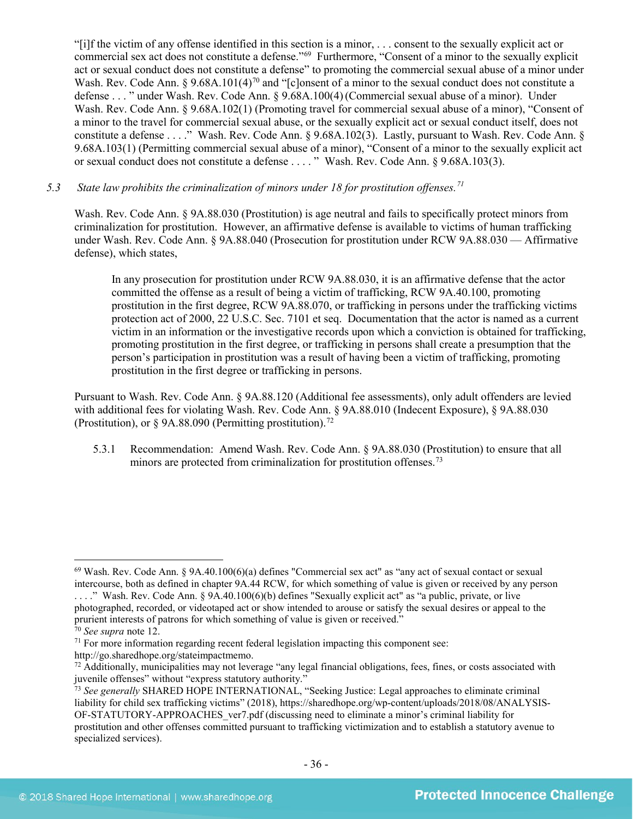"[i]f the victim of any offense identified in this section is a minor, . . . consent to the sexually explicit act or commercial sex act does not constitute a defense."[69](#page-35-0) Furthermore, "Consent of a minor to the sexually explicit act or sexual conduct does not constitute a defense" to promoting the commercial sexual abuse of a minor under Wash. Rev. Code Ann. § 9.68A.101(4)<sup>[70](#page-35-1)</sup> and "[c]onsent of a minor to the sexual conduct does not constitute a defense . . . " under Wash. Rev. Code Ann. § 9.68A.100(4)(Commercial sexual abuse of a minor). Under Wash. Rev. Code Ann. § 9.68A.102(1) (Promoting travel for commercial sexual abuse of a minor), "Consent of a minor to the travel for commercial sexual abuse, or the sexually explicit act or sexual conduct itself, does not constitute a defense . . . ." Wash. Rev. Code Ann. § 9.68A.102(3). Lastly, pursuant to Wash. Rev. Code Ann. § 9.68A.103(1) (Permitting commercial sexual abuse of a minor), "Consent of a minor to the sexually explicit act or sexual conduct does not constitute a defense . . . . " Wash. Rev. Code Ann. § 9.68A.103(3).

# *5.3 State law prohibits the criminalization of minors under 18 for prostitution offenses.[71](#page-35-2)*

Wash. Rev. Code Ann. § 9A.88.030 (Prostitution) is age neutral and fails to specifically protect minors from criminalization for prostitution. However, an affirmative defense is available to victims of human trafficking under Wash. Rev. Code Ann. § 9A.88.040 (Prosecution for prostitution under RCW 9A.88.030 — Affirmative defense), which states,

In any prosecution for prostitution under RCW 9A.88.030, it is an affirmative defense that the actor committed the offense as a result of being a victim of trafficking, RCW 9A.40.100, promoting prostitution in the first degree, RCW 9A.88.070, or trafficking in persons under the trafficking victims protection act of 2000, 22 U.S.C. Sec. 7101 et seq. Documentation that the actor is named as a current victim in an information or the investigative records upon which a conviction is obtained for trafficking, promoting prostitution in the first degree, or trafficking in persons shall create a presumption that the person's participation in prostitution was a result of having been a victim of trafficking, promoting prostitution in the first degree or trafficking in persons.

Pursuant to Wash. Rev. Code Ann. § 9A.88.120 (Additional fee assessments), only adult offenders are levied with additional fees for violating Wash. Rev. Code Ann. § 9A.88.010 (Indecent Exposure), § 9A.88.030 (Prostitution), or  $\frac{8}{9}$ A.88.090 (Permitting prostitution).<sup>[72](#page-35-3)</sup>

5.3.1 Recommendation: Amend Wash. Rev. Code Ann. § 9A.88.030 (Prostitution) to ensure that all minors are protected from criminalization for prostitution offenses.<sup>[73](#page-35-4)</sup>

<span id="page-35-0"></span> $69$  Wash. Rev. Code Ann. § 9A.40.100(6)(a) defines "Commercial sex act" as "any act of sexual contact or sexual intercourse, both as defined in chapter 9A.44 RCW, for which something of value is given or received by any person . . . ." Wash. Rev. Code Ann. § 9A.40.100(6)(b) defines "Sexually explicit act" as "a public, private, or live

photographed, recorded, or videotaped act or show intended to arouse or satisfy the sexual desires or appeal to the prurient interests of patrons for which something of value is given or received." 70 *See supra* note [12.](#page-4-4)

<span id="page-35-2"></span><span id="page-35-1"></span> $71$  For more information regarding recent federal legislation impacting this component see: http://go.sharedhope.org/stateimpactmemo.

<span id="page-35-3"></span> $72$  Additionally, municipalities may not leverage "any legal financial obligations, fees, fines, or costs associated with juvenile offenses" without "express statutory authority."

<span id="page-35-4"></span><sup>73</sup> *See generally* SHARED HOPE INTERNATIONAL, "Seeking Justice: Legal approaches to eliminate criminal liability for child sex trafficking victims" (2018), https://sharedhope.org/wp-content/uploads/2018/08/ANALYSIS-OF-STATUTORY-APPROACHES\_ver7.pdf (discussing need to eliminate a minor's criminal liability for prostitution and other offenses committed pursuant to trafficking victimization and to establish a statutory avenue to specialized services).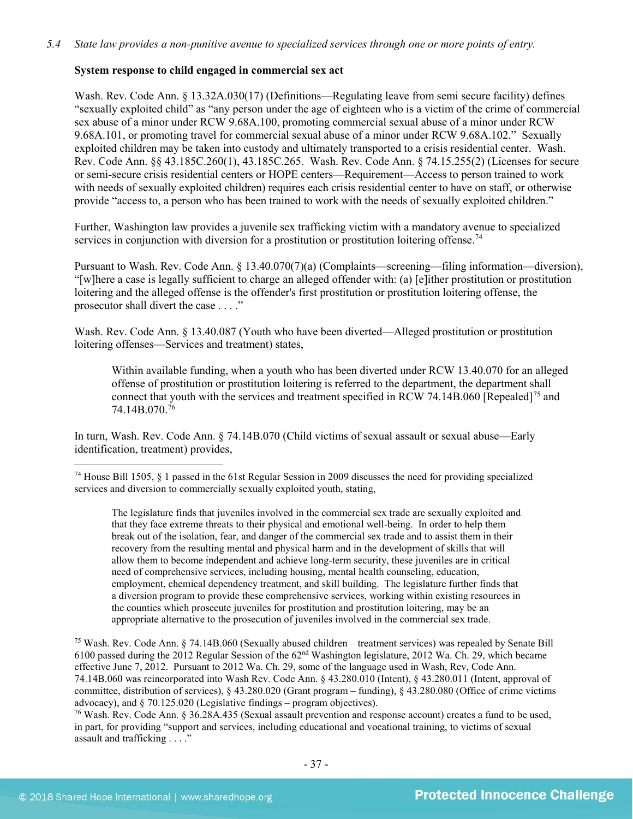# **System response to child engaged in commercial sex act**

Wash. Rev. Code Ann. § 13.32A.030(17) (Definitions—Regulating leave from semi secure facility) defines "sexually exploited child" as "any person under the age of eighteen who is a victim of the crime of commercial sex abuse of a minor under RCW 9.68A.100, promoting commercial sexual abuse of a minor under RCW 9.68A.101, or promoting travel for commercial sexual abuse of a minor under RCW 9.68A.102." Sexually exploited children may be taken into custody and ultimately transported to a crisis residential center. Wash. Rev. Code Ann. §§ 43.185C.260(1), 43.185C.265. Wash. Rev. Code Ann. § 74.15.255(2) (Licenses for secure or semi-secure crisis residential centers or HOPE centers—Requirement—Access to person trained to work with needs of sexually exploited children) requires each crisis residential center to have on staff, or otherwise provide "access to, a person who has been trained to work with the needs of sexually exploited children."

Further, Washington law provides a juvenile sex trafficking victim with a mandatory avenue to specialized services in conjunction with diversion for a prostitution or prostitution loitering offense.<sup>[74](#page-36-0)</sup>

Pursuant to Wash. Rev. Code Ann. § 13.40.070(7)(a) (Complaints—screening—filing information—diversion), "[w]here a case is legally sufficient to charge an alleged offender with: (a) [e]ither prostitution or prostitution loitering and the alleged offense is the offender's first prostitution or prostitution loitering offense, the prosecutor shall divert the case . . . ."

Wash. Rev. Code Ann. § 13.40.087 (Youth who have been diverted—Alleged prostitution or prostitution loitering offenses—Services and treatment) states,

Within available funding, when a youth who has been diverted under RCW 13.40.070 for an alleged offense of prostitution or prostitution loitering is referred to the department, the department shall connect that youth with the services and treatment specified in RCW 74.14B.060 [Repealed]<sup>[75](#page-36-1)</sup> and 74.14B.070.[76](#page-36-2)

In turn, Wash. Rev. Code Ann. § 74.14B.070 (Child victims of sexual assault or sexual abuse—Early identification, treatment) provides,

The legislature finds that juveniles involved in the commercial sex trade are sexually exploited and that they face extreme threats to their physical and emotional well-being. In order to help them break out of the isolation, fear, and danger of the commercial sex trade and to assist them in their recovery from the resulting mental and physical harm and in the development of skills that will allow them to become independent and achieve long-term security, these juveniles are in critical need of comprehensive services, including housing, mental health counseling, education, employment, chemical dependency treatment, and skill building. The legislature further finds that a diversion program to provide these comprehensive services, working within existing resources in the counties which prosecute juveniles for prostitution and prostitution loitering, may be an appropriate alternative to the prosecution of juveniles involved in the commercial sex trade.

<span id="page-36-1"></span><sup>75</sup> Wash. Rev. Code Ann. § 74.14B.060 (Sexually abused children – treatment services) was repealed by Senate Bill 6100 passed during the 2012 Regular Session of the 62nd Washington legislature, 2012 Wa. Ch. 29, which became effective June 7, 2012. Pursuant to 2012 Wa. Ch. 29, some of the language used in Wash, Rev, Code Ann. 74.14B.060 was reincorporated into Wash Rev. Code Ann. § 43.280.010 (Intent), § 43.280.011 (Intent, approval of committee, distribution of services), § 43.280.020 (Grant program – funding), § 43.280.080 (Office of crime victims advocacy), and § 70.125.020 (Legislative findings – program objectives).

<span id="page-36-2"></span><sup>76</sup> Wash. Rev. Code Ann. § 36.28A.435 (Sexual assault prevention and response account) creates a fund to be used, in part, for providing "support and services, including educational and vocational training, to victims of sexual assault and trafficking . . . ."

<span id="page-36-0"></span> <sup>74</sup> House Bill 1505, § <sup>1</sup> passed in the 61st Regular Session in 2009 discusses the need for providing specialized services and diversion to commercially sexually exploited youth, stating,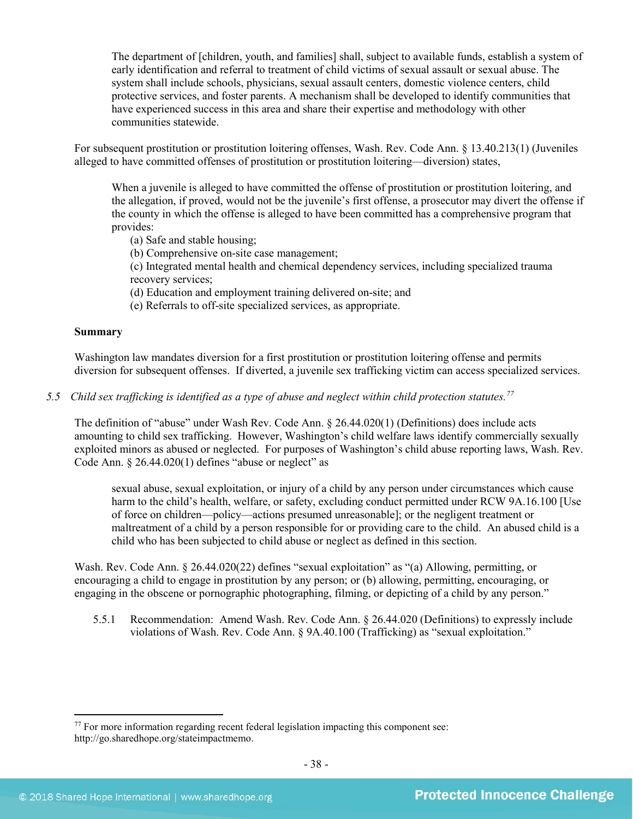The department of [children, youth, and families] shall, subject to available funds, establish a system of early identification and referral to treatment of child victims of sexual assault or sexual abuse. The system shall include schools, physicians, sexual assault centers, domestic violence centers, child protective services, and foster parents. A mechanism shall be developed to identify communities that have experienced success in this area and share their expertise and methodology with other communities statewide.

For subsequent prostitution or prostitution loitering offenses, Wash. Rev. Code Ann. § 13.40.213(1) (Juveniles alleged to have committed offenses of prostitution or prostitution loitering—diversion) states,

When a juvenile is alleged to have committed the offense of prostitution or prostitution loitering, and the allegation, if proved, would not be the juvenile's first offense, a prosecutor may divert the offense if the county in which the offense is alleged to have been committed has a comprehensive program that provides:

- (a) Safe and stable housing;
- (b) Comprehensive on-site case management;

(c) Integrated mental health and chemical dependency services, including specialized trauma recovery services;

- (d) Education and employment training delivered on-site; and
- (e) Referrals to off-site specialized services, as appropriate.

#### **Summary**

Washington law mandates diversion for a first prostitution or prostitution loitering offense and permits diversion for subsequent offenses. If diverted, a juvenile sex trafficking victim can access specialized services.

*5.5 Child sex trafficking is identified as a type of abuse and neglect within child protection statutes.[77](#page-37-0)*

The definition of "abuse" under Wash Rev. Code Ann. § 26.44.020(1) (Definitions) does include acts amounting to child sex trafficking. However, Washington's child welfare laws identify commercially sexually exploited minors as abused or neglected. For purposes of Washington's child abuse reporting laws, Wash. Rev. Code Ann.  $\S 26.44.020(1)$  defines "abuse or neglect" as

sexual abuse, sexual exploitation, or injury of a child by any person under circumstances which cause harm to the child's health, welfare, or safety, excluding conduct permitted under RCW 9A.16.100 [Use of force on children—policy—actions presumed unreasonable]; or the negligent treatment or maltreatment of a child by a person responsible for or providing care to the child. An abused child is a child who has been subjected to child abuse or neglect as defined in this section.

Wash. Rev. Code Ann. § 26.44.020(22) defines "sexual exploitation" as "(a) Allowing, permitting, or encouraging a child to engage in prostitution by any person; or (b) allowing, permitting, encouraging, or engaging in the obscene or pornographic photographing, filming, or depicting of a child by any person."

5.5.1 Recommendation: Amend Wash. Rev. Code Ann. § 26.44.020 (Definitions) to expressly include violations of Wash. Rev. Code Ann. § 9A.40.100 (Trafficking) as "sexual exploitation."

<span id="page-37-0"></span> $77$  For more information regarding recent federal legislation impacting this component see: http://go.sharedhope.org/stateimpactmemo.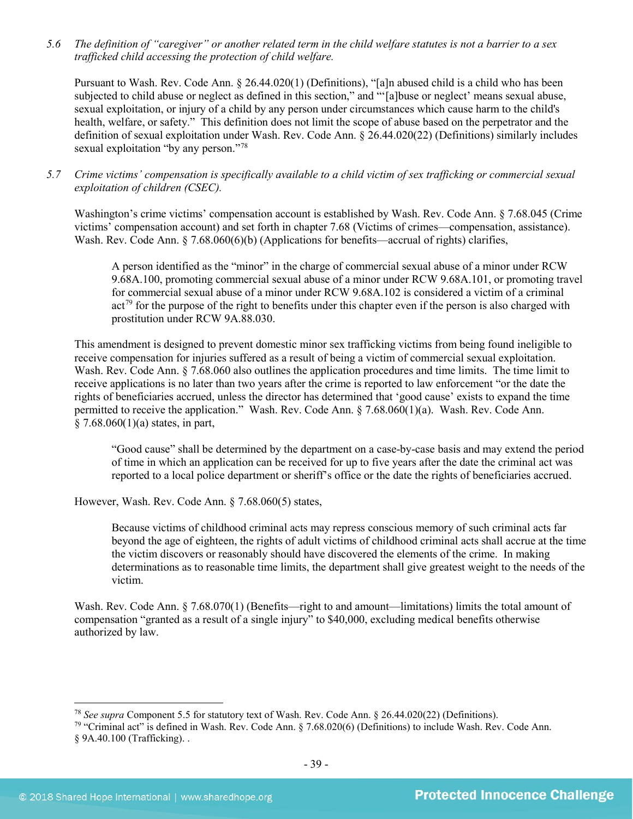*5.6 The definition of "caregiver" or another related term in the child welfare statutes is not a barrier to a sex trafficked child accessing the protection of child welfare.*

Pursuant to Wash. Rev. Code Ann. § 26.44.020(1) (Definitions), "[a]n abused child is a child who has been subjected to child abuse or neglect as defined in this section," and "'[a]buse or neglect' means sexual abuse, sexual exploitation, or injury of a child by any person under circumstances which cause harm to the child's health, welfare, or safety." This definition does not limit the scope of abuse based on the perpetrator and the definition of sexual exploitation under Wash. Rev. Code Ann. § 26.44.020(22) (Definitions) similarly includes sexual exploitation "by any person."<sup>[78](#page-38-0)</sup>

*5.7 Crime victims' compensation is specifically available to a child victim of sex trafficking or commercial sexual exploitation of children (CSEC).*

Washington's crime victims' compensation account is established by Wash. Rev. Code Ann. § 7.68.045 (Crime victims' compensation account) and set forth in chapter 7.68 (Victims of crimes—compensation, assistance). Wash. Rev. Code Ann. § 7.68.060(6)(b) (Applications for benefits—accrual of rights) clarifies,

A person identified as the "minor" in the charge of commercial sexual abuse of a minor under RCW 9.68A.100, promoting commercial sexual abuse of a minor under RCW 9.68A.101, or promoting travel for commercial sexual abuse of a minor under RCW 9.68A.102 is considered a victim of a criminal  $act<sup>79</sup>$  $act<sup>79</sup>$  $act<sup>79</sup>$  for the purpose of the right to benefits under this chapter even if the person is also charged with prostitution under RCW 9A.88.030.

This amendment is designed to prevent domestic minor sex trafficking victims from being found ineligible to receive compensation for injuries suffered as a result of being a victim of commercial sexual exploitation. Wash. Rev. Code Ann. § 7.68.060 also outlines the application procedures and time limits. The time limit to receive applications is no later than two years after the crime is reported to law enforcement "or the date the rights of beneficiaries accrued, unless the director has determined that 'good cause' exists to expand the time permitted to receive the application." Wash. Rev. Code Ann. § 7.68.060(1)(a). Wash. Rev. Code Ann. § 7.68.060(1)(a) states, in part,

"Good cause" shall be determined by the department on a case-by-case basis and may extend the period of time in which an application can be received for up to five years after the date the criminal act was reported to a local police department or sheriff's office or the date the rights of beneficiaries accrued.

However, Wash. Rev. Code Ann. § 7.68.060(5) states,

Because victims of childhood criminal acts may repress conscious memory of such criminal acts far beyond the age of eighteen, the rights of adult victims of childhood criminal acts shall accrue at the time the victim discovers or reasonably should have discovered the elements of the crime. In making determinations as to reasonable time limits, the department shall give greatest weight to the needs of the victim.

Wash. Rev. Code Ann. § 7.68.070(1) (Benefits—right to and amount—limitations) limits the total amount of compensation "granted as a result of a single injury" to \$40,000, excluding medical benefits otherwise authorized by law.

 <sup>78</sup> *See supra* Component 5.5 for statutory text of Wash. Rev. Code Ann. § 26.44.020(22) (Definitions).

<span id="page-38-1"></span><span id="page-38-0"></span><sup>&</sup>lt;sup>79</sup> "Criminal act" is defined in Wash. Rev. Code Ann.  $\S 7.68.020(6)$  (Definitions) to include Wash. Rev. Code Ann. § 9A.40.100 (Trafficking). .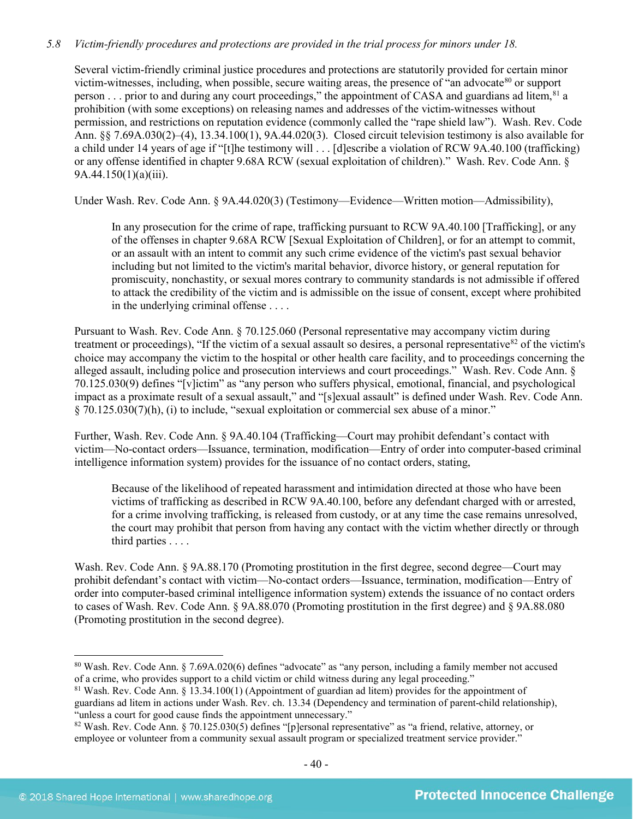# *5.8 Victim-friendly procedures and protections are provided in the trial process for minors under 18.*

Several victim-friendly criminal justice procedures and protections are statutorily provided for certain minor victim-witnesses, including, when possible, secure waiting areas, the presence of "an advocate<sup>[80](#page-39-0)</sup> or support person  $\ldots$  prior to and during any court proceedings," the appointment of CASA and guardians ad litem,  $81$  a prohibition (with some exceptions) on releasing names and addresses of the victim-witnesses without permission, and restrictions on reputation evidence (commonly called the "rape shield law"). Wash. Rev. Code Ann. §§ 7.69A.030(2)–(4), 13.34.100(1), 9A.44.020(3). Closed circuit television testimony is also available for a child under 14 years of age if "[t]he testimony will . . . [d]escribe a violation of RCW 9A.40.100 (trafficking) or any offense identified in chapter 9.68A RCW (sexual exploitation of children)." Wash. Rev. Code Ann. § 9A.44.150(1)(a)(iii).

Under Wash. Rev. Code Ann. § 9A.44.020(3) (Testimony—Evidence—Written motion—Admissibility),

In any prosecution for the crime of rape, trafficking pursuant to RCW 9A.40.100 [Trafficking], or any of the offenses in chapter 9.68A RCW [Sexual Exploitation of Children], or for an attempt to commit, or an assault with an intent to commit any such crime evidence of the victim's past sexual behavior including but not limited to the victim's marital behavior, divorce history, or general reputation for promiscuity, nonchastity, or sexual mores contrary to community standards is not admissible if offered to attack the credibility of the victim and is admissible on the issue of consent, except where prohibited in the underlying criminal offense . . . .

Pursuant to Wash. Rev. Code Ann. § 70.125.060 (Personal representative may accompany victim during treatment or proceedings), "If the victim of a sexual assault so desires, a personal representative $82$  of the victim's choice may accompany the victim to the hospital or other health care facility, and to proceedings concerning the alleged assault, including police and prosecution interviews and court proceedings." Wash. Rev. Code Ann. § 70.125.030(9) defines "[v]ictim" as "any person who suffers physical, emotional, financial, and psychological impact as a proximate result of a sexual assault," and "[s]exual assault" is defined under Wash. Rev. Code Ann.  $\S$  70.125.030(7)(h), (i) to include, "sexual exploitation or commercial sex abuse of a minor."

Further, Wash. Rev. Code Ann. § 9A.40.104 (Trafficking—Court may prohibit defendant's contact with victim—No-contact orders—Issuance, termination, modification—Entry of order into computer-based criminal intelligence information system) provides for the issuance of no contact orders, stating,

Because of the likelihood of repeated harassment and intimidation directed at those who have been victims of trafficking as described in RCW 9A.40.100, before any defendant charged with or arrested, for a crime involving trafficking, is released from custody, or at any time the case remains unresolved, the court may prohibit that person from having any contact with the victim whether directly or through third parties . . . .

Wash. Rev. Code Ann. § 9A.88.170 (Promoting prostitution in the first degree, second degree—Court may prohibit defendant's contact with victim—No-contact orders—Issuance, termination, modification—Entry of order into computer-based criminal intelligence information system) extends the issuance of no contact orders to cases of Wash. Rev. Code Ann. § 9A.88.070 (Promoting prostitution in the first degree) and § 9A.88.080 (Promoting prostitution in the second degree).

<span id="page-39-0"></span> <sup>80</sup> Wash. Rev. Code Ann. § 7.69A.020(6) defines "advocate" as "any person, including a family member not accused of a crime, who provides support to a child victim or child witness during any legal proceeding."

<span id="page-39-1"></span><sup>81</sup> Wash. Rev. Code Ann. § 13.34.100(1) (Appointment of guardian ad litem) provides for the appointment of guardians ad litem in actions under Wash. Rev. ch. 13.34 (Dependency and termination of parent-child relationship), "unless a court for good cause finds the appointment unnecessary."

<span id="page-39-2"></span><sup>&</sup>lt;sup>82</sup> Wash. Rev. Code Ann. § 70.125.030(5) defines "[p]ersonal representative" as "a friend, relative, attorney, or employee or volunteer from a community sexual assault program or specialized treatment service provider."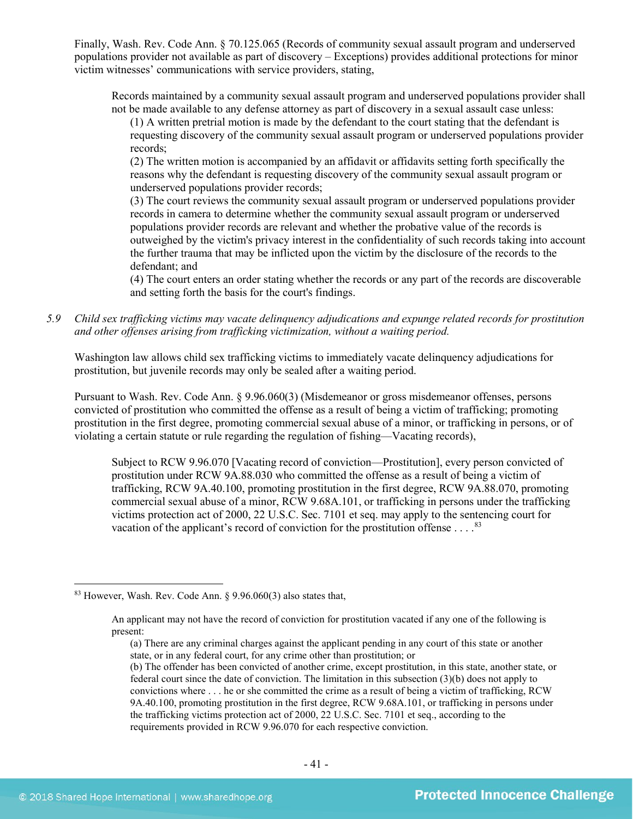Finally, Wash. Rev. Code Ann. § 70.125.065 (Records of community sexual assault program and underserved populations provider not available as part of discovery – Exceptions) provides additional protections for minor victim witnesses' communications with service providers, stating,

Records maintained by a community sexual assault program and underserved populations provider shall not be made available to any defense attorney as part of discovery in a sexual assault case unless:

(1) A written pretrial motion is made by the defendant to the court stating that the defendant is requesting discovery of the community sexual assault program or underserved populations provider records;

(2) The written motion is accompanied by an affidavit or affidavits setting forth specifically the reasons why the defendant is requesting discovery of the community sexual assault program or underserved populations provider records;

(3) The court reviews the community sexual assault program or underserved populations provider records in camera to determine whether the community sexual assault program or underserved populations provider records are relevant and whether the probative value of the records is outweighed by the victim's privacy interest in the confidentiality of such records taking into account the further trauma that may be inflicted upon the victim by the disclosure of the records to the defendant; and

(4) The court enters an order stating whether the records or any part of the records are discoverable and setting forth the basis for the court's findings.

*5.9 Child sex trafficking victims may vacate delinquency adjudications and expunge related records for prostitution and other offenses arising from trafficking victimization, without a waiting period.*

Washington law allows child sex trafficking victims to immediately vacate delinquency adjudications for prostitution, but juvenile records may only be sealed after a waiting period.

Pursuant to Wash. Rev. Code Ann. § 9.96.060(3) (Misdemeanor or gross misdemeanor offenses, persons convicted of prostitution who committed the offense as a result of being a victim of trafficking; promoting prostitution in the first degree, promoting commercial sexual abuse of a minor, or trafficking in persons, or of violating a certain statute or rule regarding the regulation of fishing—Vacating records),

Subject to RCW 9.96.070 [Vacating record of conviction—Prostitution], every person convicted of prostitution under RCW 9A.88.030 who committed the offense as a result of being a victim of trafficking, RCW 9A.40.100, promoting prostitution in the first degree, RCW 9A.88.070, promoting commercial sexual abuse of a minor, RCW 9.68A.101, or trafficking in persons under the trafficking victims protection act of 2000, 22 U.S.C. Sec. 7101 et seq. may apply to the sentencing court for vacation of the applicant's record of conviction for the prostitution offense  $\dots$ .<sup>[83](#page-40-0)</sup>

<span id="page-40-0"></span> <sup>83</sup> However, Wash. Rev. Code Ann. § 9.96.060(3) also states that,

An applicant may not have the record of conviction for prostitution vacated if any one of the following is present:

<sup>(</sup>a) There are any criminal charges against the applicant pending in any court of this state or another state, or in any federal court, for any crime other than prostitution; or

<sup>(</sup>b) The offender has been convicted of another crime, except prostitution, in this state, another state, or federal court since the date of conviction. The limitation in this subsection (3)(b) does not apply to convictions where . . . he or she committed the crime as a result of being a victim of trafficking, RCW 9A.40.100, promoting prostitution in the first degree, RCW 9.68A.101, or trafficking in persons under the trafficking victims protection act of 2000, 22 U.S.C. Sec. 7101 et seq., according to the requirements provided in RCW 9.96.070 for each respective conviction.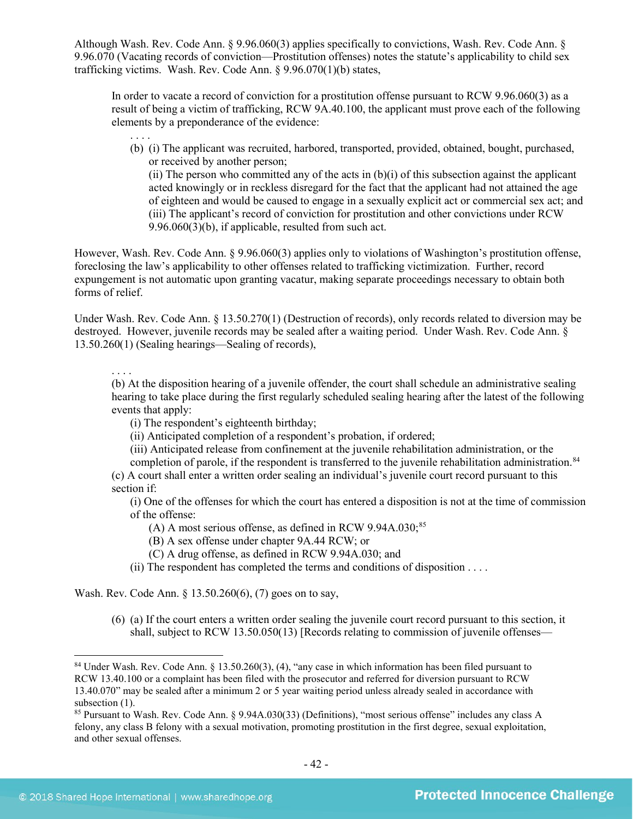Although Wash. Rev. Code Ann. § 9.96.060(3) applies specifically to convictions, Wash. Rev. Code Ann. § 9.96.070 (Vacating records of conviction—Prostitution offenses) notes the statute's applicability to child sex trafficking victims. Wash. Rev. Code Ann. § 9.96.070(1)(b) states,

In order to vacate a record of conviction for a prostitution offense pursuant to RCW 9.96.060(3) as a result of being a victim of trafficking, RCW 9A.40.100, the applicant must prove each of the following elements by a preponderance of the evidence:

. . . . (b) (i) The applicant was recruited, harbored, transported, provided, obtained, bought, purchased, or received by another person;

(ii) The person who committed any of the acts in  $(b)(i)$  of this subsection against the applicant acted knowingly or in reckless disregard for the fact that the applicant had not attained the age of eighteen and would be caused to engage in a sexually explicit act or commercial sex act; and (iii) The applicant's record of conviction for prostitution and other convictions under RCW 9.96.060(3)(b), if applicable, resulted from such act.

However, Wash. Rev. Code Ann. § 9.96.060(3) applies only to violations of Washington's prostitution offense, foreclosing the law's applicability to other offenses related to trafficking victimization. Further, record expungement is not automatic upon granting vacatur, making separate proceedings necessary to obtain both forms of relief.

Under Wash. Rev. Code Ann. § 13.50.270(1) (Destruction of records), only records related to diversion may be destroyed. However, juvenile records may be sealed after a waiting period. Under Wash. Rev. Code Ann. § 13.50.260(1) (Sealing hearings—Sealing of records),

. . . .

(b) At the disposition hearing of a juvenile offender, the court shall schedule an administrative sealing hearing to take place during the first regularly scheduled sealing hearing after the latest of the following events that apply:

- (i) The respondent's eighteenth birthday;
- (ii) Anticipated completion of a respondent's probation, if ordered;
- (iii) Anticipated release from confinement at the juvenile rehabilitation administration, or the

completion of parole, if the respondent is transferred to the juvenile rehabilitation administration.<sup>[84](#page-41-0)</sup> (c) A court shall enter a written order sealing an individual's juvenile court record pursuant to this section if:

(i) One of the offenses for which the court has entered a disposition is not at the time of commission of the offense:

- (A) A most serious offense, as defined in RCW  $9.94A.030$ ;<sup>85</sup>
- (B) A sex offense under chapter 9A.44 RCW; or
- (C) A drug offense, as defined in RCW 9.94A.030; and
- (ii) The respondent has completed the terms and conditions of disposition . . . .

Wash. Rev. Code Ann. § 13.50.260(6), (7) goes on to say,

(6) (a) If the court enters a written order sealing the juvenile court record pursuant to this section, it shall, subject to RCW 13.50.050(13) [Records relating to commission of juvenile offenses—

<span id="page-41-0"></span> <sup>84</sup> Under Wash. Rev. Code Ann. § 13.50.260(3), (4), "any case in which information has been filed pursuant to RCW 13.40.100 or a complaint has been filed with the prosecutor and referred for diversion pursuant to RCW 13.40.070" may be sealed after a minimum 2 or 5 year waiting period unless already sealed in accordance with subsection  $(1)$ .

<span id="page-41-1"></span><sup>85</sup> Pursuant to Wash. Rev. Code Ann. § 9.94A.030(33) (Definitions), "most serious offense" includes any class A felony, any class B felony with a sexual motivation, promoting prostitution in the first degree, sexual exploitation, and other sexual offenses.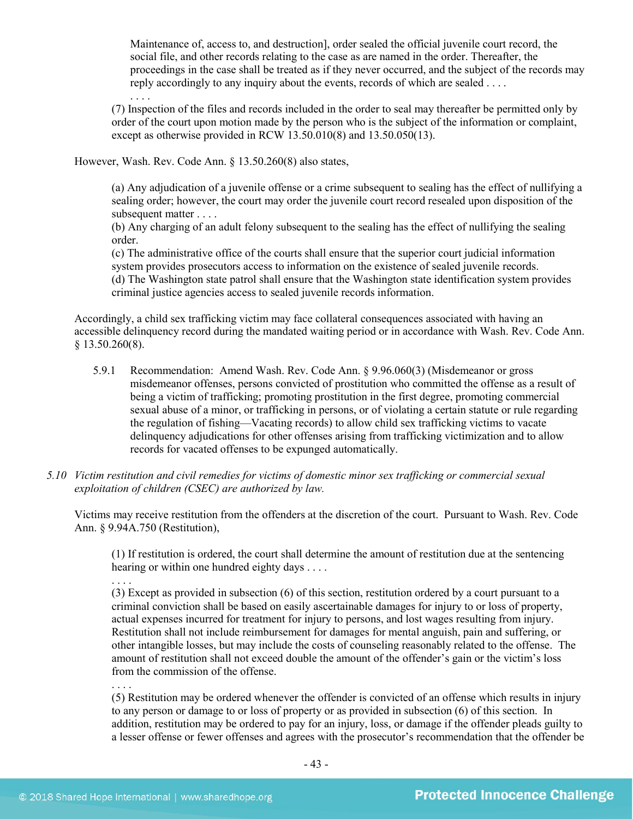Maintenance of, access to, and destruction], order sealed the official juvenile court record, the social file, and other records relating to the case as are named in the order. Thereafter, the proceedings in the case shall be treated as if they never occurred, and the subject of the records may reply accordingly to any inquiry about the events, records of which are sealed . . . .

. . . . (7) Inspection of the files and records included in the order to seal may thereafter be permitted only by order of the court upon motion made by the person who is the subject of the information or complaint, except as otherwise provided in RCW 13.50.010(8) and 13.50.050(13).

However, Wash. Rev. Code Ann. § 13.50.260(8) also states,

(a) Any adjudication of a juvenile offense or a crime subsequent to sealing has the effect of nullifying a sealing order; however, the court may order the juvenile court record resealed upon disposition of the subsequent matter . . . .

(b) Any charging of an adult felony subsequent to the sealing has the effect of nullifying the sealing order.

(c) The administrative office of the courts shall ensure that the superior court judicial information system provides prosecutors access to information on the existence of sealed juvenile records.

(d) The Washington state patrol shall ensure that the Washington state identification system provides criminal justice agencies access to sealed juvenile records information.

Accordingly, a child sex trafficking victim may face collateral consequences associated with having an accessible delinquency record during the mandated waiting period or in accordance with Wash. Rev. Code Ann.  $§$  13.50.260(8).

- 5.9.1 Recommendation: Amend Wash. Rev. Code Ann. § 9.96.060(3) (Misdemeanor or gross misdemeanor offenses, persons convicted of prostitution who committed the offense as a result of being a victim of trafficking; promoting prostitution in the first degree, promoting commercial sexual abuse of a minor, or trafficking in persons, or of violating a certain statute or rule regarding the regulation of fishing—Vacating records) to allow child sex trafficking victims to vacate delinquency adjudications for other offenses arising from trafficking victimization and to allow records for vacated offenses to be expunged automatically.
- *5.10 Victim restitution and civil remedies for victims of domestic minor sex trafficking or commercial sexual exploitation of children (CSEC) are authorized by law.*

Victims may receive restitution from the offenders at the discretion of the court. Pursuant to Wash. Rev. Code Ann. § 9.94A.750 (Restitution),

(1) If restitution is ordered, the court shall determine the amount of restitution due at the sentencing hearing or within one hundred eighty days . . . .

. . . .

(3) Except as provided in subsection (6) of this section, restitution ordered by a court pursuant to a criminal conviction shall be based on easily ascertainable damages for injury to or loss of property, actual expenses incurred for treatment for injury to persons, and lost wages resulting from injury. Restitution shall not include reimbursement for damages for mental anguish, pain and suffering, or other intangible losses, but may include the costs of counseling reasonably related to the offense. The amount of restitution shall not exceed double the amount of the offender's gain or the victim's loss from the commission of the offense.

. . . . (5) Restitution may be ordered whenever the offender is convicted of an offense which results in injury to any person or damage to or loss of property or as provided in subsection (6) of this section. In addition, restitution may be ordered to pay for an injury, loss, or damage if the offender pleads guilty to a lesser offense or fewer offenses and agrees with the prosecutor's recommendation that the offender be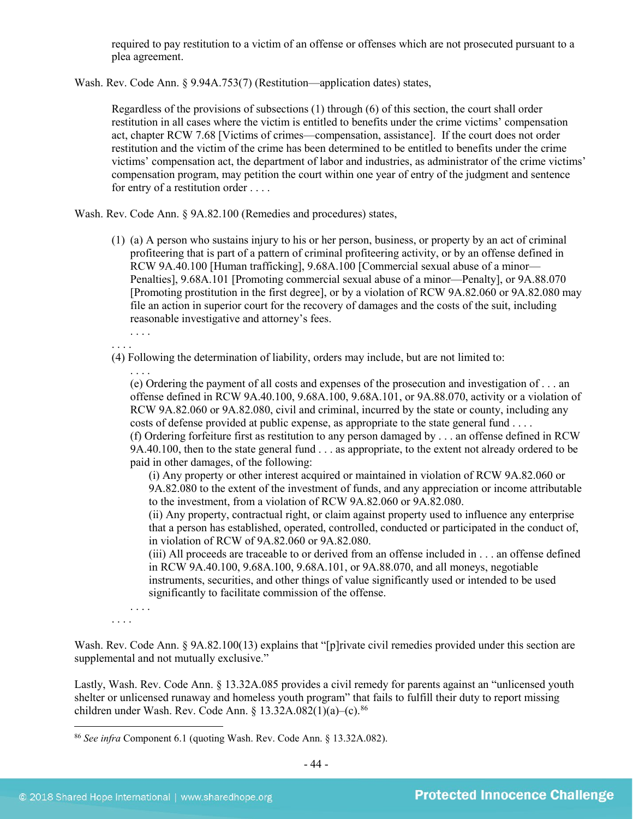required to pay restitution to a victim of an offense or offenses which are not prosecuted pursuant to a plea agreement.

Wash. Rev. Code Ann. § 9.94A.753(7) (Restitution—application dates) states,

Regardless of the provisions of subsections (1) through (6) of this section, the court shall order restitution in all cases where the victim is entitled to benefits under the crime victims' compensation act, chapter RCW 7.68 [Victims of crimes—compensation, assistance]. If the court does not order restitution and the victim of the crime has been determined to be entitled to benefits under the crime victims' compensation act, the department of labor and industries, as administrator of the crime victims' compensation program, may petition the court within one year of entry of the judgment and sentence for entry of a restitution order . . . .

Wash. Rev. Code Ann. § 9A.82.100 (Remedies and procedures) states,

(1) (a) A person who sustains injury to his or her person, business, or property by an act of criminal profiteering that is part of a pattern of criminal profiteering activity, or by an offense defined in RCW 9A.40.100 [Human trafficking], 9.68A.100 [Commercial sexual abuse of a minor— Penalties], 9.68A.101 [Promoting commercial sexual abuse of a minor—Penalty], or 9A.88.070 [Promoting prostitution in the first degree], or by a violation of RCW 9A.82.060 or 9A.82.080 may file an action in superior court for the recovery of damages and the costs of the suit, including reasonable investigative and attorney's fees.

. . . . . . . .

(4) Following the determination of liability, orders may include, but are not limited to:

. . . . (e) Ordering the payment of all costs and expenses of the prosecution and investigation of . . . an offense defined in RCW 9A.40.100, 9.68A.100, 9.68A.101, or 9A.88.070, activity or a violation of RCW 9A.82.060 or 9A.82.080, civil and criminal, incurred by the state or county, including any costs of defense provided at public expense, as appropriate to the state general fund . . . . (f) Ordering forfeiture first as restitution to any person damaged by . . . an offense defined in RCW 9A.40.100, then to the state general fund . . . as appropriate, to the extent not already ordered to be

paid in other damages, of the following:

(i) Any property or other interest acquired or maintained in violation of RCW 9A.82.060 or 9A.82.080 to the extent of the investment of funds, and any appreciation or income attributable to the investment, from a violation of RCW 9A.82.060 or 9A.82.080.

(ii) Any property, contractual right, or claim against property used to influence any enterprise that a person has established, operated, controlled, conducted or participated in the conduct of, in violation of RCW of 9A.82.060 or 9A.82.080.

(iii) All proceeds are traceable to or derived from an offense included in . . . an offense defined in RCW 9A.40.100, 9.68A.100, 9.68A.101, or 9A.88.070, and all moneys, negotiable instruments, securities, and other things of value significantly used or intended to be used significantly to facilitate commission of the offense.

. . . . . . . .

Wash. Rev. Code Ann. § 9A.82.100(13) explains that "[p]rivate civil remedies provided under this section are supplemental and not mutually exclusive."

Lastly, Wash. Rev. Code Ann. § 13.32A.085 provides a civil remedy for parents against an "unlicensed youth shelter or unlicensed runaway and homeless youth program" that fails to fulfill their duty to report missing children under Wash. Rev. Code Ann. §  $13.32A.082(1)(a)$ –(c).<sup>[86](#page-43-0)</sup>

<span id="page-43-0"></span> <sup>86</sup> *See infra* Component 6.1 (quoting Wash. Rev. Code Ann. § 13.32A.082).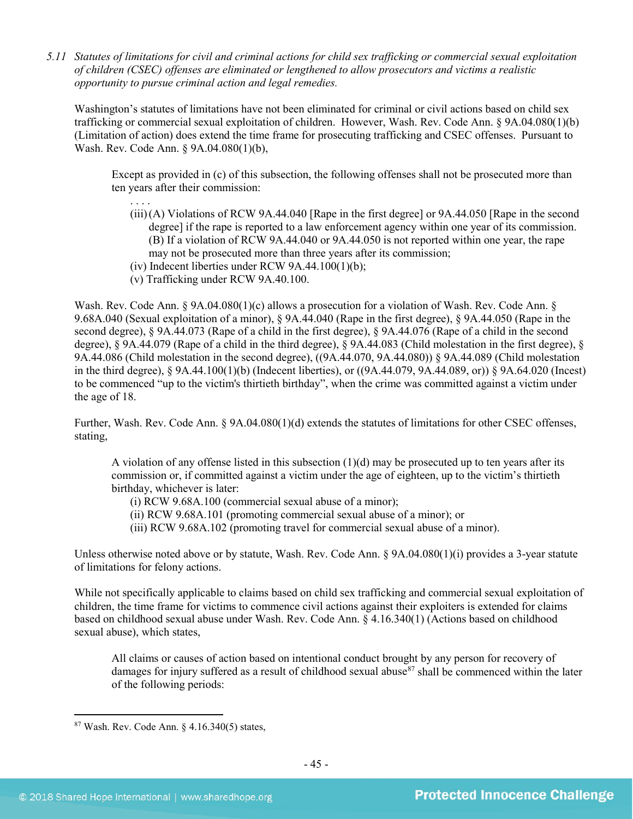*5.11 Statutes of limitations for civil and criminal actions for child sex trafficking or commercial sexual exploitation of children (CSEC) offenses are eliminated or lengthened to allow prosecutors and victims a realistic opportunity to pursue criminal action and legal remedies.*

Washington's statutes of limitations have not been eliminated for criminal or civil actions based on child sex trafficking or commercial sexual exploitation of children. However, Wash. Rev. Code Ann. § 9A.04.080(1)(b) (Limitation of action) does extend the time frame for prosecuting trafficking and CSEC offenses. Pursuant to Wash. Rev. Code Ann. § 9A.04.080(1)(b),

Except as provided in (c) of this subsection, the following offenses shall not be prosecuted more than ten years after their commission:

- . . . . (iii)(A) Violations of RCW 9A.44.040 [Rape in the first degree] or 9A.44.050 [Rape in the second degree] if the rape is reported to a law enforcement agency within one year of its commission. (B) If a violation of RCW 9A.44.040 or 9A.44.050 is not reported within one year, the rape may not be prosecuted more than three years after its commission;
- (iv) Indecent liberties under RCW  $9A.44.100(1)(b)$ ;
- (v) Trafficking under RCW 9A.40.100.

Wash. Rev. Code Ann. § 9A.04.080(1)(c) allows a prosecution for a violation of Wash. Rev. Code Ann. § 9.68A.040 (Sexual exploitation of a minor), § 9A.44.040 (Rape in the first degree), § 9A.44.050 (Rape in the second degree), § 9A.44.073 (Rape of a child in the first degree), § 9A.44.076 (Rape of a child in the second degree), § 9A.44.079 (Rape of a child in the third degree), § 9A.44.083 (Child molestation in the first degree), § 9A.44.086 (Child molestation in the second degree), ((9A.44.070, 9A.44.080)) § 9A.44.089 (Child molestation in the third degree), § 9A.44.100(1)(b) (Indecent liberties), or ((9A.44.079, 9A.44.089, or)) § 9A.64.020 (Incest) to be commenced "up to the victim's thirtieth birthday", when the crime was committed against a victim under the age of 18.

Further, Wash. Rev. Code Ann. § 9A.04.080(1)(d) extends the statutes of limitations for other CSEC offenses, stating,

A violation of any offense listed in this subsection  $(1)(d)$  may be prosecuted up to ten years after its commission or, if committed against a victim under the age of eighteen, up to the victim's thirtieth birthday, whichever is later:

- (i) RCW 9.68A.100 (commercial sexual abuse of a minor);
- (ii) RCW 9.68A.101 (promoting commercial sexual abuse of a minor); or

(iii) RCW 9.68A.102 (promoting travel for commercial sexual abuse of a minor).

Unless otherwise noted above or by statute, Wash. Rev. Code Ann. § 9A.04.080(1)(i) provides a 3-year statute of limitations for felony actions.

While not specifically applicable to claims based on child sex trafficking and commercial sexual exploitation of children, the time frame for victims to commence civil actions against their exploiters is extended for claims based on childhood sexual abuse under Wash. Rev. Code Ann. § 4.16.340(1) (Actions based on childhood sexual abuse), which states,

All claims or causes of action based on intentional conduct brought by any person for recovery of damages for injury suffered as a result of childhood sexual abuse<sup>87</sup> shall be commenced within the later of the following periods:

<span id="page-44-0"></span> $87$  Wash. Rev. Code Ann.  $§$  4.16.340(5) states,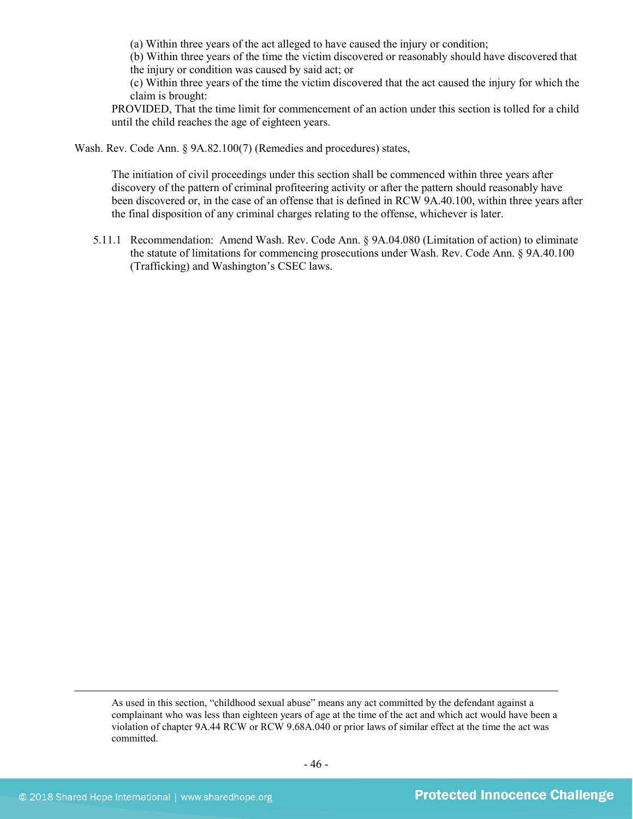(a) Within three years of the act alleged to have caused the injury or condition;

(b) Within three years of the time the victim discovered or reasonably should have discovered that the injury or condition was caused by said act; or

(c) Within three years of the time the victim discovered that the act caused the injury for which the claim is brought:

PROVIDED, That the time limit for commencement of an action under this section is tolled for a child until the child reaches the age of eighteen years.

Wash. Rev. Code Ann. § 9A.82.100(7) (Remedies and procedures) states,

The initiation of civil proceedings under this section shall be commenced within three years after discovery of the pattern of criminal profiteering activity or after the pattern should reasonably have been discovered or, in the case of an offense that is defined in RCW 9A.40.100, within three years after the final disposition of any criminal charges relating to the offense, whichever is later.

5.11.1 Recommendation: Amend Wash. Rev. Code Ann. § 9A.04.080 (Limitation of action) to eliminate the statute of limitations for commencing prosecutions under Wash. Rev. Code Ann. § 9A.40.100 (Trafficking) and Washington's CSEC laws.

 $\overline{a}$ 

As used in this section, "childhood sexual abuse" means any act committed by the defendant against a complainant who was less than eighteen years of age at the time of the act and which act would have been a violation of chapter 9A.44 RCW or RCW 9.68A.040 or prior laws of similar effect at the time the act was committed.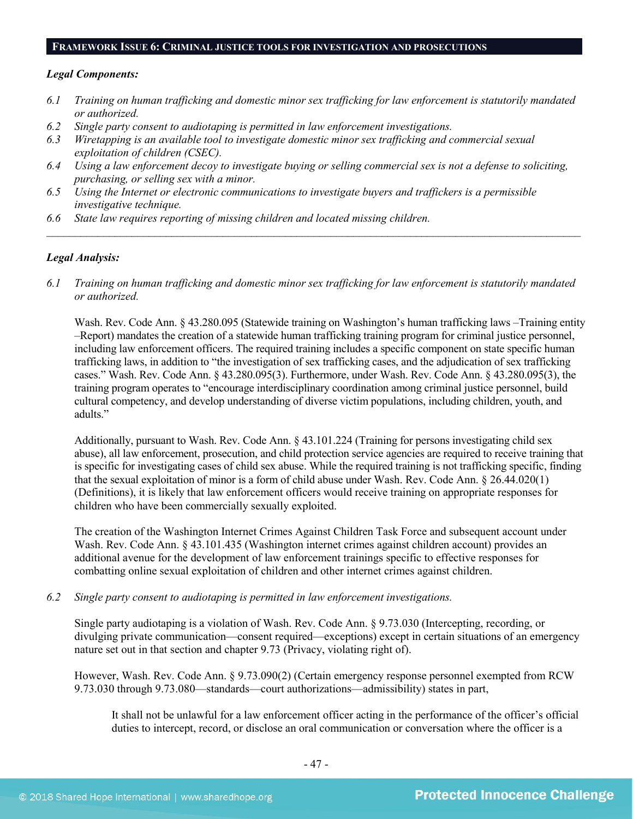#### **FRAMEWORK ISSUE 6: CRIMINAL JUSTICE TOOLS FOR INVESTIGATION AND PROSECUTIONS**

#### *Legal Components:*

- *6.1 Training on human trafficking and domestic minor sex trafficking for law enforcement is statutorily mandated or authorized.*
- *6.2 Single party consent to audiotaping is permitted in law enforcement investigations.*
- *6.3 Wiretapping is an available tool to investigate domestic minor sex trafficking and commercial sexual exploitation of children (CSEC).*
- *6.4 Using a law enforcement decoy to investigate buying or selling commercial sex is not a defense to soliciting, purchasing, or selling sex with a minor.*
- *6.5 Using the Internet or electronic communications to investigate buyers and traffickers is a permissible investigative technique.*
- *6.6 State law requires reporting of missing children and located missing children.*

#### *Legal Analysis:*

*6.1 Training on human trafficking and domestic minor sex trafficking for law enforcement is statutorily mandated or authorized.*

*\_\_\_\_\_\_\_\_\_\_\_\_\_\_\_\_\_\_\_\_\_\_\_\_\_\_\_\_\_\_\_\_\_\_\_\_\_\_\_\_\_\_\_\_\_\_\_\_\_\_\_\_\_\_\_\_\_\_\_\_\_\_\_\_\_\_\_\_\_\_\_\_\_\_\_\_\_\_\_\_\_\_\_\_\_\_\_\_\_\_\_\_\_\_*

Wash. Rev. Code Ann. § 43.280.095 (Statewide training on Washington's human trafficking laws –Training entity –Report) mandates the creation of a statewide human trafficking training program for criminal justice personnel, including law enforcement officers. The required training includes a specific component on state specific human trafficking laws, in addition to "the investigation of sex trafficking cases, and the adjudication of sex trafficking cases." Wash. Rev. Code Ann. § 43.280.095(3). Furthermore, under Wash. Rev. Code Ann. § 43.280.095(3), the training program operates to "encourage interdisciplinary coordination among criminal justice personnel, build cultural competency, and develop understanding of diverse victim populations, including children, youth, and adults."

Additionally, pursuant to Wash. Rev. Code Ann. § 43.101.224 (Training for persons investigating child sex abuse), all law enforcement, prosecution, and child protection service agencies are required to receive training that is specific for investigating cases of child sex abuse. While the required training is not trafficking specific, finding that the sexual exploitation of minor is a form of child abuse under Wash. Rev. Code Ann. § 26.44.020(1) (Definitions), it is likely that law enforcement officers would receive training on appropriate responses for children who have been commercially sexually exploited.

The creation of the Washington Internet Crimes Against Children Task Force and subsequent account under Wash. Rev. Code Ann. § 43.101.435 (Washington internet crimes against children account) provides an additional avenue for the development of law enforcement trainings specific to effective responses for combatting online sexual exploitation of children and other internet crimes against children.

*6.2 Single party consent to audiotaping is permitted in law enforcement investigations.*

Single party audiotaping is a violation of Wash. Rev. Code Ann. § 9.73.030 (Intercepting, recording, or divulging private communication—consent required—exceptions) except in certain situations of an emergency nature set out in that section and chapter 9.73 (Privacy, violating right of).

However, Wash. Rev. Code Ann. § 9.73.090(2) (Certain emergency response personnel exempted from RCW 9.73.030 through 9.73.080—standards—court authorizations—admissibility) states in part,

It shall not be unlawful for a law enforcement officer acting in the performance of the officer's official duties to intercept, record, or disclose an oral communication or conversation where the officer is a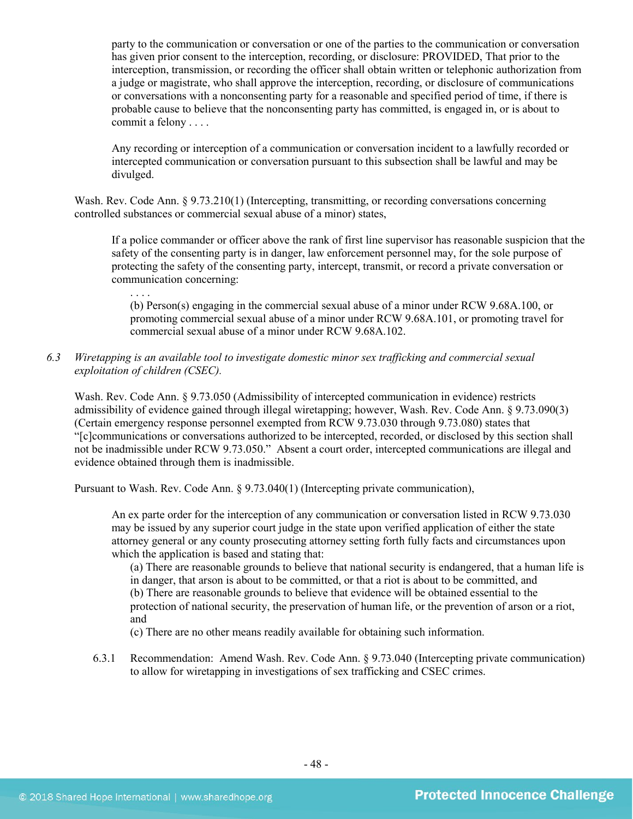party to the communication or conversation or one of the parties to the communication or conversation has given prior consent to the interception, recording, or disclosure: PROVIDED, That prior to the interception, transmission, or recording the officer shall obtain written or telephonic authorization from a judge or magistrate, who shall approve the interception, recording, or disclosure of communications or conversations with a nonconsenting party for a reasonable and specified period of time, if there is probable cause to believe that the nonconsenting party has committed, is engaged in, or is about to commit a felony . . . .

Any recording or interception of a communication or conversation incident to a lawfully recorded or intercepted communication or conversation pursuant to this subsection shall be lawful and may be divulged.

Wash. Rev. Code Ann. § 9.73.210(1) (Intercepting, transmitting, or recording conversations concerning controlled substances or commercial sexual abuse of a minor) states,

If a police commander or officer above the rank of first line supervisor has reasonable suspicion that the safety of the consenting party is in danger, law enforcement personnel may, for the sole purpose of protecting the safety of the consenting party, intercept, transmit, or record a private conversation or communication concerning:

. . . . (b) Person(s) engaging in the commercial sexual abuse of a minor under RCW 9.68A.100, or promoting commercial sexual abuse of a minor under RCW 9.68A.101, or promoting travel for commercial sexual abuse of a minor under RCW 9.68A.102.

*6.3 Wiretapping is an available tool to investigate domestic minor sex trafficking and commercial sexual exploitation of children (CSEC).* 

Wash. Rev. Code Ann. § 9.73.050 (Admissibility of intercepted communication in evidence) restricts admissibility of evidence gained through illegal wiretapping; however, Wash. Rev. Code Ann. § 9.73.090(3) (Certain emergency response personnel exempted from RCW 9.73.030 through 9.73.080) states that "[c]communications or conversations authorized to be intercepted, recorded, or disclosed by this section shall not be inadmissible under RCW 9.73.050." Absent a court order, intercepted communications are illegal and evidence obtained through them is inadmissible.

Pursuant to Wash. Rev. Code Ann. § 9.73.040(1) (Intercepting private communication),

An ex parte order for the interception of any communication or conversation listed in RCW 9.73.030 may be issued by any superior court judge in the state upon verified application of either the state attorney general or any county prosecuting attorney setting forth fully facts and circumstances upon which the application is based and stating that:

(a) There are reasonable grounds to believe that national security is endangered, that a human life is in danger, that arson is about to be committed, or that a riot is about to be committed, and (b) There are reasonable grounds to believe that evidence will be obtained essential to the protection of national security, the preservation of human life, or the prevention of arson or a riot, and

(c) There are no other means readily available for obtaining such information.

6.3.1 Recommendation: Amend Wash. Rev. Code Ann. § 9.73.040 (Intercepting private communication) to allow for wiretapping in investigations of sex trafficking and CSEC crimes.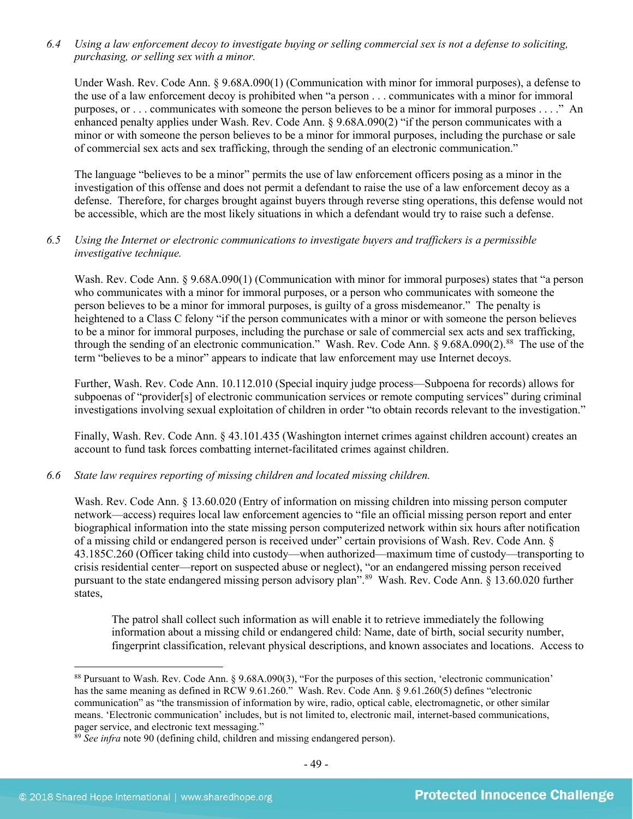*6.4 Using a law enforcement decoy to investigate buying or selling commercial sex is not a defense to soliciting, purchasing, or selling sex with a minor.*

Under Wash. Rev. Code Ann. § 9.68A.090(1) (Communication with minor for immoral purposes), a defense to the use of a law enforcement decoy is prohibited when "a person . . . communicates with a minor for immoral purposes, or . . . communicates with someone the person believes to be a minor for immoral purposes . . . ." An enhanced penalty applies under Wash. Rev. Code Ann. § 9.68A.090(2) "if the person communicates with a minor or with someone the person believes to be a minor for immoral purposes, including the purchase or sale of commercial sex acts and sex trafficking, through the sending of an electronic communication."

The language "believes to be a minor" permits the use of law enforcement officers posing as a minor in the investigation of this offense and does not permit a defendant to raise the use of a law enforcement decoy as a defense. Therefore, for charges brought against buyers through reverse sting operations, this defense would not be accessible, which are the most likely situations in which a defendant would try to raise such a defense.

# *6.5 Using the Internet or electronic communications to investigate buyers and traffickers is a permissible investigative technique.*

Wash. Rev. Code Ann. § 9.68A.090(1) (Communication with minor for immoral purposes) states that "a person who communicates with a minor for immoral purposes, or a person who communicates with someone the person believes to be a minor for immoral purposes, is guilty of a gross misdemeanor." The penalty is heightened to a Class C felony "if the person communicates with a minor or with someone the person believes to be a minor for immoral purposes, including the purchase or sale of commercial sex acts and sex trafficking, through the sending of an electronic communication." Wash. Rev. Code Ann. § 9.68A.090(2). [88](#page-48-0) The use of the term "believes to be a minor" appears to indicate that law enforcement may use Internet decoys.

Further, Wash. Rev. Code Ann. 10.112.010 (Special inquiry judge process—Subpoena for records) allows for subpoenas of "provider[s] of electronic communication services or remote computing services" during criminal investigations involving sexual exploitation of children in order "to obtain records relevant to the investigation."

Finally, Wash. Rev. Code Ann. § 43.101.435 (Washington internet crimes against children account) creates an account to fund task forces combatting internet-facilitated crimes against children.

#### *6.6 State law requires reporting of missing children and located missing children.*

Wash. Rev. Code Ann. § 13.60.020 (Entry of information on missing children into missing person computer network—access) requires local law enforcement agencies to "file an official missing person report and enter biographical information into the state missing person computerized network within six hours after notification of a missing child or endangered person is received under" certain provisions of Wash. Rev. Code Ann. § 43.185C.260 (Officer taking child into custody—when authorized—maximum time of custody—transporting to crisis residential center—report on suspected abuse or neglect), "or an endangered missing person received pursuant to the state endangered missing person advisory plan".<sup>[89](#page-48-1)</sup> Wash. Rev. Code Ann. § 13.60.020 further states,

The patrol shall collect such information as will enable it to retrieve immediately the following information about a missing child or endangered child: Name, date of birth, social security number, fingerprint classification, relevant physical descriptions, and known associates and locations. Access to

<span id="page-48-0"></span> <sup>88</sup> Pursuant to Wash. Rev. Code Ann. § 9.68A.090(3), "For the purposes of this section, 'electronic communication' has the same meaning as defined in RCW 9.61.260." Wash. Rev. Code Ann. § 9.61.260(5) defines "electronic communication" as "the transmission of information by wire, radio, optical cable, electromagnetic, or other similar means. 'Electronic communication' includes, but is not limited to, electronic mail, internet-based communications, pager service, and electronic text messaging."

<span id="page-48-1"></span><sup>&</sup>lt;sup>89</sup> *See infra* note [90](#page-49-0) (defining child, children and missing endangered person).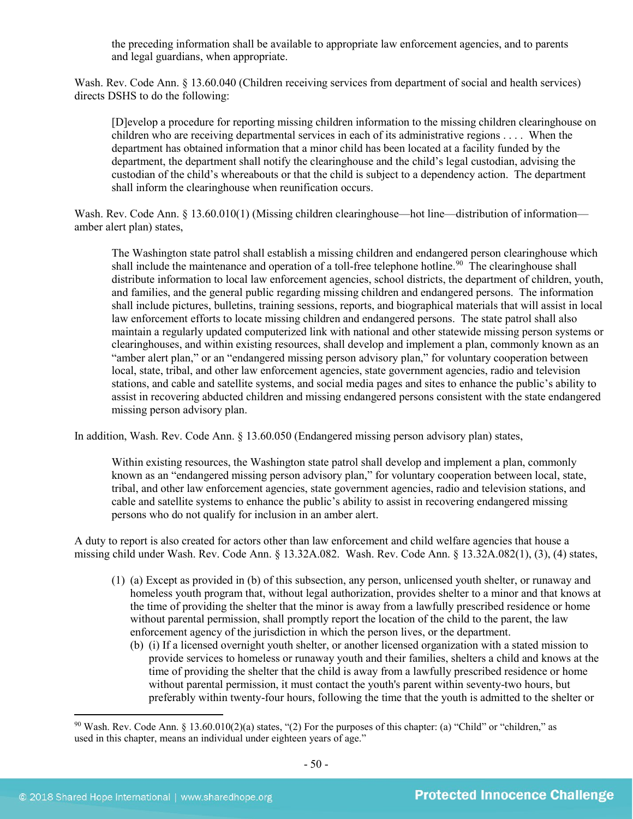the preceding information shall be available to appropriate law enforcement agencies, and to parents and legal guardians, when appropriate.

Wash. Rev. Code Ann. § 13.60.040 (Children receiving services from department of social and health services) directs DSHS to do the following:

[D]evelop a procedure for reporting missing children information to the missing children clearinghouse on children who are receiving departmental services in each of its administrative regions . . . . When the department has obtained information that a minor child has been located at a facility funded by the department, the department shall notify the clearinghouse and the child's legal custodian, advising the custodian of the child's whereabouts or that the child is subject to a dependency action. The department shall inform the clearinghouse when reunification occurs.

Wash. Rev. Code Ann. § 13.60.010(1) (Missing children clearinghouse—hot line—distribution of information amber alert plan) states,

<span id="page-49-0"></span>The Washington state patrol shall establish a missing children and endangered person clearinghouse which shall include the maintenance and operation of a toll-free telephone hotline.<sup>[90](#page-49-1)</sup> The clearinghouse shall distribute information to local law enforcement agencies, school districts, the department of children, youth, and families, and the general public regarding missing children and endangered persons. The information shall include pictures, bulletins, training sessions, reports, and biographical materials that will assist in local law enforcement efforts to locate missing children and endangered persons. The state patrol shall also maintain a regularly updated computerized link with national and other statewide missing person systems or clearinghouses, and within existing resources, shall develop and implement a plan, commonly known as an "amber alert plan," or an "endangered missing person advisory plan," for voluntary cooperation between local, state, tribal, and other law enforcement agencies, state government agencies, radio and television stations, and cable and satellite systems, and social media pages and sites to enhance the public's ability to assist in recovering abducted children and missing endangered persons consistent with the state endangered missing person advisory plan.

In addition, Wash. Rev. Code Ann. § 13.60.050 (Endangered missing person advisory plan) states,

Within existing resources, the Washington state patrol shall develop and implement a plan, commonly known as an "endangered missing person advisory plan," for voluntary cooperation between local, state, tribal, and other law enforcement agencies, state government agencies, radio and television stations, and cable and satellite systems to enhance the public's ability to assist in recovering endangered missing persons who do not qualify for inclusion in an amber alert.

A duty to report is also created for actors other than law enforcement and child welfare agencies that house a missing child under Wash. Rev. Code Ann. § 13.32A.082. Wash. Rev. Code Ann. § 13.32A.082(1), (3), (4) states,

- (1) (a) Except as provided in (b) of this subsection, any person, unlicensed youth shelter, or runaway and homeless youth program that, without legal authorization, provides shelter to a minor and that knows at the time of providing the shelter that the minor is away from a lawfully prescribed residence or home without parental permission, shall promptly report the location of the child to the parent, the law enforcement agency of the jurisdiction in which the person lives, or the department.
	- (b) (i) If a licensed overnight youth shelter, or another licensed organization with a stated mission to provide services to homeless or runaway youth and their families, shelters a child and knows at the time of providing the shelter that the child is away from a lawfully prescribed residence or home without parental permission, it must contact the youth's parent within seventy-two hours, but preferably within twenty-four hours, following the time that the youth is admitted to the shelter or

<span id="page-49-1"></span><sup>&</sup>lt;sup>90</sup> Wash. Rev. Code Ann. § 13.60.010(2)(a) states, "(2) For the purposes of this chapter: (a) "Child" or "children," as used in this chapter, means an individual under eighteen years of age."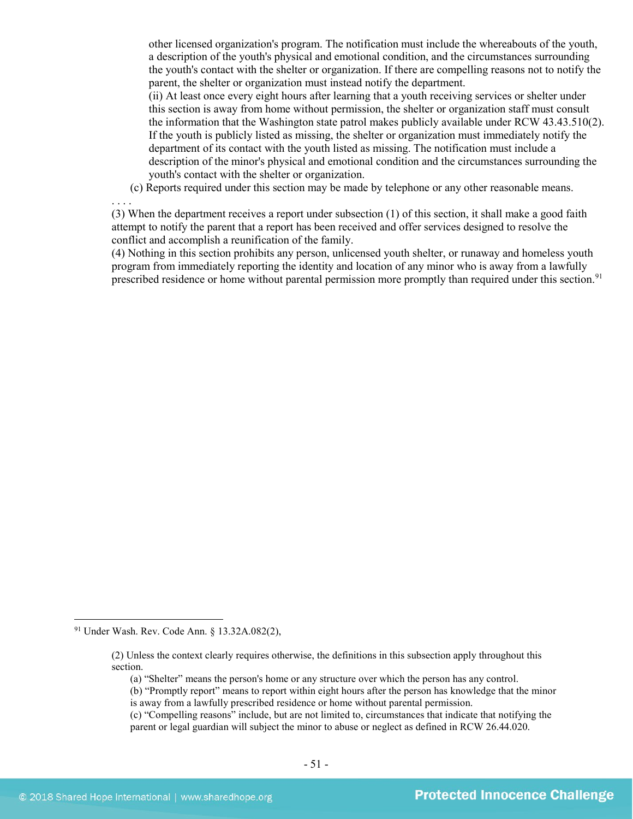other licensed organization's program. The notification must include the whereabouts of the youth, a description of the youth's physical and emotional condition, and the circumstances surrounding the youth's contact with the shelter or organization. If there are compelling reasons not to notify the parent, the shelter or organization must instead notify the department.

(ii) At least once every eight hours after learning that a youth receiving services or shelter under this section is away from home without permission, the shelter or organization staff must consult the information that the Washington state patrol makes publicly available under RCW 43.43.510(2). If the youth is publicly listed as missing, the shelter or organization must immediately notify the department of its contact with the youth listed as missing. The notification must include a description of the minor's physical and emotional condition and the circumstances surrounding the youth's contact with the shelter or organization.

(c) Reports required under this section may be made by telephone or any other reasonable means.

(3) When the department receives a report under subsection (1) of this section, it shall make a good faith attempt to notify the parent that a report has been received and offer services designed to resolve the conflict and accomplish a reunification of the family.

(4) Nothing in this section prohibits any person, unlicensed youth shelter, or runaway and homeless youth program from immediately reporting the identity and location of any minor who is away from a lawfully prescribed residence or home without parental permission more promptly than required under this section.<sup>[91](#page-50-0)</sup>

. . . .

<span id="page-50-0"></span> <sup>91</sup> Under Wash. Rev. Code Ann. § 13.32A.082(2),

<sup>(2)</sup> Unless the context clearly requires otherwise, the definitions in this subsection apply throughout this section.

<sup>(</sup>a) "Shelter" means the person's home or any structure over which the person has any control.

<sup>(</sup>b) "Promptly report" means to report within eight hours after the person has knowledge that the minor is away from a lawfully prescribed residence or home without parental permission.

<sup>(</sup>c) "Compelling reasons" include, but are not limited to, circumstances that indicate that notifying the parent or legal guardian will subject the minor to abuse or neglect as defined in RCW 26.44.020.